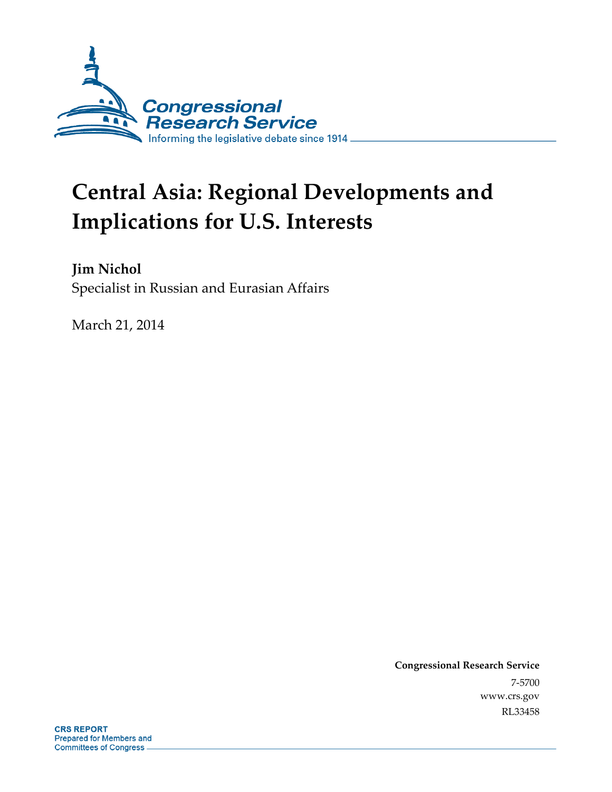

# **Central Asia: Regional Developments and Implications for U.S. Interests**

**Jim Nichol**  Specialist in Russian and Eurasian Affairs

March 21, 2014

**Congressional Research Service**  7-5700 www.crs.gov RL33458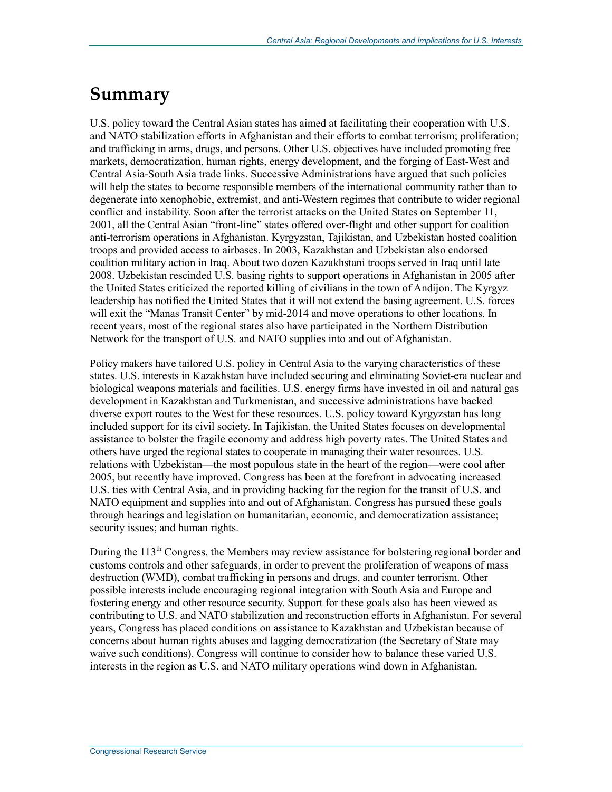## **Summary**

U.S. policy toward the Central Asian states has aimed at facilitating their cooperation with U.S. and NATO stabilization efforts in Afghanistan and their efforts to combat terrorism; proliferation; and trafficking in arms, drugs, and persons. Other U.S. objectives have included promoting free markets, democratization, human rights, energy development, and the forging of East-West and Central Asia-South Asia trade links. Successive Administrations have argued that such policies will help the states to become responsible members of the international community rather than to degenerate into xenophobic, extremist, and anti-Western regimes that contribute to wider regional conflict and instability. Soon after the terrorist attacks on the United States on September 11, 2001, all the Central Asian "front-line" states offered over-flight and other support for coalition anti-terrorism operations in Afghanistan. Kyrgyzstan, Tajikistan, and Uzbekistan hosted coalition troops and provided access to airbases. In 2003, Kazakhstan and Uzbekistan also endorsed coalition military action in Iraq. About two dozen Kazakhstani troops served in Iraq until late 2008. Uzbekistan rescinded U.S. basing rights to support operations in Afghanistan in 2005 after the United States criticized the reported killing of civilians in the town of Andijon. The Kyrgyz leadership has notified the United States that it will not extend the basing agreement. U.S. forces will exit the "Manas Transit Center" by mid-2014 and move operations to other locations. In recent years, most of the regional states also have participated in the Northern Distribution Network for the transport of U.S. and NATO supplies into and out of Afghanistan.

Policy makers have tailored U.S. policy in Central Asia to the varying characteristics of these states. U.S. interests in Kazakhstan have included securing and eliminating Soviet-era nuclear and biological weapons materials and facilities. U.S. energy firms have invested in oil and natural gas development in Kazakhstan and Turkmenistan, and successive administrations have backed diverse export routes to the West for these resources. U.S. policy toward Kyrgyzstan has long included support for its civil society. In Tajikistan, the United States focuses on developmental assistance to bolster the fragile economy and address high poverty rates. The United States and others have urged the regional states to cooperate in managing their water resources. U.S. relations with Uzbekistan—the most populous state in the heart of the region—were cool after 2005, but recently have improved. Congress has been at the forefront in advocating increased U.S. ties with Central Asia, and in providing backing for the region for the transit of U.S. and NATO equipment and supplies into and out of Afghanistan. Congress has pursued these goals through hearings and legislation on humanitarian, economic, and democratization assistance; security issues; and human rights.

During the  $113<sup>th</sup>$  Congress, the Members may review assistance for bolstering regional border and customs controls and other safeguards, in order to prevent the proliferation of weapons of mass destruction (WMD), combat trafficking in persons and drugs, and counter terrorism. Other possible interests include encouraging regional integration with South Asia and Europe and fostering energy and other resource security. Support for these goals also has been viewed as contributing to U.S. and NATO stabilization and reconstruction efforts in Afghanistan. For several years, Congress has placed conditions on assistance to Kazakhstan and Uzbekistan because of concerns about human rights abuses and lagging democratization (the Secretary of State may waive such conditions). Congress will continue to consider how to balance these varied U.S. interests in the region as U.S. and NATO military operations wind down in Afghanistan.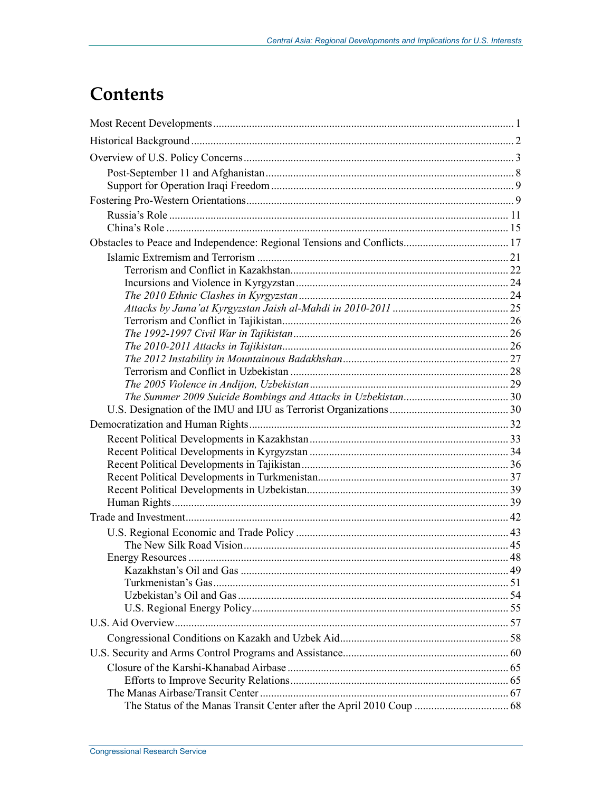## **Contents**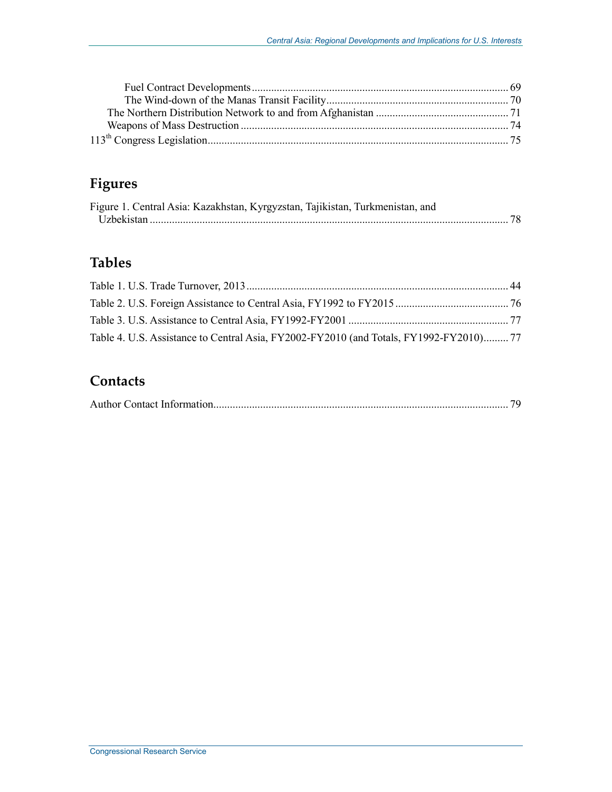## **Figures**

| Figure 1. Central Asia: Kazakhstan, Kyrgyzstan, Tajikistan, Turkmenistan, and |  |
|-------------------------------------------------------------------------------|--|
|                                                                               |  |

## **Tables**

| Table 4. U.S. Assistance to Central Asia, FY2002-FY2010 (and Totals, FY1992-FY2010)77 |  |
|---------------------------------------------------------------------------------------|--|

## **Contacts**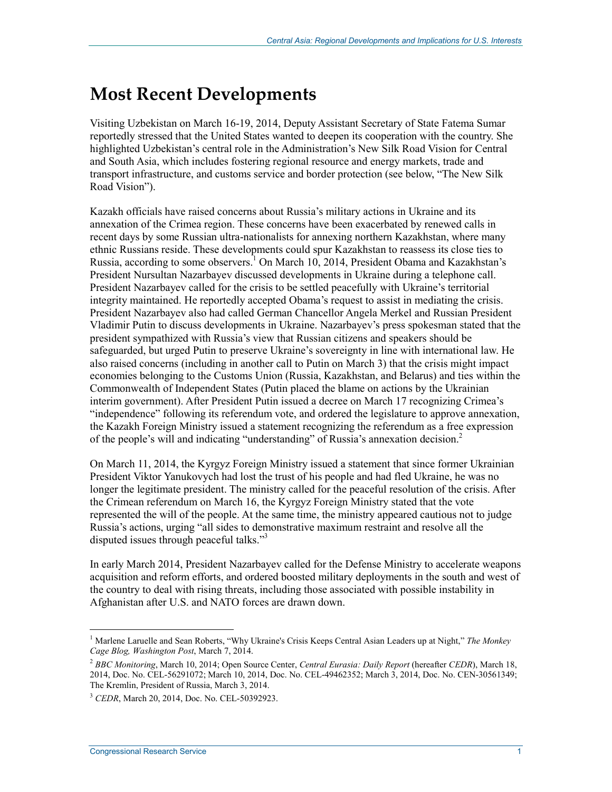## **Most Recent Developments**

Visiting Uzbekistan on March 16-19, 2014, Deputy Assistant Secretary of State Fatema Sumar reportedly stressed that the United States wanted to deepen its cooperation with the country. She highlighted Uzbekistan's central role in the Administration's New Silk Road Vision for Central and South Asia, which includes fostering regional resource and energy markets, trade and transport infrastructure, and customs service and border protection (see below, "The New Silk Road Vision").

Kazakh officials have raised concerns about Russia's military actions in Ukraine and its annexation of the Crimea region. These concerns have been exacerbated by renewed calls in recent days by some Russian ultra-nationalists for annexing northern Kazakhstan, where many ethnic Russians reside. These developments could spur Kazakhstan to reassess its close ties to Russia, according to some observers.<sup>1</sup> On March 10, 2014, President Obama and Kazakhstan's President Nursultan Nazarbayev discussed developments in Ukraine during a telephone call. President Nazarbayev called for the crisis to be settled peacefully with Ukraine's territorial integrity maintained. He reportedly accepted Obama's request to assist in mediating the crisis. President Nazarbayev also had called German Chancellor Angela Merkel and Russian President Vladimir Putin to discuss developments in Ukraine. Nazarbayev's press spokesman stated that the president sympathized with Russia's view that Russian citizens and speakers should be safeguarded, but urged Putin to preserve Ukraine's sovereignty in line with international law. He also raised concerns (including in another call to Putin on March 3) that the crisis might impact economies belonging to the Customs Union (Russia, Kazakhstan, and Belarus) and ties within the Commonwealth of Independent States (Putin placed the blame on actions by the Ukrainian interim government). After President Putin issued a decree on March 17 recognizing Crimea's "independence" following its referendum vote, and ordered the legislature to approve annexation, the Kazakh Foreign Ministry issued a statement recognizing the referendum as a free expression of the people's will and indicating "understanding" of Russia's annexation decision.<sup>2</sup>

On March 11, 2014, the Kyrgyz Foreign Ministry issued a statement that since former Ukrainian President Viktor Yanukovych had lost the trust of his people and had fled Ukraine, he was no longer the legitimate president. The ministry called for the peaceful resolution of the crisis. After the Crimean referendum on March 16, the Kyrgyz Foreign Ministry stated that the vote represented the will of the people. At the same time, the ministry appeared cautious not to judge Russia's actions, urging "all sides to demonstrative maximum restraint and resolve all the disputed issues through peaceful talks."3

In early March 2014, President Nazarbayev called for the Defense Ministry to accelerate weapons acquisition and reform efforts, and ordered boosted military deployments in the south and west of the country to deal with rising threats, including those associated with possible instability in Afghanistan after U.S. and NATO forces are drawn down.

<sup>&</sup>lt;sup>1</sup> Marlene Laruelle and Sean Roberts, "Why Ukraine's Crisis Keeps Central Asian Leaders up at Night," The Monkey *Cage Blog, Washington Post*, March 7, 2014.

<sup>2</sup> *BBC Monitoring*, March 10, 2014; Open Source Center, *Central Eurasia: Daily Report* (hereafter *CEDR*), March 18, 2014, Doc. No. CEL-56291072; March 10, 2014, Doc. No. CEL-49462352; March 3, 2014, Doc. No. CEN-30561349; The Kremlin, President of Russia, March 3, 2014.

<sup>3</sup> *CEDR*, March 20, 2014, Doc. No. CEL-50392923.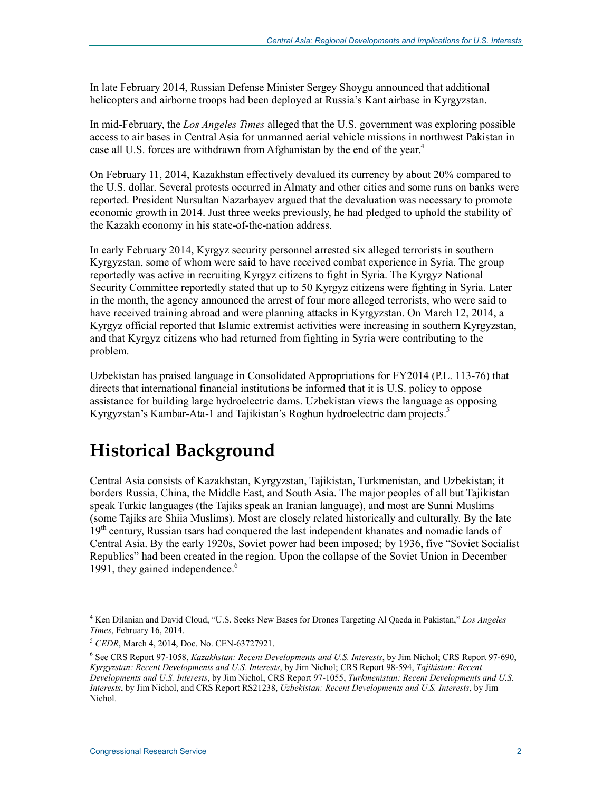In late February 2014, Russian Defense Minister Sergey Shoygu announced that additional helicopters and airborne troops had been deployed at Russia's Kant airbase in Kyrgyzstan.

In mid-February, the *Los Angeles Times* alleged that the U.S. government was exploring possible access to air bases in Central Asia for unmanned aerial vehicle missions in northwest Pakistan in case all U.S. forces are withdrawn from Afghanistan by the end of the year.<sup>4</sup>

On February 11, 2014, Kazakhstan effectively devalued its currency by about 20% compared to the U.S. dollar. Several protests occurred in Almaty and other cities and some runs on banks were reported. President Nursultan Nazarbayev argued that the devaluation was necessary to promote economic growth in 2014. Just three weeks previously, he had pledged to uphold the stability of the Kazakh economy in his state-of-the-nation address.

In early February 2014, Kyrgyz security personnel arrested six alleged terrorists in southern Kyrgyzstan, some of whom were said to have received combat experience in Syria. The group reportedly was active in recruiting Kyrgyz citizens to fight in Syria. The Kyrgyz National Security Committee reportedly stated that up to 50 Kyrgyz citizens were fighting in Syria. Later in the month, the agency announced the arrest of four more alleged terrorists, who were said to have received training abroad and were planning attacks in Kyrgyzstan. On March 12, 2014, a Kyrgyz official reported that Islamic extremist activities were increasing in southern Kyrgyzstan, and that Kyrgyz citizens who had returned from fighting in Syria were contributing to the problem.

Uzbekistan has praised language in Consolidated Appropriations for FY2014 (P.L. 113-76) that directs that international financial institutions be informed that it is U.S. policy to oppose assistance for building large hydroelectric dams. Uzbekistan views the language as opposing Kyrgyzstan's Kambar-Ata-1 and Tajikistan's Roghun hydroelectric dam projects.<sup>5</sup>

## **Historical Background**

Central Asia consists of Kazakhstan, Kyrgyzstan, Tajikistan, Turkmenistan, and Uzbekistan; it borders Russia, China, the Middle East, and South Asia. The major peoples of all but Tajikistan speak Turkic languages (the Tajiks speak an Iranian language), and most are Sunni Muslims (some Tajiks are Shiia Muslims). Most are closely related historically and culturally. By the late 19<sup>th</sup> century, Russian tsars had conquered the last independent khanates and nomadic lands of Central Asia. By the early 1920s, Soviet power had been imposed; by 1936, five "Soviet Socialist Republics" had been created in the region. Upon the collapse of the Soviet Union in December 1991, they gained independence.<sup>6</sup>

<sup>4</sup> Ken Dilanian and David Cloud, "U.S. Seeks New Bases for Drones Targeting Al Qaeda in Pakistan," *Los Angeles Times*, February 16, 2014.

<sup>5</sup> *CEDR*, March 4, 2014, Doc. No. CEN-63727921.

<sup>6</sup> See CRS Report 97-1058, *Kazakhstan: Recent Developments and U.S. Interests*, by Jim Nichol; CRS Report 97-690, *Kyrgyzstan: Recent Developments and U.S. Interests*, by Jim Nichol; CRS Report 98-594, *Tajikistan: Recent Developments and U.S. Interests*, by Jim Nichol, CRS Report 97-1055, *Turkmenistan: Recent Developments and U.S. Interests*, by Jim Nichol, and CRS Report RS21238, *Uzbekistan: Recent Developments and U.S. Interests*, by Jim Nichol.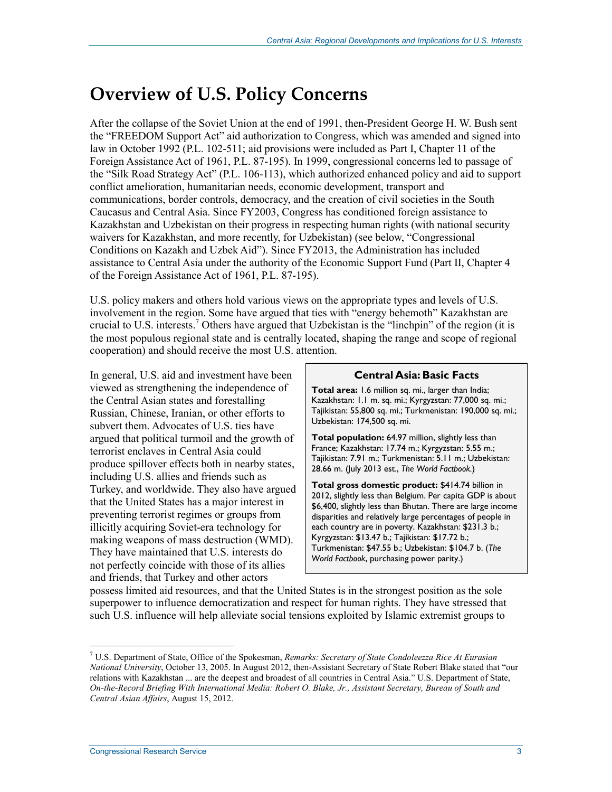## **Overview of U.S. Policy Concerns**

After the collapse of the Soviet Union at the end of 1991, then-President George H. W. Bush sent the "FREEDOM Support Act" aid authorization to Congress, which was amended and signed into law in October 1992 (P.L. 102-511; aid provisions were included as Part I, Chapter 11 of the Foreign Assistance Act of 1961, P.L. 87-195). In 1999, congressional concerns led to passage of the "Silk Road Strategy Act" (P.L. 106-113), which authorized enhanced policy and aid to support conflict amelioration, humanitarian needs, economic development, transport and communications, border controls, democracy, and the creation of civil societies in the South Caucasus and Central Asia. Since FY2003, Congress has conditioned foreign assistance to Kazakhstan and Uzbekistan on their progress in respecting human rights (with national security waivers for Kazakhstan, and more recently, for Uzbekistan) (see below, "Congressional Conditions on Kazakh and Uzbek Aid"). Since FY2013, the Administration has included assistance to Central Asia under the authority of the Economic Support Fund (Part II, Chapter 4 of the Foreign Assistance Act of 1961, P.L. 87-195).

U.S. policy makers and others hold various views on the appropriate types and levels of U.S. involvement in the region. Some have argued that ties with "energy behemoth" Kazakhstan are crucial to U.S. interests.<sup>7</sup> Others have argued that Uzbekistan is the "linchpin" of the region (it is the most populous regional state and is centrally located, shaping the range and scope of regional cooperation) and should receive the most U.S. attention.

In general, U.S. aid and investment have been viewed as strengthening the independence of the Central Asian states and forestalling Russian, Chinese, Iranian, or other efforts to subvert them. Advocates of U.S. ties have argued that political turmoil and the growth of terrorist enclaves in Central Asia could produce spillover effects both in nearby states, including U.S. allies and friends such as Turkey, and worldwide. They also have argued that the United States has a major interest in preventing terrorist regimes or groups from illicitly acquiring Soviet-era technology for making weapons of mass destruction (WMD). They have maintained that U.S. interests do not perfectly coincide with those of its allies and friends, that Turkey and other actors

#### **Central Asia: Basic Facts**

**Total area:** 1.6 million sq. mi., larger than India; Kazakhstan: 1.1 m. sq. mi.; Kyrgyzstan: 77,000 sq. mi.; Tajikistan: 55,800 sq. mi.; Turkmenistan: 190,000 sq. mi.; Uzbekistan: 174,500 sq. mi.

**Total population:** 64.97 million, slightly less than France; Kazakhstan: 17.74 m.; Kyrgyzstan: 5.55 m.; Tajikistan: 7.91 m.; Turkmenistan: 5.11 m.; Uzbekistan: 28.66 m. (July 2013 est., *The World Factbook.*)

**Total gross domestic product:** \$414.74 billion in 2012, slightly less than Belgium. Per capita GDP is about \$6,400, slightly less than Bhutan. There are large income disparities and relatively large percentages of people in each country are in poverty. Kazakhstan: \$231.3 b.; Kyrgyzstan: \$13.47 b.; Tajikistan: \$17.72 b.; Turkmenistan: \$47.55 b.; Uzbekistan: \$104.7 b. (*The World Factbook*, purchasing power parity.)

possess limited aid resources, and that the United States is in the strongest position as the sole superpower to influence democratization and respect for human rights. They have stressed that such U.S. influence will help alleviate social tensions exploited by Islamic extremist groups to

<sup>7</sup> U.S. Department of State, Office of the Spokesman, *Remarks: Secretary of State Condoleezza Rice At Eurasian National University*, October 13, 2005. In August 2012, then-Assistant Secretary of State Robert Blake stated that "our relations with Kazakhstan ... are the deepest and broadest of all countries in Central Asia." U.S. Department of State, *On-the-Record Briefing With International Media: Robert O. Blake, Jr., Assistant Secretary, Bureau of South and Central Asian Affairs*, August 15, 2012.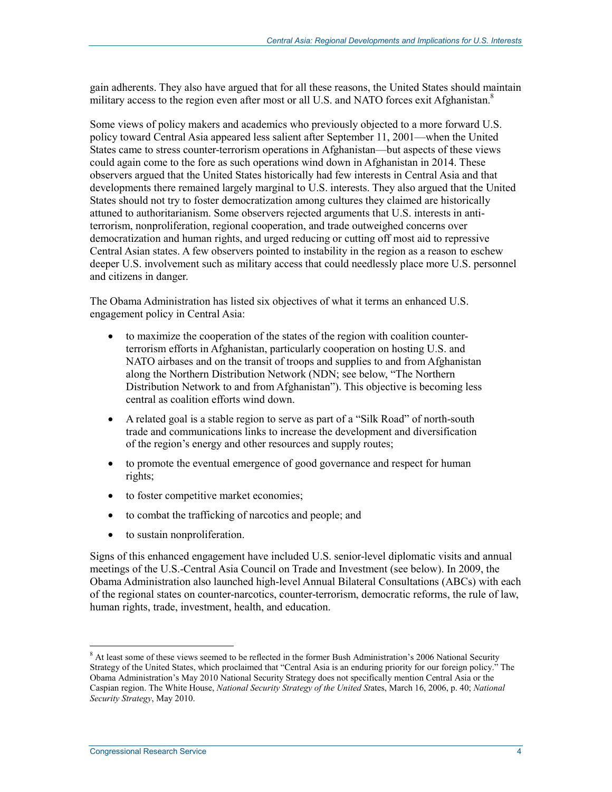gain adherents. They also have argued that for all these reasons, the United States should maintain military access to the region even after most or all U.S. and NATO forces exit Afghanistan.<sup>8</sup>

Some views of policy makers and academics who previously objected to a more forward U.S. policy toward Central Asia appeared less salient after September 11, 2001—when the United States came to stress counter-terrorism operations in Afghanistan—but aspects of these views could again come to the fore as such operations wind down in Afghanistan in 2014. These observers argued that the United States historically had few interests in Central Asia and that developments there remained largely marginal to U.S. interests. They also argued that the United States should not try to foster democratization among cultures they claimed are historically attuned to authoritarianism. Some observers rejected arguments that U.S. interests in antiterrorism, nonproliferation, regional cooperation, and trade outweighed concerns over democratization and human rights, and urged reducing or cutting off most aid to repressive Central Asian states. A few observers pointed to instability in the region as a reason to eschew deeper U.S. involvement such as military access that could needlessly place more U.S. personnel and citizens in danger.

The Obama Administration has listed six objectives of what it terms an enhanced U.S. engagement policy in Central Asia:

- to maximize the cooperation of the states of the region with coalition counterterrorism efforts in Afghanistan, particularly cooperation on hosting U.S. and NATO airbases and on the transit of troops and supplies to and from Afghanistan along the Northern Distribution Network (NDN; see below, "The Northern Distribution Network to and from Afghanistan"). This objective is becoming less central as coalition efforts wind down.
- A related goal is a stable region to serve as part of a "Silk Road" of north-south trade and communications links to increase the development and diversification of the region's energy and other resources and supply routes;
- to promote the eventual emergence of good governance and respect for human rights;
- to foster competitive market economies;
- to combat the trafficking of narcotics and people; and
- to sustain nonproliferation.

Signs of this enhanced engagement have included U.S. senior-level diplomatic visits and annual meetings of the U.S.-Central Asia Council on Trade and Investment (see below). In 2009, the Obama Administration also launched high-level Annual Bilateral Consultations (ABCs) with each of the regional states on counter-narcotics, counter-terrorism, democratic reforms, the rule of law, human rights, trade, investment, health, and education.

<sup>&</sup>lt;sup>8</sup> At least some of these views seemed to be reflected in the former Bush Administration's 2006 National Security Strategy of the United States, which proclaimed that "Central Asia is an enduring priority for our foreign policy." The Obama Administration's May 2010 National Security Strategy does not specifically mention Central Asia or the Caspian region. The White House, *National Security Strategy of the United St*ates, March 16, 2006, p. 40; *National Security Strategy*, May 2010.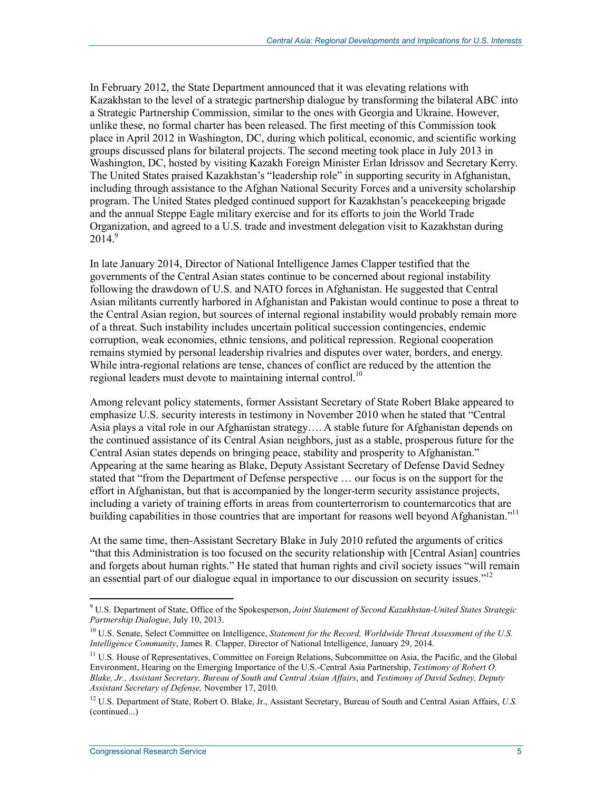In February 2012, the State Department announced that it was elevating relations with Kazakhstan to the level of a strategic partnership dialogue by transforming the bilateral ABC into a Strategic Partnership Commission, similar to the ones with Georgia and Ukraine. However, unlike these, no formal charter has been released. The first meeting of this Commission took place in April 2012 in Washington, DC, during which political, economic, and scientific working groups discussed plans for bilateral projects. The second meeting took place in July 2013 in Washington, DC, hosted by visiting Kazakh Foreign Minister Erlan Idrissov and Secretary Kerry. The United States praised Kazakhstan's "leadership role" in supporting security in Afghanistan, including through assistance to the Afghan National Security Forces and a university scholarship program. The United States pledged continued support for Kazakhstan's peacekeeping brigade and the annual Steppe Eagle military exercise and for its efforts to join the World Trade Organization, and agreed to a U.S. trade and investment delegation visit to Kazakhstan during  $2014.<sup>9</sup>$ 

In late January 2014, Director of National Intelligence James Clapper testified that the governments of the Central Asian states continue to be concerned about regional instability following the drawdown of U.S. and NATO forces in Afghanistan. He suggested that Central Asian militants currently harbored in Afghanistan and Pakistan would continue to pose a threat to the Central Asian region, but sources of internal regional instability would probably remain more of a threat. Such instability includes uncertain political succession contingencies, endemic corruption, weak economies, ethnic tensions, and political repression. Regional cooperation remains stymied by personal leadership rivalries and disputes over water, borders, and energy. While intra-regional relations are tense, chances of conflict are reduced by the attention the regional leaders must devote to maintaining internal control.<sup>10</sup>

Among relevant policy statements, former Assistant Secretary of State Robert Blake appeared to emphasize U.S. security interests in testimony in November 2010 when he stated that "Central Asia plays a vital role in our Afghanistan strategy…. A stable future for Afghanistan depends on the continued assistance of its Central Asian neighbors, just as a stable, prosperous future for the Central Asian states depends on bringing peace, stability and prosperity to Afghanistan." Appearing at the same hearing as Blake, Deputy Assistant Secretary of Defense David Sedney stated that "from the Department of Defense perspective … our focus is on the support for the effort in Afghanistan, but that is accompanied by the longer-term security assistance projects, including a variety of training efforts in areas from counterterrorism to counternarcotics that are building capabilities in those countries that are important for reasons well beyond Afghanistan."<sup>11</sup>

At the same time, then-Assistant Secretary Blake in July 2010 refuted the arguments of critics "that this Administration is too focused on the security relationship with [Central Asian] countries and forgets about human rights." He stated that human rights and civil society issues "will remain an essential part of our dialogue equal in importance to our discussion on security issues."<sup>12</sup>

<sup>9</sup> U.S. Department of State, Office of the Spokesperson, *Joint Statement of Second Kazakhstan-United States Strategic Partnership Dialogue*, July 10, 2013.

<sup>&</sup>lt;sup>10</sup> U.S. Senate, Select Committee on Intelligence, *Statement for the Record, Worldwide Threat Assessment of the U.S. Intelligence Community*, James R. Clapper, Director of National Intelligence, January 29, 2014.

<sup>&</sup>lt;sup>11</sup> U.S. House of Representatives, Committee on Foreign Relations, Subcommittee on Asia, the Pacific, and the Global Environment, Hearing on the Emerging Importance of the U.S.-Central Asia Partnership, *Testimony of Robert O. Blake, Jr., Assistant Secretary, Bureau of South and Central Asian Affairs*, and *Testimony of David Sedney, Deputy Assistant Secretary of Defense,* November 17, 2010.

<sup>12</sup> U.S. Department of State, Robert O. Blake, Jr., Assistant Secretary, Bureau of South and Central Asian Affairs, *U.S.*  (continued...)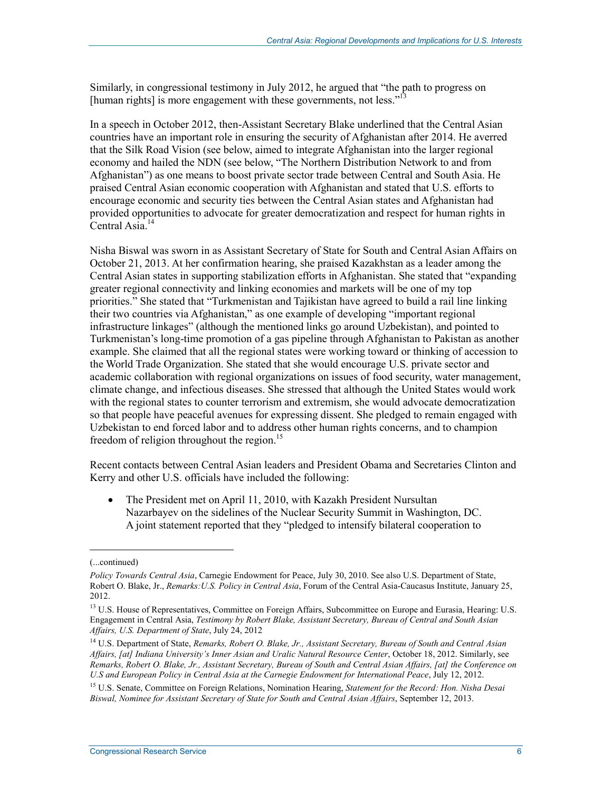Similarly, in congressional testimony in July 2012, he argued that "the path to progress on [human rights] is more engagement with these governments, not less."<sup>13</sup>

In a speech in October 2012, then-Assistant Secretary Blake underlined that the Central Asian countries have an important role in ensuring the security of Afghanistan after 2014. He averred that the Silk Road Vision (see below, aimed to integrate Afghanistan into the larger regional economy and hailed the NDN (see below, "The Northern Distribution Network to and from Afghanistan") as one means to boost private sector trade between Central and South Asia. He praised Central Asian economic cooperation with Afghanistan and stated that U.S. efforts to encourage economic and security ties between the Central Asian states and Afghanistan had provided opportunities to advocate for greater democratization and respect for human rights in Central Asia. $14$ 

Nisha Biswal was sworn in as Assistant Secretary of State for South and Central Asian Affairs on October 21, 2013. At her confirmation hearing, she praised Kazakhstan as a leader among the Central Asian states in supporting stabilization efforts in Afghanistan. She stated that "expanding greater regional connectivity and linking economies and markets will be one of my top priorities." She stated that "Turkmenistan and Tajikistan have agreed to build a rail line linking their two countries via Afghanistan," as one example of developing "important regional infrastructure linkages" (although the mentioned links go around Uzbekistan), and pointed to Turkmenistan's long-time promotion of a gas pipeline through Afghanistan to Pakistan as another example. She claimed that all the regional states were working toward or thinking of accession to the World Trade Organization. She stated that she would encourage U.S. private sector and academic collaboration with regional organizations on issues of food security, water management, climate change, and infectious diseases. She stressed that although the United States would work with the regional states to counter terrorism and extremism, she would advocate democratization so that people have peaceful avenues for expressing dissent. She pledged to remain engaged with Uzbekistan to end forced labor and to address other human rights concerns, and to champion freedom of religion throughout the region.<sup>15</sup>

Recent contacts between Central Asian leaders and President Obama and Secretaries Clinton and Kerry and other U.S. officials have included the following:

• The President met on April 11, 2010, with Kazakh President Nursultan Nazarbayev on the sidelines of the Nuclear Security Summit in Washington, DC. A joint statement reported that they "pledged to intensify bilateral cooperation to

<sup>(...</sup>continued)

*Policy Towards Central Asia*, Carnegie Endowment for Peace, July 30, 2010. See also U.S. Department of State, Robert O. Blake, Jr., *Remarks:U.S. Policy in Central Asia*, Forum of the Central Asia-Caucasus Institute, January 25, 2012.

<sup>&</sup>lt;sup>13</sup> U.S. House of Representatives, Committee on Foreign Affairs, Subcommittee on Europe and Eurasia, Hearing: U.S. Engagement in Central Asia, *Testimony by Robert Blake, Assistant Secretary, Bureau of Central and South Asian Affairs, U.S. Department of State*, July 24, 2012

<sup>14</sup> U.S. Department of State, *Remarks, Robert O. Blake, Jr., Assistant Secretary, Bureau of South and Central Asian Affairs, [at] Indiana University's Inner Asian and Uralic Natural Resource Center*, October 18, 2012. Similarly, see *Remarks, Robert O. Blake, Jr., Assistant Secretary, Bureau of South and Central Asian Affairs, [at] the Conference on U.S and European Policy in Central Asia at the Carnegie Endowment for International Peace*, July 12, 2012.

<sup>15</sup> U.S. Senate, Committee on Foreign Relations, Nomination Hearing, *Statement for the Record: Hon. Nisha Desai Biswal, Nominee for Assistant Secretary of State for South and Central Asian Affairs*, September 12, 2013.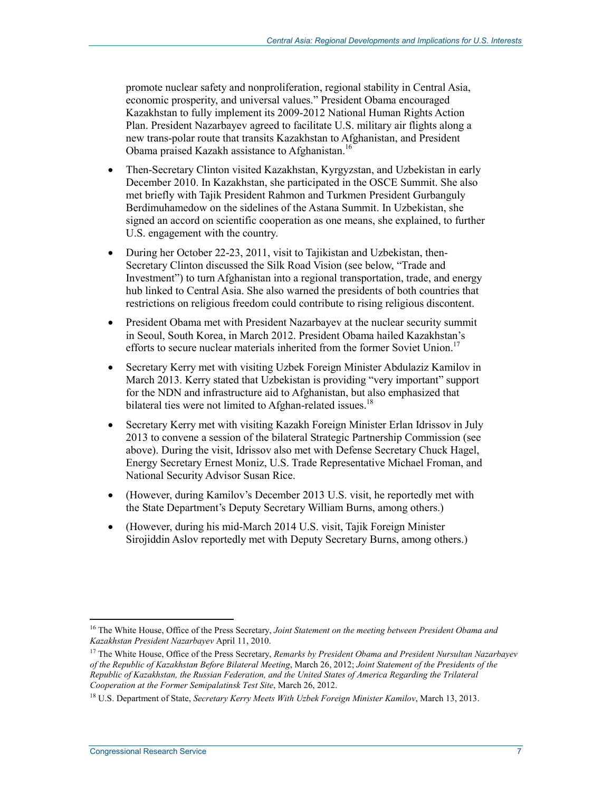promote nuclear safety and nonproliferation, regional stability in Central Asia, economic prosperity, and universal values." President Obama encouraged Kazakhstan to fully implement its 2009-2012 National Human Rights Action Plan. President Nazarbayev agreed to facilitate U.S. military air flights along a new trans-polar route that transits Kazakhstan to Afghanistan, and President Obama praised Kazakh assistance to Afghanistan.16

- Then-Secretary Clinton visited Kazakhstan, Kyrgyzstan, and Uzbekistan in early December 2010. In Kazakhstan, she participated in the OSCE Summit. She also met briefly with Tajik President Rahmon and Turkmen President Gurbanguly Berdimuhamedow on the sidelines of the Astana Summit. In Uzbekistan, she signed an accord on scientific cooperation as one means, she explained, to further U.S. engagement with the country.
- During her October 22-23, 2011, visit to Tajikistan and Uzbekistan, then-Secretary Clinton discussed the Silk Road Vision (see below, "Trade and Investment") to turn Afghanistan into a regional transportation, trade, and energy hub linked to Central Asia. She also warned the presidents of both countries that restrictions on religious freedom could contribute to rising religious discontent.
- President Obama met with President Nazarbayev at the nuclear security summit in Seoul, South Korea, in March 2012. President Obama hailed Kazakhstan's efforts to secure nuclear materials inherited from the former Soviet Union.<sup>17</sup>
- Secretary Kerry met with visiting Uzbek Foreign Minister Abdulaziz Kamilov in March 2013. Kerry stated that Uzbekistan is providing "very important" support for the NDN and infrastructure aid to Afghanistan, but also emphasized that bilateral ties were not limited to Afghan-related issues.<sup>18</sup>
- Secretary Kerry met with visiting Kazakh Foreign Minister Erlan Idrissov in July 2013 to convene a session of the bilateral Strategic Partnership Commission (see above). During the visit, Idrissov also met with Defense Secretary Chuck Hagel, Energy Secretary Ernest Moniz, U.S. Trade Representative Michael Froman, and National Security Advisor Susan Rice.
- (However, during Kamilov's December 2013 U.S. visit, he reportedly met with the State Department's Deputy Secretary William Burns, among others.)
- (However, during his mid-March 2014 U.S. visit, Tajik Foreign Minister Sirojiddin Aslov reportedly met with Deputy Secretary Burns, among others.)

<sup>16</sup> The White House, Office of the Press Secretary, *Joint Statement on the meeting between President Obama and Kazakhstan President Nazarbayev* April 11, 2010.

<sup>17</sup> The White House, Office of the Press Secretary, *Remarks by President Obama and President Nursultan Nazarbayev of the Republic of Kazakhstan Before Bilateral Meeting*, March 26, 2012; *Joint Statement of the Presidents of the Republic of Kazakhstan, the Russian Federation, and the United States of America Regarding the Trilateral Cooperation at the Former Semipalatinsk Test Site*, March 26, 2012.

<sup>18</sup> U.S. Department of State, *Secretary Kerry Meets With Uzbek Foreign Minister Kamilov*, March 13, 2013.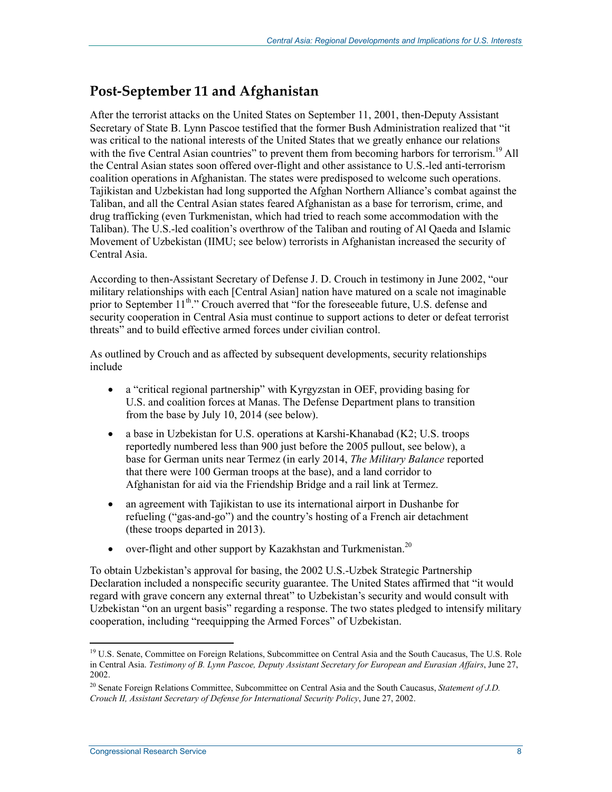### **Post-September 11 and Afghanistan**

After the terrorist attacks on the United States on September 11, 2001, then-Deputy Assistant Secretary of State B. Lynn Pascoe testified that the former Bush Administration realized that "it was critical to the national interests of the United States that we greatly enhance our relations with the five Central Asian countries" to prevent them from becoming harbors for terrorism.<sup>19</sup> All the Central Asian states soon offered over-flight and other assistance to U.S.-led anti-terrorism coalition operations in Afghanistan. The states were predisposed to welcome such operations. Tajikistan and Uzbekistan had long supported the Afghan Northern Alliance's combat against the Taliban, and all the Central Asian states feared Afghanistan as a base for terrorism, crime, and drug trafficking (even Turkmenistan, which had tried to reach some accommodation with the Taliban). The U.S.-led coalition's overthrow of the Taliban and routing of Al Qaeda and Islamic Movement of Uzbekistan (IIMU; see below) terrorists in Afghanistan increased the security of Central Asia.

According to then-Assistant Secretary of Defense J. D. Crouch in testimony in June 2002, "our military relationships with each [Central Asian] nation have matured on a scale not imaginable prior to September 11<sup>th</sup>." Crouch averred that "for the foreseeable future, U.S. defense and security cooperation in Central Asia must continue to support actions to deter or defeat terrorist threats" and to build effective armed forces under civilian control.

As outlined by Crouch and as affected by subsequent developments, security relationships include

- a "critical regional partnership" with Kyrgyzstan in OEF, providing basing for U.S. and coalition forces at Manas. The Defense Department plans to transition from the base by July 10, 2014 (see below).
- a base in Uzbekistan for U.S. operations at Karshi-Khanabad (K2; U.S. troops reportedly numbered less than 900 just before the 2005 pullout, see below), a base for German units near Termez (in early 2014, *The Military Balance* reported that there were 100 German troops at the base), and a land corridor to Afghanistan for aid via the Friendship Bridge and a rail link at Termez.
- an agreement with Tajikistan to use its international airport in Dushanbe for refueling ("gas-and-go") and the country's hosting of a French air detachment (these troops departed in 2013).
- over-flight and other support by Kazakhstan and Turkmenistan.<sup>20</sup>

To obtain Uzbekistan's approval for basing, the 2002 U.S.-Uzbek Strategic Partnership Declaration included a nonspecific security guarantee. The United States affirmed that "it would regard with grave concern any external threat" to Uzbekistan's security and would consult with Uzbekistan "on an urgent basis" regarding a response. The two states pledged to intensify military cooperation, including "reequipping the Armed Forces" of Uzbekistan.

<sup>&</sup>lt;sup>19</sup> U.S. Senate, Committee on Foreign Relations, Subcommittee on Central Asia and the South Caucasus, The U.S. Role in Central Asia. *Testimony of B. Lynn Pascoe, Deputy Assistant Secretary for European and Eurasian Affairs*, June 27, 2002.

<sup>20</sup> Senate Foreign Relations Committee, Subcommittee on Central Asia and the South Caucasus, *Statement of J.D. Crouch II, Assistant Secretary of Defense for International Security Policy*, June 27, 2002.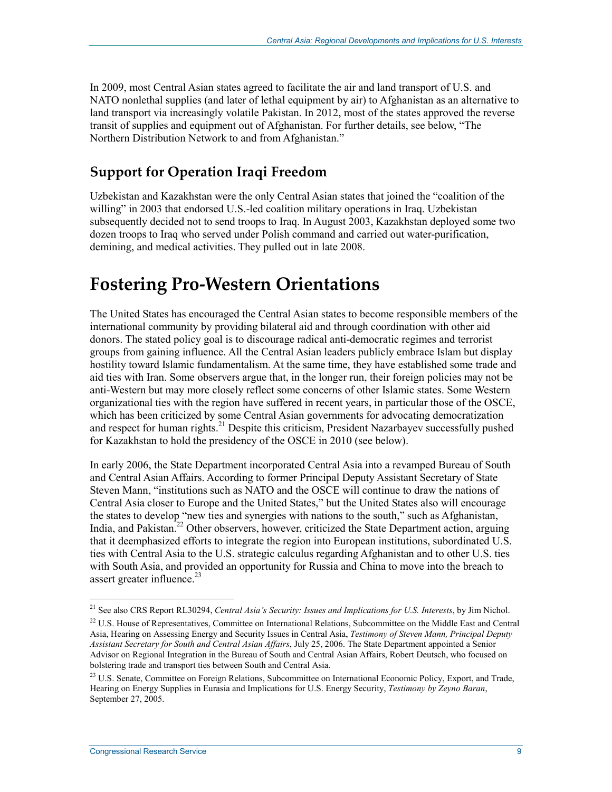In 2009, most Central Asian states agreed to facilitate the air and land transport of U.S. and NATO nonlethal supplies (and later of lethal equipment by air) to Afghanistan as an alternative to land transport via increasingly volatile Pakistan. In 2012, most of the states approved the reverse transit of supplies and equipment out of Afghanistan. For further details, see below, "The Northern Distribution Network to and from Afghanistan."

## **Support for Operation Iraqi Freedom**

Uzbekistan and Kazakhstan were the only Central Asian states that joined the "coalition of the willing" in 2003 that endorsed U.S.-led coalition military operations in Iraq. Uzbekistan subsequently decided not to send troops to Iraq. In August 2003, Kazakhstan deployed some two dozen troops to Iraq who served under Polish command and carried out water-purification, demining, and medical activities. They pulled out in late 2008.

## **Fostering Pro-Western Orientations**

The United States has encouraged the Central Asian states to become responsible members of the international community by providing bilateral aid and through coordination with other aid donors. The stated policy goal is to discourage radical anti-democratic regimes and terrorist groups from gaining influence. All the Central Asian leaders publicly embrace Islam but display hostility toward Islamic fundamentalism. At the same time, they have established some trade and aid ties with Iran. Some observers argue that, in the longer run, their foreign policies may not be anti-Western but may more closely reflect some concerns of other Islamic states. Some Western organizational ties with the region have suffered in recent years, in particular those of the OSCE, which has been criticized by some Central Asian governments for advocating democratization and respect for human rights.<sup>21</sup> Despite this criticism, President Nazarbayev successfully pushed for Kazakhstan to hold the presidency of the OSCE in 2010 (see below).

In early 2006, the State Department incorporated Central Asia into a revamped Bureau of South and Central Asian Affairs. According to former Principal Deputy Assistant Secretary of State Steven Mann, "institutions such as NATO and the OSCE will continue to draw the nations of Central Asia closer to Europe and the United States," but the United States also will encourage the states to develop "new ties and synergies with nations to the south," such as Afghanistan, India, and Pakistan.<sup>22</sup> Other observers, however, criticized the State Department action, arguing that it deemphasized efforts to integrate the region into European institutions, subordinated U.S. ties with Central Asia to the U.S. strategic calculus regarding Afghanistan and to other U.S. ties with South Asia, and provided an opportunity for Russia and China to move into the breach to assert greater influence.<sup>23</sup>

<sup>21</sup> See also CRS Report RL30294, *Central Asia's Security: Issues and Implications for U.S. Interests*, by Jim Nichol.

<sup>&</sup>lt;sup>22</sup> U.S. House of Representatives, Committee on International Relations, Subcommittee on the Middle East and Central Asia, Hearing on Assessing Energy and Security Issues in Central Asia, *Testimony of Steven Mann, Principal Deputy Assistant Secretary for South and Central Asian Affairs*, July 25, 2006. The State Department appointed a Senior Advisor on Regional Integration in the Bureau of South and Central Asian Affairs, Robert Deutsch, who focused on bolstering trade and transport ties between South and Central Asia.

<sup>&</sup>lt;sup>23</sup> U.S. Senate, Committee on Foreign Relations, Subcommittee on International Economic Policy, Export, and Trade, Hearing on Energy Supplies in Eurasia and Implications for U.S. Energy Security, *Testimony by Zeyno Baran*, September 27, 2005.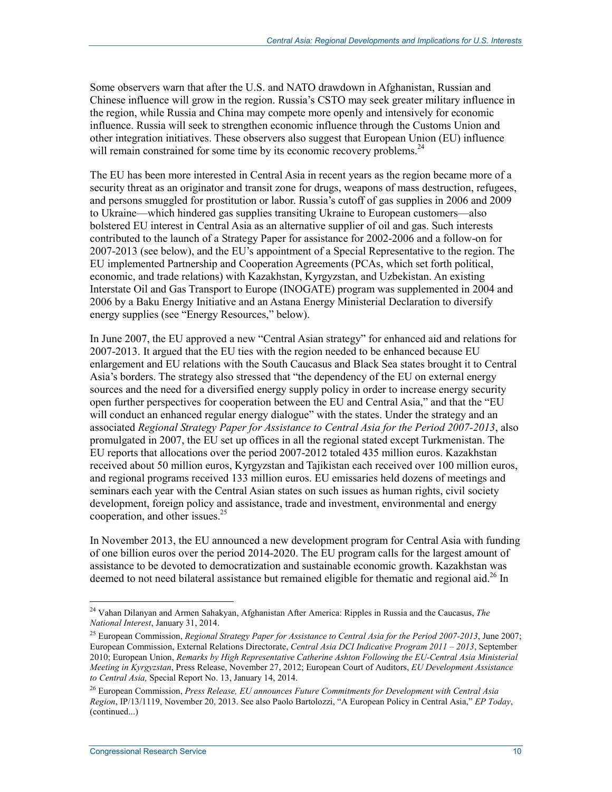Some observers warn that after the U.S. and NATO drawdown in Afghanistan, Russian and Chinese influence will grow in the region. Russia's CSTO may seek greater military influence in the region, while Russia and China may compete more openly and intensively for economic influence. Russia will seek to strengthen economic influence through the Customs Union and other integration initiatives. These observers also suggest that European Union (EU) influence will remain constrained for some time by its economic recovery problems.<sup>24</sup>

The EU has been more interested in Central Asia in recent years as the region became more of a security threat as an originator and transit zone for drugs, weapons of mass destruction, refugees, and persons smuggled for prostitution or labor. Russia's cutoff of gas supplies in 2006 and 2009 to Ukraine—which hindered gas supplies transiting Ukraine to European customers—also bolstered EU interest in Central Asia as an alternative supplier of oil and gas. Such interests contributed to the launch of a Strategy Paper for assistance for 2002-2006 and a follow-on for 2007-2013 (see below), and the EU's appointment of a Special Representative to the region. The EU implemented Partnership and Cooperation Agreements (PCAs, which set forth political, economic, and trade relations) with Kazakhstan, Kyrgyzstan, and Uzbekistan. An existing Interstate Oil and Gas Transport to Europe (INOGATE) program was supplemented in 2004 and 2006 by a Baku Energy Initiative and an Astana Energy Ministerial Declaration to diversify energy supplies (see "Energy Resources," below).

In June 2007, the EU approved a new "Central Asian strategy" for enhanced aid and relations for 2007-2013. It argued that the EU ties with the region needed to be enhanced because EU enlargement and EU relations with the South Caucasus and Black Sea states brought it to Central Asia's borders. The strategy also stressed that "the dependency of the EU on external energy sources and the need for a diversified energy supply policy in order to increase energy security open further perspectives for cooperation between the EU and Central Asia," and that the "EU will conduct an enhanced regular energy dialogue" with the states. Under the strategy and an associated *Regional Strategy Paper for Assistance to Central Asia for the Period 2007-2013*, also promulgated in 2007, the EU set up offices in all the regional stated except Turkmenistan. The EU reports that allocations over the period 2007-2012 totaled 435 million euros. Kazakhstan received about 50 million euros, Kyrgyzstan and Tajikistan each received over 100 million euros, and regional programs received 133 million euros. EU emissaries held dozens of meetings and seminars each year with the Central Asian states on such issues as human rights, civil society development, foreign policy and assistance, trade and investment, environmental and energy cooperation, and other issues.25

In November 2013, the EU announced a new development program for Central Asia with funding of one billion euros over the period 2014-2020. The EU program calls for the largest amount of assistance to be devoted to democratization and sustainable economic growth. Kazakhstan was deemed to not need bilateral assistance but remained eligible for thematic and regional aid.<sup>26</sup> In

<sup>24</sup> Vahan Dilanyan and Armen Sahakyan, Afghanistan After America: Ripples in Russia and the Caucasus, *The National Interest*, January 31, 2014.

<sup>25</sup> European Commission, *Regional Strategy Paper for Assistance to Central Asia for the Period 2007-2013*, June 2007; European Commission, External Relations Directorate, *Central Asia DCI Indicative Program 2011 – 2013*, September 2010; European Union, *Remarks by High Representative Catherine Ashton Following the EU-Central Asia Ministerial Meeting in Kyrgyzstan*, Press Release, November 27, 2012; European Court of Auditors, *EU Development Assistance to Central Asia,* Special Report No. 13, January 14, 2014.

<sup>26</sup> European Commission, *Press Release, EU announces Future Commitments for Development with Central Asia Region*, IP/13/1119, November 20, 2013. See also Paolo Bartolozzi, "A European Policy in Central Asia," *EP Today*, (continued...)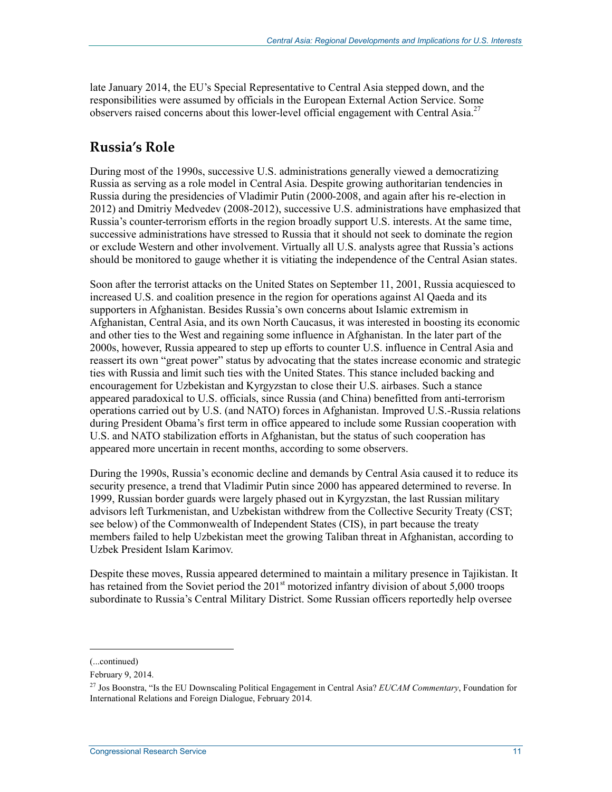late January 2014, the EU's Special Representative to Central Asia stepped down, and the responsibilities were assumed by officials in the European External Action Service. Some observers raised concerns about this lower-level official engagement with Central Asia.<sup>27</sup>

### **Russia's Role**

During most of the 1990s, successive U.S. administrations generally viewed a democratizing Russia as serving as a role model in Central Asia. Despite growing authoritarian tendencies in Russia during the presidencies of Vladimir Putin (2000-2008, and again after his re-election in 2012) and Dmitriy Medvedev (2008-2012), successive U.S. administrations have emphasized that Russia's counter-terrorism efforts in the region broadly support U.S. interests. At the same time, successive administrations have stressed to Russia that it should not seek to dominate the region or exclude Western and other involvement. Virtually all U.S. analysts agree that Russia's actions should be monitored to gauge whether it is vitiating the independence of the Central Asian states.

Soon after the terrorist attacks on the United States on September 11, 2001, Russia acquiesced to increased U.S. and coalition presence in the region for operations against Al Qaeda and its supporters in Afghanistan. Besides Russia's own concerns about Islamic extremism in Afghanistan, Central Asia, and its own North Caucasus, it was interested in boosting its economic and other ties to the West and regaining some influence in Afghanistan. In the later part of the 2000s, however, Russia appeared to step up efforts to counter U.S. influence in Central Asia and reassert its own "great power" status by advocating that the states increase economic and strategic ties with Russia and limit such ties with the United States. This stance included backing and encouragement for Uzbekistan and Kyrgyzstan to close their U.S. airbases. Such a stance appeared paradoxical to U.S. officials, since Russia (and China) benefitted from anti-terrorism operations carried out by U.S. (and NATO) forces in Afghanistan. Improved U.S.-Russia relations during President Obama's first term in office appeared to include some Russian cooperation with U.S. and NATO stabilization efforts in Afghanistan, but the status of such cooperation has appeared more uncertain in recent months, according to some observers.

During the 1990s, Russia's economic decline and demands by Central Asia caused it to reduce its security presence, a trend that Vladimir Putin since 2000 has appeared determined to reverse. In 1999, Russian border guards were largely phased out in Kyrgyzstan, the last Russian military advisors left Turkmenistan, and Uzbekistan withdrew from the Collective Security Treaty (CST; see below) of the Commonwealth of Independent States (CIS), in part because the treaty members failed to help Uzbekistan meet the growing Taliban threat in Afghanistan, according to Uzbek President Islam Karimov.

Despite these moves, Russia appeared determined to maintain a military presence in Tajikistan. It has retained from the Soviet period the 201<sup>st</sup> motorized infantry division of about 5,000 troops subordinate to Russia's Central Military District. Some Russian officers reportedly help oversee

<sup>(...</sup>continued)

February 9, 2014.

<sup>27</sup> Jos Boonstra, "Is the EU Downscaling Political Engagement in Central Asia? *EUCAM Commentary*, Foundation for International Relations and Foreign Dialogue, February 2014.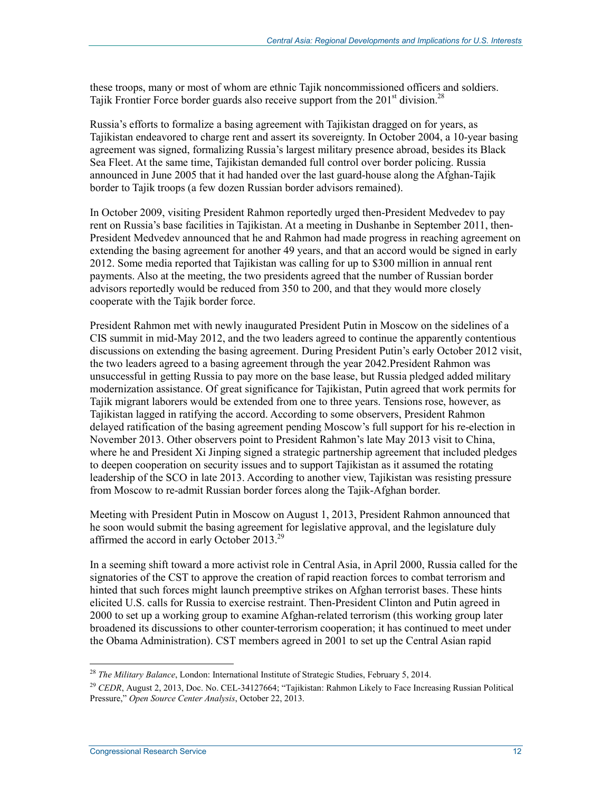these troops, many or most of whom are ethnic Tajik noncommissioned officers and soldiers. Tajik Frontier Force border guards also receive support from the  $201<sup>st</sup>$  division.<sup>28</sup>

Russia's efforts to formalize a basing agreement with Tajikistan dragged on for years, as Tajikistan endeavored to charge rent and assert its sovereignty. In October 2004, a 10-year basing agreement was signed, formalizing Russia's largest military presence abroad, besides its Black Sea Fleet. At the same time, Tajikistan demanded full control over border policing. Russia announced in June 2005 that it had handed over the last guard-house along the Afghan-Tajik border to Tajik troops (a few dozen Russian border advisors remained).

In October 2009, visiting President Rahmon reportedly urged then-President Medvedev to pay rent on Russia's base facilities in Tajikistan. At a meeting in Dushanbe in September 2011, then-President Medvedev announced that he and Rahmon had made progress in reaching agreement on extending the basing agreement for another 49 years, and that an accord would be signed in early 2012. Some media reported that Tajikistan was calling for up to \$300 million in annual rent payments. Also at the meeting, the two presidents agreed that the number of Russian border advisors reportedly would be reduced from 350 to 200, and that they would more closely cooperate with the Tajik border force.

President Rahmon met with newly inaugurated President Putin in Moscow on the sidelines of a CIS summit in mid-May 2012, and the two leaders agreed to continue the apparently contentious discussions on extending the basing agreement. During President Putin's early October 2012 visit, the two leaders agreed to a basing agreement through the year 2042.President Rahmon was unsuccessful in getting Russia to pay more on the base lease, but Russia pledged added military modernization assistance. Of great significance for Tajikistan, Putin agreed that work permits for Tajik migrant laborers would be extended from one to three years. Tensions rose, however, as Tajikistan lagged in ratifying the accord. According to some observers, President Rahmon delayed ratification of the basing agreement pending Moscow's full support for his re-election in November 2013. Other observers point to President Rahmon's late May 2013 visit to China, where he and President Xi Jinping signed a strategic partnership agreement that included pledges to deepen cooperation on security issues and to support Tajikistan as it assumed the rotating leadership of the SCO in late 2013. According to another view, Tajikistan was resisting pressure from Moscow to re-admit Russian border forces along the Tajik-Afghan border.

Meeting with President Putin in Moscow on August 1, 2013, President Rahmon announced that he soon would submit the basing agreement for legislative approval, and the legislature duly affirmed the accord in early October 2013.<sup>29</sup>

In a seeming shift toward a more activist role in Central Asia, in April 2000, Russia called for the signatories of the CST to approve the creation of rapid reaction forces to combat terrorism and hinted that such forces might launch preemptive strikes on Afghan terrorist bases. These hints elicited U.S. calls for Russia to exercise restraint. Then-President Clinton and Putin agreed in 2000 to set up a working group to examine Afghan-related terrorism (this working group later broadened its discussions to other counter-terrorism cooperation; it has continued to meet under the Obama Administration). CST members agreed in 2001 to set up the Central Asian rapid

<sup>28</sup> *The Military Balance*, London: International Institute of Strategic Studies, February 5, 2014.

<sup>&</sup>lt;sup>29</sup> *CEDR*, August 2, 2013, Doc. No. CEL-34127664; "Tajikistan: Rahmon Likely to Face Increasing Russian Political Pressure," *Open Source Center Analysis*, October 22, 2013.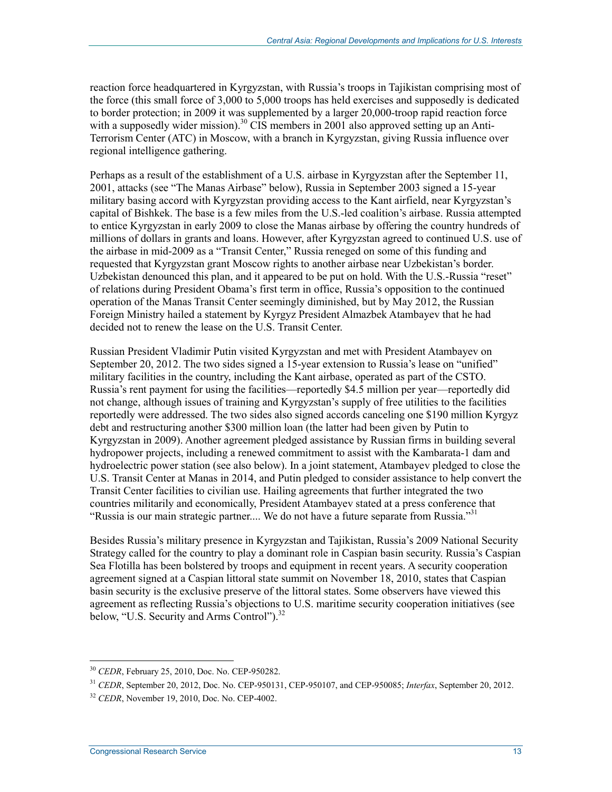reaction force headquartered in Kyrgyzstan, with Russia's troops in Tajikistan comprising most of the force (this small force of 3,000 to 5,000 troops has held exercises and supposedly is dedicated to border protection; in 2009 it was supplemented by a larger 20,000-troop rapid reaction force with a supposedly wider mission).<sup>30</sup> CIS members in 2001 also approved setting up an Anti-Terrorism Center (ATC) in Moscow, with a branch in Kyrgyzstan, giving Russia influence over regional intelligence gathering.

Perhaps as a result of the establishment of a U.S. airbase in Kyrgyzstan after the September 11, 2001, attacks (see "The Manas Airbase" below), Russia in September 2003 signed a 15-year military basing accord with Kyrgyzstan providing access to the Kant airfield, near Kyrgyzstan's capital of Bishkek. The base is a few miles from the U.S.-led coalition's airbase. Russia attempted to entice Kyrgyzstan in early 2009 to close the Manas airbase by offering the country hundreds of millions of dollars in grants and loans. However, after Kyrgyzstan agreed to continued U.S. use of the airbase in mid-2009 as a "Transit Center," Russia reneged on some of this funding and requested that Kyrgyzstan grant Moscow rights to another airbase near Uzbekistan's border. Uzbekistan denounced this plan, and it appeared to be put on hold. With the U.S.-Russia "reset" of relations during President Obama's first term in office, Russia's opposition to the continued operation of the Manas Transit Center seemingly diminished, but by May 2012, the Russian Foreign Ministry hailed a statement by Kyrgyz President Almazbek Atambayev that he had decided not to renew the lease on the U.S. Transit Center.

Russian President Vladimir Putin visited Kyrgyzstan and met with President Atambayev on September 20, 2012. The two sides signed a 15-year extension to Russia's lease on "unified" military facilities in the country, including the Kant airbase, operated as part of the CSTO. Russia's rent payment for using the facilities—reportedly \$4.5 million per year—reportedly did not change, although issues of training and Kyrgyzstan's supply of free utilities to the facilities reportedly were addressed. The two sides also signed accords canceling one \$190 million Kyrgyz debt and restructuring another \$300 million loan (the latter had been given by Putin to Kyrgyzstan in 2009). Another agreement pledged assistance by Russian firms in building several hydropower projects, including a renewed commitment to assist with the Kambarata-1 dam and hydroelectric power station (see also below). In a joint statement, Atambayev pledged to close the U.S. Transit Center at Manas in 2014, and Putin pledged to consider assistance to help convert the Transit Center facilities to civilian use. Hailing agreements that further integrated the two countries militarily and economically, President Atambayev stated at a press conference that "Russia is our main strategic partner.... We do not have a future separate from Russia."<sup>31</sup>

Besides Russia's military presence in Kyrgyzstan and Tajikistan, Russia's 2009 National Security Strategy called for the country to play a dominant role in Caspian basin security. Russia's Caspian Sea Flotilla has been bolstered by troops and equipment in recent years. A security cooperation agreement signed at a Caspian littoral state summit on November 18, 2010, states that Caspian basin security is the exclusive preserve of the littoral states. Some observers have viewed this agreement as reflecting Russia's objections to U.S. maritime security cooperation initiatives (see below, "U.S. Security and Arms Control").<sup>32</sup>

<sup>30</sup> *CEDR*, February 25, 2010, Doc. No. CEP-950282.

<sup>31</sup> *CEDR*, September 20, 2012, Doc. No. CEP-950131, CEP-950107, and CEP-950085; *Interfax*, September 20, 2012.

<sup>32</sup> *CEDR*, November 19, 2010, Doc. No. CEP-4002.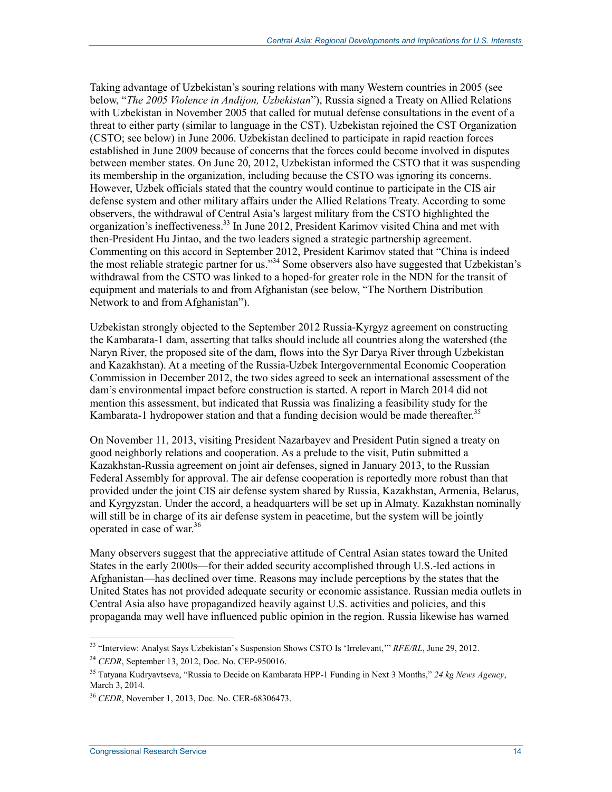Taking advantage of Uzbekistan's souring relations with many Western countries in 2005 (see below, "*The 2005 Violence in Andijon, Uzbekistan*"), Russia signed a Treaty on Allied Relations with Uzbekistan in November 2005 that called for mutual defense consultations in the event of a threat to either party (similar to language in the CST). Uzbekistan rejoined the CST Organization (CSTO; see below) in June 2006. Uzbekistan declined to participate in rapid reaction forces established in June 2009 because of concerns that the forces could become involved in disputes between member states. On June 20, 2012, Uzbekistan informed the CSTO that it was suspending its membership in the organization, including because the CSTO was ignoring its concerns. However, Uzbek officials stated that the country would continue to participate in the CIS air defense system and other military affairs under the Allied Relations Treaty. According to some observers, the withdrawal of Central Asia's largest military from the CSTO highlighted the organization's ineffectiveness.<sup>33</sup> In June 2012, President Karimov visited China and met with then-President Hu Jintao, and the two leaders signed a strategic partnership agreement. Commenting on this accord in September 2012, President Karimov stated that "China is indeed the most reliable strategic partner for us."34 Some observers also have suggested that Uzbekistan's withdrawal from the CSTO was linked to a hoped-for greater role in the NDN for the transit of equipment and materials to and from Afghanistan (see below, "The Northern Distribution Network to and from Afghanistan").

Uzbekistan strongly objected to the September 2012 Russia-Kyrgyz agreement on constructing the Kambarata-1 dam, asserting that talks should include all countries along the watershed (the Naryn River, the proposed site of the dam, flows into the Syr Darya River through Uzbekistan and Kazakhstan). At a meeting of the Russia-Uzbek Intergovernmental Economic Cooperation Commission in December 2012, the two sides agreed to seek an international assessment of the dam's environmental impact before construction is started. A report in March 2014 did not mention this assessment, but indicated that Russia was finalizing a feasibility study for the Kambarata-1 hydropower station and that a funding decision would be made thereafter.<sup>35</sup>

On November 11, 2013, visiting President Nazarbayev and President Putin signed a treaty on good neighborly relations and cooperation. As a prelude to the visit, Putin submitted a Kazakhstan-Russia agreement on joint air defenses, signed in January 2013, to the Russian Federal Assembly for approval. The air defense cooperation is reportedly more robust than that provided under the joint CIS air defense system shared by Russia, Kazakhstan, Armenia, Belarus, and Kyrgyzstan. Under the accord, a headquarters will be set up in Almaty. Kazakhstan nominally will still be in charge of its air defense system in peacetime, but the system will be jointly operated in case of war.36

Many observers suggest that the appreciative attitude of Central Asian states toward the United States in the early 2000s—for their added security accomplished through U.S.-led actions in Afghanistan—has declined over time. Reasons may include perceptions by the states that the United States has not provided adequate security or economic assistance. Russian media outlets in Central Asia also have propagandized heavily against U.S. activities and policies, and this propaganda may well have influenced public opinion in the region. Russia likewise has warned

<sup>33 &</sup>quot;Interview: Analyst Says Uzbekistan's Suspension Shows CSTO Is 'Irrelevant,'" *RFE/RL*, June 29, 2012.

<sup>34</sup> *CEDR*, September 13, 2012, Doc. No. CEP-950016.

<sup>35</sup> Tatyana Kudryavtseva, "Russia to Decide on Kambarata HPP-1 Funding in Next 3 Months," *24.kg News Agency*, March 3, 2014.

<sup>36</sup> *CEDR*, November 1, 2013, Doc. No. CER-68306473.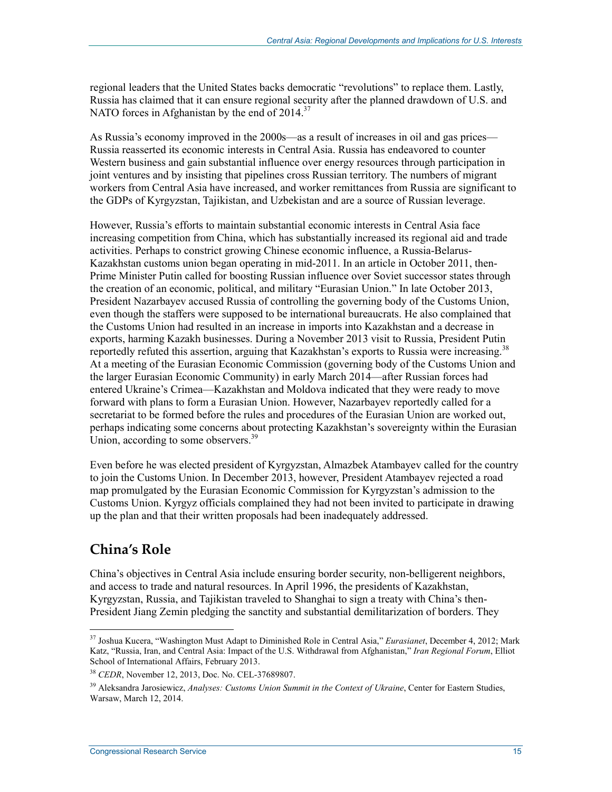regional leaders that the United States backs democratic "revolutions" to replace them. Lastly, Russia has claimed that it can ensure regional security after the planned drawdown of U.S. and NATO forces in Afghanistan by the end of  $2014$ <sup>37</sup>

As Russia's economy improved in the 2000s—as a result of increases in oil and gas prices— Russia reasserted its economic interests in Central Asia. Russia has endeavored to counter Western business and gain substantial influence over energy resources through participation in joint ventures and by insisting that pipelines cross Russian territory. The numbers of migrant workers from Central Asia have increased, and worker remittances from Russia are significant to the GDPs of Kyrgyzstan, Tajikistan, and Uzbekistan and are a source of Russian leverage.

However, Russia's efforts to maintain substantial economic interests in Central Asia face increasing competition from China, which has substantially increased its regional aid and trade activities. Perhaps to constrict growing Chinese economic influence, a Russia-Belarus-Kazakhstan customs union began operating in mid-2011. In an article in October 2011, then-Prime Minister Putin called for boosting Russian influence over Soviet successor states through the creation of an economic, political, and military "Eurasian Union." In late October 2013, President Nazarbayev accused Russia of controlling the governing body of the Customs Union, even though the staffers were supposed to be international bureaucrats. He also complained that the Customs Union had resulted in an increase in imports into Kazakhstan and a decrease in exports, harming Kazakh businesses. During a November 2013 visit to Russia, President Putin reportedly refuted this assertion, arguing that Kazakhstan's exports to Russia were increasing.<sup>38</sup> At a meeting of the Eurasian Economic Commission (governing body of the Customs Union and the larger Eurasian Economic Community) in early March 2014—after Russian forces had entered Ukraine's Crimea—Kazakhstan and Moldova indicated that they were ready to move forward with plans to form a Eurasian Union. However, Nazarbayev reportedly called for a secretariat to be formed before the rules and procedures of the Eurasian Union are worked out, perhaps indicating some concerns about protecting Kazakhstan's sovereignty within the Eurasian Union, according to some observers.<sup>39</sup>

Even before he was elected president of Kyrgyzstan, Almazbek Atambayev called for the country to join the Customs Union. In December 2013, however, President Atambayev rejected a road map promulgated by the Eurasian Economic Commission for Kyrgyzstan's admission to the Customs Union. Kyrgyz officials complained they had not been invited to participate in drawing up the plan and that their written proposals had been inadequately addressed.

### **China's Role**

1

China's objectives in Central Asia include ensuring border security, non-belligerent neighbors, and access to trade and natural resources. In April 1996, the presidents of Kazakhstan, Kyrgyzstan, Russia, and Tajikistan traveled to Shanghai to sign a treaty with China's then-President Jiang Zemin pledging the sanctity and substantial demilitarization of borders. They

<sup>37</sup> Joshua Kucera, "Washington Must Adapt to Diminished Role in Central Asia," *Eurasianet*, December 4, 2012; Mark Katz, "Russia, Iran, and Central Asia: Impact of the U.S. Withdrawal from Afghanistan," *Iran Regional Forum*, Elliot School of International Affairs, February 2013.

<sup>38</sup> *CEDR*, November 12, 2013, Doc. No. CEL-37689807.

<sup>&</sup>lt;sup>39</sup> Aleksandra Jarosiewicz, Analyses: Customs Union Summit in the Context of Ukraine, Center for Eastern Studies, Warsaw, March 12, 2014.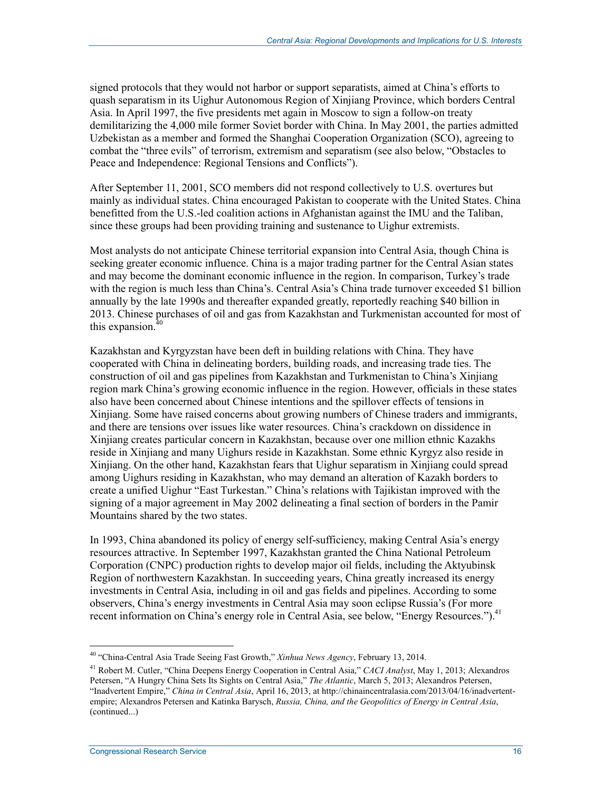signed protocols that they would not harbor or support separatists, aimed at China's efforts to quash separatism in its Uighur Autonomous Region of Xinjiang Province, which borders Central Asia. In April 1997, the five presidents met again in Moscow to sign a follow-on treaty demilitarizing the 4,000 mile former Soviet border with China. In May 2001, the parties admitted Uzbekistan as a member and formed the Shanghai Cooperation Organization (SCO), agreeing to combat the "three evils" of terrorism, extremism and separatism (see also below, "Obstacles to Peace and Independence: Regional Tensions and Conflicts").

After September 11, 2001, SCO members did not respond collectively to U.S. overtures but mainly as individual states. China encouraged Pakistan to cooperate with the United States. China benefitted from the U.S.-led coalition actions in Afghanistan against the IMU and the Taliban, since these groups had been providing training and sustenance to Uighur extremists.

Most analysts do not anticipate Chinese territorial expansion into Central Asia, though China is seeking greater economic influence. China is a major trading partner for the Central Asian states and may become the dominant economic influence in the region. In comparison, Turkey's trade with the region is much less than China's. Central Asia's China trade turnover exceeded \$1 billion annually by the late 1990s and thereafter expanded greatly, reportedly reaching \$40 billion in 2013. Chinese purchases of oil and gas from Kazakhstan and Turkmenistan accounted for most of this expansion. $40$ 

Kazakhstan and Kyrgyzstan have been deft in building relations with China. They have cooperated with China in delineating borders, building roads, and increasing trade ties. The construction of oil and gas pipelines from Kazakhstan and Turkmenistan to China's Xinjiang region mark China's growing economic influence in the region. However, officials in these states also have been concerned about Chinese intentions and the spillover effects of tensions in Xinjiang. Some have raised concerns about growing numbers of Chinese traders and immigrants, and there are tensions over issues like water resources. China's crackdown on dissidence in Xinjiang creates particular concern in Kazakhstan, because over one million ethnic Kazakhs reside in Xinjiang and many Uighurs reside in Kazakhstan. Some ethnic Kyrgyz also reside in Xinjiang. On the other hand, Kazakhstan fears that Uighur separatism in Xinjiang could spread among Uighurs residing in Kazakhstan, who may demand an alteration of Kazakh borders to create a unified Uighur "East Turkestan." China's relations with Tajikistan improved with the signing of a major agreement in May 2002 delineating a final section of borders in the Pamir Mountains shared by the two states.

In 1993, China abandoned its policy of energy self-sufficiency, making Central Asia's energy resources attractive. In September 1997, Kazakhstan granted the China National Petroleum Corporation (CNPC) production rights to develop major oil fields, including the Aktyubinsk Region of northwestern Kazakhstan. In succeeding years, China greatly increased its energy investments in Central Asia, including in oil and gas fields and pipelines. According to some observers, China's energy investments in Central Asia may soon eclipse Russia's (For more recent information on China's energy role in Central Asia, see below, "Energy Resources.").<sup>41</sup>

<sup>40</sup> "China-Central Asia Trade Seeing Fast Growth," *Xinhua News Agency*, February 13, 2014.

<sup>41</sup> Robert M. Cutler, "China Deepens Energy Cooperation in Central Asia," *CACI Analyst*, May 1, 2013; Alexandros Petersen, "A Hungry China Sets Its Sights on Central Asia," *The Atlantic*, March 5, 2013; Alexandros Petersen, "Inadvertent Empire," *China in Central Asia*, April 16, 2013, at http://chinaincentralasia.com/2013/04/16/inadvertentempire; Alexandros Petersen and Katinka Barysch, *Russia, China, and the Geopolitics of Energy in Central Asia*, (continued...)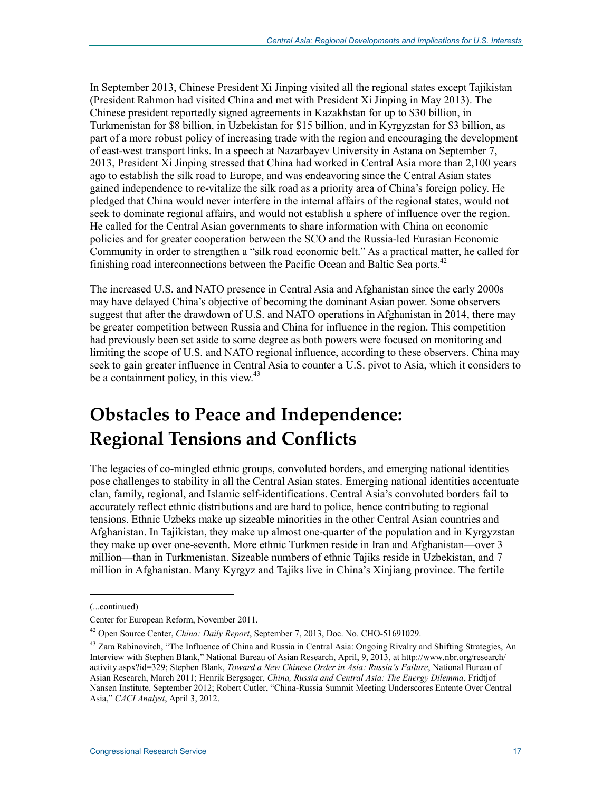In September 2013, Chinese President Xi Jinping visited all the regional states except Tajikistan (President Rahmon had visited China and met with President Xi Jinping in May 2013). The Chinese president reportedly signed agreements in Kazakhstan for up to \$30 billion, in Turkmenistan for \$8 billion, in Uzbekistan for \$15 billion, and in Kyrgyzstan for \$3 billion, as part of a more robust policy of increasing trade with the region and encouraging the development of east-west transport links. In a speech at Nazarbayev University in Astana on September 7, 2013, President Xi Jinping stressed that China had worked in Central Asia more than 2,100 years ago to establish the silk road to Europe, and was endeavoring since the Central Asian states gained independence to re-vitalize the silk road as a priority area of China's foreign policy. He pledged that China would never interfere in the internal affairs of the regional states, would not seek to dominate regional affairs, and would not establish a sphere of influence over the region. He called for the Central Asian governments to share information with China on economic policies and for greater cooperation between the SCO and the Russia-led Eurasian Economic Community in order to strengthen a "silk road economic belt." As a practical matter, he called for finishing road interconnections between the Pacific Ocean and Baltic Sea ports.<sup>42</sup>

The increased U.S. and NATO presence in Central Asia and Afghanistan since the early 2000s may have delayed China's objective of becoming the dominant Asian power. Some observers suggest that after the drawdown of U.S. and NATO operations in Afghanistan in 2014, there may be greater competition between Russia and China for influence in the region. This competition had previously been set aside to some degree as both powers were focused on monitoring and limiting the scope of U.S. and NATO regional influence, according to these observers. China may seek to gain greater influence in Central Asia to counter a U.S. pivot to Asia, which it considers to be a containment policy, in this view. $43$ 

## **Obstacles to Peace and Independence: Regional Tensions and Conflicts**

The legacies of co-mingled ethnic groups, convoluted borders, and emerging national identities pose challenges to stability in all the Central Asian states. Emerging national identities accentuate clan, family, regional, and Islamic self-identifications. Central Asia's convoluted borders fail to accurately reflect ethnic distributions and are hard to police, hence contributing to regional tensions. Ethnic Uzbeks make up sizeable minorities in the other Central Asian countries and Afghanistan. In Tajikistan, they make up almost one-quarter of the population and in Kyrgyzstan they make up over one-seventh. More ethnic Turkmen reside in Iran and Afghanistan—over 3 million—than in Turkmenistan. Sizeable numbers of ethnic Tajiks reside in Uzbekistan, and 7 million in Afghanistan. Many Kyrgyz and Tajiks live in China's Xinjiang province. The fertile

 $\overline{a}$ 

<sup>(...</sup>continued)

Center for European Reform, November 2011.

<sup>42</sup> Open Source Center, *China: Daily Report*, September 7, 2013, Doc. No. CHO-51691029.

<sup>&</sup>lt;sup>43</sup> Zara Rabinovitch, "The Influence of China and Russia in Central Asia: Ongoing Rivalry and Shifting Strategies, An Interview with Stephen Blank," National Bureau of Asian Research, April, 9, 2013, at http://www.nbr.org/research/ activity.aspx?id=329; Stephen Blank, *Toward a New Chinese Order in Asia: Russia's Failure*, National Bureau of Asian Research, March 2011; Henrik Bergsager, *China, Russia and Central Asia: The Energy Dilemma*, Fridtjof Nansen Institute, September 2012; Robert Cutler, "China-Russia Summit Meeting Underscores Entente Over Central Asia," *CACI Analyst*, April 3, 2012.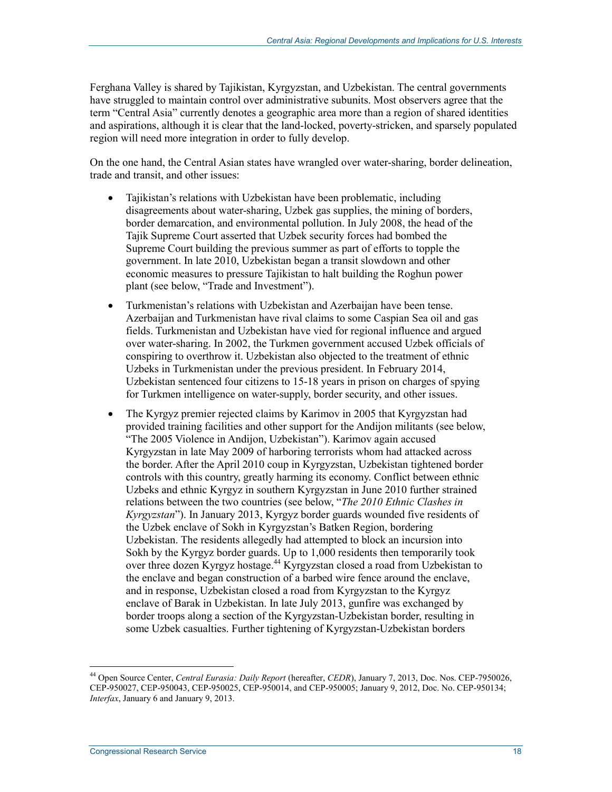Ferghana Valley is shared by Tajikistan, Kyrgyzstan, and Uzbekistan. The central governments have struggled to maintain control over administrative subunits. Most observers agree that the term "Central Asia" currently denotes a geographic area more than a region of shared identities and aspirations, although it is clear that the land-locked, poverty-stricken, and sparsely populated region will need more integration in order to fully develop.

On the one hand, the Central Asian states have wrangled over water-sharing, border delineation, trade and transit, and other issues:

- Tajikistan's relations with Uzbekistan have been problematic, including disagreements about water-sharing, Uzbek gas supplies, the mining of borders, border demarcation, and environmental pollution. In July 2008, the head of the Tajik Supreme Court asserted that Uzbek security forces had bombed the Supreme Court building the previous summer as part of efforts to topple the government. In late 2010, Uzbekistan began a transit slowdown and other economic measures to pressure Tajikistan to halt building the Roghun power plant (see below, "Trade and Investment").
- Turkmenistan's relations with Uzbekistan and Azerbaijan have been tense. Azerbaijan and Turkmenistan have rival claims to some Caspian Sea oil and gas fields. Turkmenistan and Uzbekistan have vied for regional influence and argued over water-sharing. In 2002, the Turkmen government accused Uzbek officials of conspiring to overthrow it. Uzbekistan also objected to the treatment of ethnic Uzbeks in Turkmenistan under the previous president. In February 2014, Uzbekistan sentenced four citizens to 15-18 years in prison on charges of spying for Turkmen intelligence on water-supply, border security, and other issues.
- The Kyrgyz premier rejected claims by Karimov in 2005 that Kyrgyzstan had provided training facilities and other support for the Andijon militants (see below, "The 2005 Violence in Andijon, Uzbekistan"). Karimov again accused Kyrgyzstan in late May 2009 of harboring terrorists whom had attacked across the border. After the April 2010 coup in Kyrgyzstan, Uzbekistan tightened border controls with this country, greatly harming its economy. Conflict between ethnic Uzbeks and ethnic Kyrgyz in southern Kyrgyzstan in June 2010 further strained relations between the two countries (see below, "*The 2010 Ethnic Clashes in Kyrgyzstan*"). In January 2013, Kyrgyz border guards wounded five residents of the Uzbek enclave of Sokh in Kyrgyzstan's Batken Region, bordering Uzbekistan. The residents allegedly had attempted to block an incursion into Sokh by the Kyrgyz border guards. Up to 1,000 residents then temporarily took over three dozen Kyrgyz hostage.44 Kyrgyzstan closed a road from Uzbekistan to the enclave and began construction of a barbed wire fence around the enclave, and in response, Uzbekistan closed a road from Kyrgyzstan to the Kyrgyz enclave of Barak in Uzbekistan. In late July 2013, gunfire was exchanged by border troops along a section of the Kyrgyzstan-Uzbekistan border, resulting in some Uzbek casualties. Further tightening of Kyrgyzstan-Uzbekistan borders

<sup>44</sup> Open Source Center, *Central Eurasia: Daily Report* (hereafter, *CEDR*), January 7, 2013, Doc. Nos. CEP-7950026, CEP-950027, CEP-950043, CEP-950025, CEP-950014, and CEP-950005; January 9, 2012, Doc. No. CEP-950134; *Interfax*, January 6 and January 9, 2013.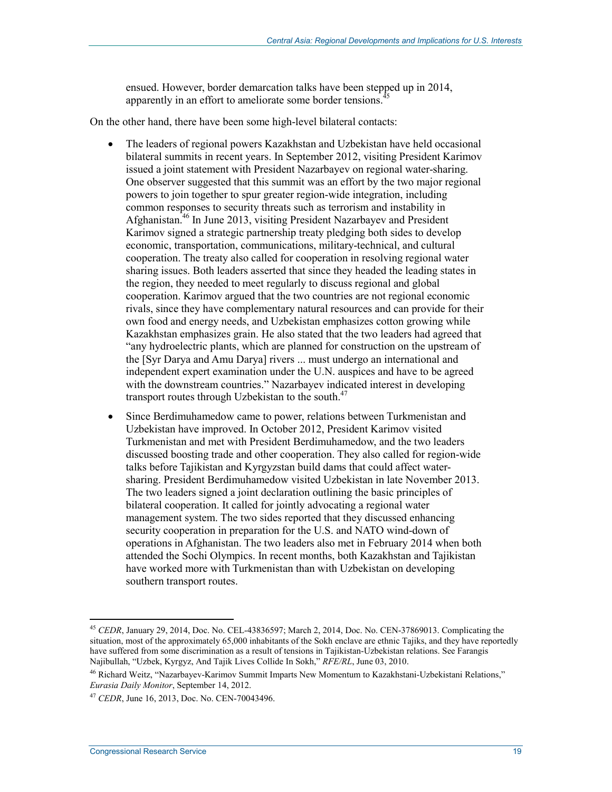ensued. However, border demarcation talks have been stepped up in 2014, apparently in an effort to ameliorate some border tensions.<sup>4</sup>

On the other hand, there have been some high-level bilateral contacts:

- The leaders of regional powers Kazakhstan and Uzbekistan have held occasional bilateral summits in recent years. In September 2012, visiting President Karimov issued a joint statement with President Nazarbayev on regional water-sharing. One observer suggested that this summit was an effort by the two major regional powers to join together to spur greater region-wide integration, including common responses to security threats such as terrorism and instability in Afghanistan.<sup>46</sup> In June 2013, visiting President Nazarbayev and President Karimov signed a strategic partnership treaty pledging both sides to develop economic, transportation, communications, military-technical, and cultural cooperation. The treaty also called for cooperation in resolving regional water sharing issues. Both leaders asserted that since they headed the leading states in the region, they needed to meet regularly to discuss regional and global cooperation. Karimov argued that the two countries are not regional economic rivals, since they have complementary natural resources and can provide for their own food and energy needs, and Uzbekistan emphasizes cotton growing while Kazakhstan emphasizes grain. He also stated that the two leaders had agreed that "any hydroelectric plants, which are planned for construction on the upstream of the [Syr Darya and Amu Darya] rivers ... must undergo an international and independent expert examination under the U.N. auspices and have to be agreed with the downstream countries." Nazarbayev indicated interest in developing transport routes through Uzbekistan to the south.<sup>47</sup>
- Since Berdimuhamedow came to power, relations between Turkmenistan and Uzbekistan have improved. In October 2012, President Karimov visited Turkmenistan and met with President Berdimuhamedow, and the two leaders discussed boosting trade and other cooperation. They also called for region-wide talks before Tajikistan and Kyrgyzstan build dams that could affect watersharing. President Berdimuhamedow visited Uzbekistan in late November 2013. The two leaders signed a joint declaration outlining the basic principles of bilateral cooperation. It called for jointly advocating a regional water management system. The two sides reported that they discussed enhancing security cooperation in preparation for the U.S. and NATO wind-down of operations in Afghanistan. The two leaders also met in February 2014 when both attended the Sochi Olympics. In recent months, both Kazakhstan and Tajikistan have worked more with Turkmenistan than with Uzbekistan on developing southern transport routes.

<sup>45</sup> *CEDR*, January 29, 2014, Doc. No. CEL-43836597; March 2, 2014, Doc. No. CEN-37869013. Complicating the situation, most of the approximately 65,000 inhabitants of the Sokh enclave are ethnic Tajiks, and they have reportedly have suffered from some discrimination as a result of tensions in Tajikistan-Uzbekistan relations. See Farangis Najibullah, "Uzbek, Kyrgyz, And Tajik Lives Collide In Sokh," *RFE/RL*, June 03, 2010.

<sup>46</sup> Richard Weitz, "Nazarbayev-Karimov Summit Imparts New Momentum to Kazakhstani-Uzbekistani Relations," *Eurasia Daily Monitor*, September 14, 2012.

<sup>47</sup> *CEDR*, June 16, 2013, Doc. No. CEN-70043496.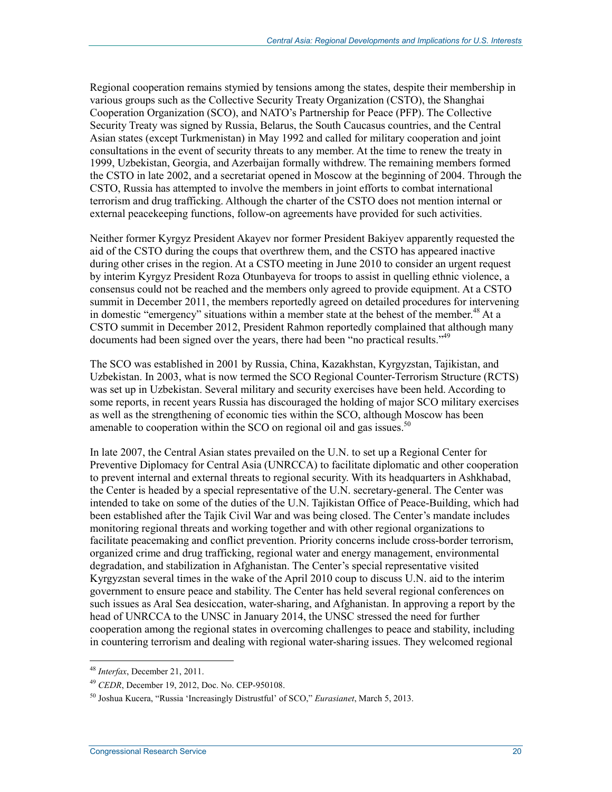Regional cooperation remains stymied by tensions among the states, despite their membership in various groups such as the Collective Security Treaty Organization (CSTO), the Shanghai Cooperation Organization (SCO), and NATO's Partnership for Peace (PFP). The Collective Security Treaty was signed by Russia, Belarus, the South Caucasus countries, and the Central Asian states (except Turkmenistan) in May 1992 and called for military cooperation and joint consultations in the event of security threats to any member. At the time to renew the treaty in 1999, Uzbekistan, Georgia, and Azerbaijan formally withdrew. The remaining members formed the CSTO in late 2002, and a secretariat opened in Moscow at the beginning of 2004. Through the CSTO, Russia has attempted to involve the members in joint efforts to combat international terrorism and drug trafficking. Although the charter of the CSTO does not mention internal or external peacekeeping functions, follow-on agreements have provided for such activities.

Neither former Kyrgyz President Akayev nor former President Bakiyev apparently requested the aid of the CSTO during the coups that overthrew them, and the CSTO has appeared inactive during other crises in the region. At a CSTO meeting in June 2010 to consider an urgent request by interim Kyrgyz President Roza Otunbayeva for troops to assist in quelling ethnic violence, a consensus could not be reached and the members only agreed to provide equipment. At a CSTO summit in December 2011, the members reportedly agreed on detailed procedures for intervening in domestic "emergency" situations within a member state at the behest of the member.<sup>48</sup> At a CSTO summit in December 2012, President Rahmon reportedly complained that although many documents had been signed over the years, there had been "no practical results."<sup>49</sup>

The SCO was established in 2001 by Russia, China, Kazakhstan, Kyrgyzstan, Tajikistan, and Uzbekistan. In 2003, what is now termed the SCO Regional Counter-Terrorism Structure (RCTS) was set up in Uzbekistan. Several military and security exercises have been held. According to some reports, in recent years Russia has discouraged the holding of major SCO military exercises as well as the strengthening of economic ties within the SCO, although Moscow has been amenable to cooperation within the SCO on regional oil and gas issues.<sup>50</sup>

In late 2007, the Central Asian states prevailed on the U.N. to set up a Regional Center for Preventive Diplomacy for Central Asia (UNRCCA) to facilitate diplomatic and other cooperation to prevent internal and external threats to regional security. With its headquarters in Ashkhabad, the Center is headed by a special representative of the U.N. secretary-general. The Center was intended to take on some of the duties of the U.N. Tajikistan Office of Peace-Building, which had been established after the Tajik Civil War and was being closed. The Center's mandate includes monitoring regional threats and working together and with other regional organizations to facilitate peacemaking and conflict prevention. Priority concerns include cross-border terrorism, organized crime and drug trafficking, regional water and energy management, environmental degradation, and stabilization in Afghanistan. The Center's special representative visited Kyrgyzstan several times in the wake of the April 2010 coup to discuss U.N. aid to the interim government to ensure peace and stability. The Center has held several regional conferences on such issues as Aral Sea desiccation, water-sharing, and Afghanistan. In approving a report by the head of UNRCCA to the UNSC in January 2014, the UNSC stressed the need for further cooperation among the regional states in overcoming challenges to peace and stability, including in countering terrorism and dealing with regional water-sharing issues. They welcomed regional

<sup>48</sup> *Interfax*, December 21, 2011.

<sup>49</sup> *CEDR*, December 19, 2012, Doc. No. CEP-950108.

<sup>50</sup> Joshua Kucera, "Russia 'Increasingly Distrustful' of SCO," *Eurasianet*, March 5, 2013.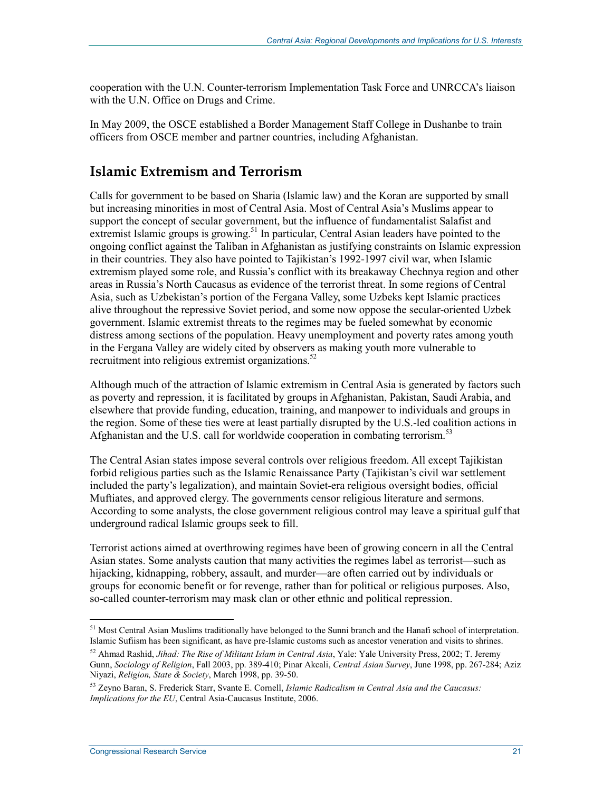cooperation with the U.N. Counter-terrorism Implementation Task Force and UNRCCA's liaison with the U.N. Office on Drugs and Crime.

In May 2009, the OSCE established a Border Management Staff College in Dushanbe to train officers from OSCE member and partner countries, including Afghanistan.

### **Islamic Extremism and Terrorism**

Calls for government to be based on Sharia (Islamic law) and the Koran are supported by small but increasing minorities in most of Central Asia. Most of Central Asia's Muslims appear to support the concept of secular government, but the influence of fundamentalist Salafist and extremist Islamic groups is growing.<sup>51</sup> In particular, Central Asian leaders have pointed to the ongoing conflict against the Taliban in Afghanistan as justifying constraints on Islamic expression in their countries. They also have pointed to Tajikistan's 1992-1997 civil war, when Islamic extremism played some role, and Russia's conflict with its breakaway Chechnya region and other areas in Russia's North Caucasus as evidence of the terrorist threat. In some regions of Central Asia, such as Uzbekistan's portion of the Fergana Valley, some Uzbeks kept Islamic practices alive throughout the repressive Soviet period, and some now oppose the secular-oriented Uzbek government. Islamic extremist threats to the regimes may be fueled somewhat by economic distress among sections of the population. Heavy unemployment and poverty rates among youth in the Fergana Valley are widely cited by observers as making youth more vulnerable to recruitment into religious extremist organizations.<sup>52</sup>

Although much of the attraction of Islamic extremism in Central Asia is generated by factors such as poverty and repression, it is facilitated by groups in Afghanistan, Pakistan, Saudi Arabia, and elsewhere that provide funding, education, training, and manpower to individuals and groups in the region. Some of these ties were at least partially disrupted by the U.S.-led coalition actions in Afghanistan and the U.S. call for worldwide cooperation in combating terrorism.<sup>53</sup>

The Central Asian states impose several controls over religious freedom. All except Tajikistan forbid religious parties such as the Islamic Renaissance Party (Tajikistan's civil war settlement included the party's legalization), and maintain Soviet-era religious oversight bodies, official Muftiates, and approved clergy. The governments censor religious literature and sermons. According to some analysts, the close government religious control may leave a spiritual gulf that underground radical Islamic groups seek to fill.

Terrorist actions aimed at overthrowing regimes have been of growing concern in all the Central Asian states. Some analysts caution that many activities the regimes label as terrorist—such as hijacking, kidnapping, robbery, assault, and murder—are often carried out by individuals or groups for economic benefit or for revenge, rather than for political or religious purposes. Also, so-called counter-terrorism may mask clan or other ethnic and political repression.

<sup>1</sup>  $<sup>51</sup>$  Most Central Asian Muslims traditionally have belonged to the Sunni branch and the Hanafi school of interpretation.</sup> Islamic Sufiism has been significant, as have pre-Islamic customs such as ancestor veneration and visits to shrines.

<sup>52</sup> Ahmad Rashid, *Jihad: The Rise of Militant Islam in Central Asia*, Yale: Yale University Press, 2002; T. Jeremy Gunn, *Sociology of Religion*, Fall 2003, pp. 389-410; Pinar Akcali, *Central Asian Survey*, June 1998, pp. 267-284; Aziz Niyazi, *Religion, State & Society*, March 1998, pp. 39-50.

<sup>53</sup> Zeyno Baran, S. Frederick Starr, Svante E. Cornell, *Islamic Radicalism in Central Asia and the Caucasus: Implications for the EU*, Central Asia-Caucasus Institute, 2006.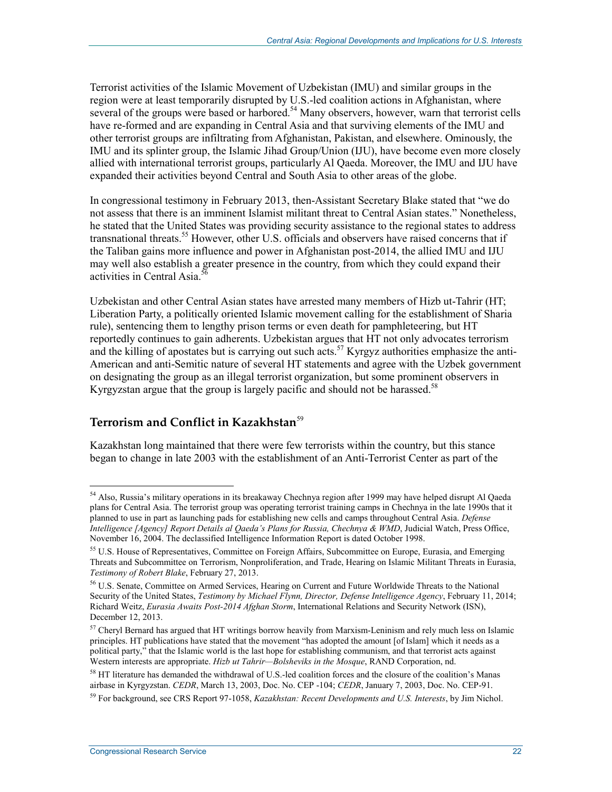Terrorist activities of the Islamic Movement of Uzbekistan (IMU) and similar groups in the region were at least temporarily disrupted by U.S.-led coalition actions in Afghanistan, where several of the groups were based or harbored.<sup>54</sup> Many observers, however, warn that terrorist cells have re-formed and are expanding in Central Asia and that surviving elements of the IMU and other terrorist groups are infiltrating from Afghanistan, Pakistan, and elsewhere. Ominously, the IMU and its splinter group, the Islamic Jihad Group/Union (IJU), have become even more closely allied with international terrorist groups, particularly Al Qaeda. Moreover, the IMU and IJU have expanded their activities beyond Central and South Asia to other areas of the globe.

In congressional testimony in February 2013, then-Assistant Secretary Blake stated that "we do not assess that there is an imminent Islamist militant threat to Central Asian states." Nonetheless, he stated that the United States was providing security assistance to the regional states to address transnational threats.55 However, other U.S. officials and observers have raised concerns that if the Taliban gains more influence and power in Afghanistan post-2014, the allied IMU and IJU may well also establish a greater presence in the country, from which they could expand their activities in Central Asia.<sup>56</sup>

Uzbekistan and other Central Asian states have arrested many members of Hizb ut-Tahrir (HT; Liberation Party, a politically oriented Islamic movement calling for the establishment of Sharia rule), sentencing them to lengthy prison terms or even death for pamphleteering, but HT reportedly continues to gain adherents. Uzbekistan argues that HT not only advocates terrorism and the killing of apostates but is carrying out such acts.<sup>57</sup> Kyrgyz authorities emphasize the anti-American and anti-Semitic nature of several HT statements and agree with the Uzbek government on designating the group as an illegal terrorist organization, but some prominent observers in Kyrgyzstan argue that the group is largely pacific and should not be harassed.<sup>58</sup>

#### **Terrorism and Conflict in Kazakhstan**<sup>59</sup>

Kazakhstan long maintained that there were few terrorists within the country, but this stance began to change in late 2003 with the establishment of an Anti-Terrorist Center as part of the

<u>.</u>

<sup>54</sup> Also, Russia's military operations in its breakaway Chechnya region after 1999 may have helped disrupt Al Qaeda plans for Central Asia. The terrorist group was operating terrorist training camps in Chechnya in the late 1990s that it planned to use in part as launching pads for establishing new cells and camps throughout Central Asia. *Defense Intelligence [Agency] Report Details al Qaeda's Plans for Russia, Chechnya & WMD*, Judicial Watch, Press Office, November 16, 2004. The declassified Intelligence Information Report is dated October 1998.

<sup>&</sup>lt;sup>55</sup> U.S. House of Representatives, Committee on Foreign Affairs, Subcommittee on Europe, Eurasia, and Emerging Threats and Subcommittee on Terrorism, Nonproliferation, and Trade, Hearing on Islamic Militant Threats in Eurasia, *Testimony of Robert Blake*, February 27, 2013.

<sup>56</sup> U.S. Senate, Committee on Armed Services, Hearing on Current and Future Worldwide Threats to the National Security of the United States, *Testimony by Michael Flynn, Director, Defense Intelligence Agency*, February 11, 2014; Richard Weitz, *Eurasia Awaits Post-2014 Afghan Storm*, International Relations and Security Network (ISN), December 12, 2013.

 $57$  Cheryl Bernard has argued that HT writings borrow heavily from Marxism-Leninism and rely much less on Islamic principles. HT publications have stated that the movement "has adopted the amount [of Islam] which it needs as a political party," that the Islamic world is the last hope for establishing communism, and that terrorist acts against Western interests are appropriate. *Hizb ut Tahrir—Bolsheviks in the Mosque*, RAND Corporation, nd.

<sup>58</sup> HT literature has demanded the withdrawal of U.S.-led coalition forces and the closure of the coalition's Manas airbase in Kyrgyzstan. *CEDR*, March 13, 2003, Doc. No. CEP -104; *CEDR*, January 7, 2003, Doc. No. CEP-91.

<sup>59</sup> For background, see CRS Report 97-1058, *Kazakhstan: Recent Developments and U.S. Interests*, by Jim Nichol.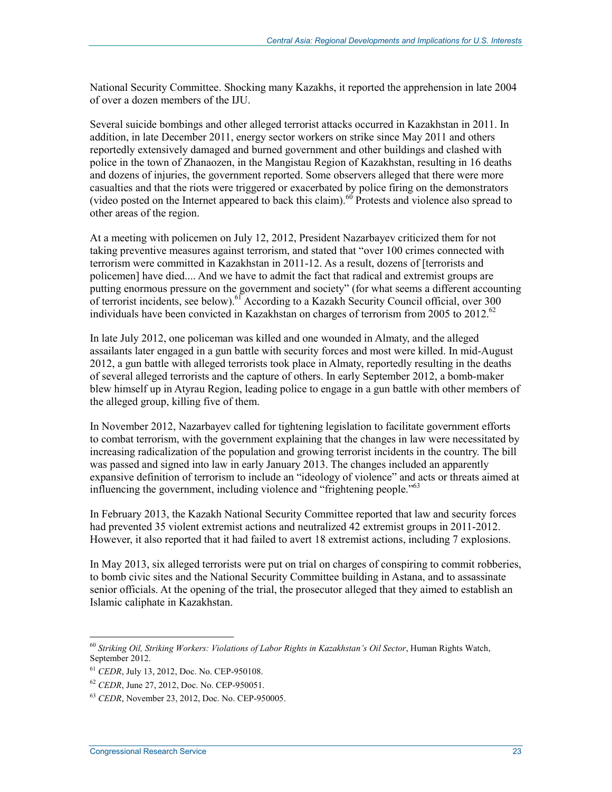National Security Committee. Shocking many Kazakhs, it reported the apprehension in late 2004 of over a dozen members of the IJU.

Several suicide bombings and other alleged terrorist attacks occurred in Kazakhstan in 2011. In addition, in late December 2011, energy sector workers on strike since May 2011 and others reportedly extensively damaged and burned government and other buildings and clashed with police in the town of Zhanaozen, in the Mangistau Region of Kazakhstan, resulting in 16 deaths and dozens of injuries, the government reported. Some observers alleged that there were more casualties and that the riots were triggered or exacerbated by police firing on the demonstrators (video posted on the Internet appeared to back this claim).<sup>60</sup> Protests and violence also spread to other areas of the region.

At a meeting with policemen on July 12, 2012, President Nazarbayev criticized them for not taking preventive measures against terrorism, and stated that "over 100 crimes connected with terrorism were committed in Kazakhstan in 2011-12. As a result, dozens of [terrorists and policemen] have died.... And we have to admit the fact that radical and extremist groups are putting enormous pressure on the government and society" (for what seems a different accounting of terrorist incidents, see below).<sup>61</sup> According to a Kazakh Security Council official, over 300 individuals have been convicted in Kazakhstan on charges of terrorism from 2005 to  $2012^{62}$ 

In late July 2012, one policeman was killed and one wounded in Almaty, and the alleged assailants later engaged in a gun battle with security forces and most were killed. In mid-August 2012, a gun battle with alleged terrorists took place in Almaty, reportedly resulting in the deaths of several alleged terrorists and the capture of others. In early September 2012, a bomb-maker blew himself up in Atyrau Region, leading police to engage in a gun battle with other members of the alleged group, killing five of them.

In November 2012, Nazarbayev called for tightening legislation to facilitate government efforts to combat terrorism, with the government explaining that the changes in law were necessitated by increasing radicalization of the population and growing terrorist incidents in the country. The bill was passed and signed into law in early January 2013. The changes included an apparently expansive definition of terrorism to include an "ideology of violence" and acts or threats aimed at influencing the government, including violence and "frightening people."<sup>63</sup>

In February 2013, the Kazakh National Security Committee reported that law and security forces had prevented 35 violent extremist actions and neutralized 42 extremist groups in 2011-2012. However, it also reported that it had failed to avert 18 extremist actions, including 7 explosions.

In May 2013, six alleged terrorists were put on trial on charges of conspiring to commit robberies, to bomb civic sites and the National Security Committee building in Astana, and to assassinate senior officials. At the opening of the trial, the prosecutor alleged that they aimed to establish an Islamic caliphate in Kazakhstan.

<sup>60</sup> *Striking Oil, Striking Workers: Violations of Labor Rights in Kazakhstan's Oil Sector*, Human Rights Watch, September 2012.

<sup>61</sup> *CEDR*, July 13, 2012, Doc. No. CEP-950108.

<sup>62</sup> *CEDR*, June 27, 2012, Doc. No. CEP-950051.

<sup>63</sup> *CEDR*, November 23, 2012, Doc. No. CEP-950005.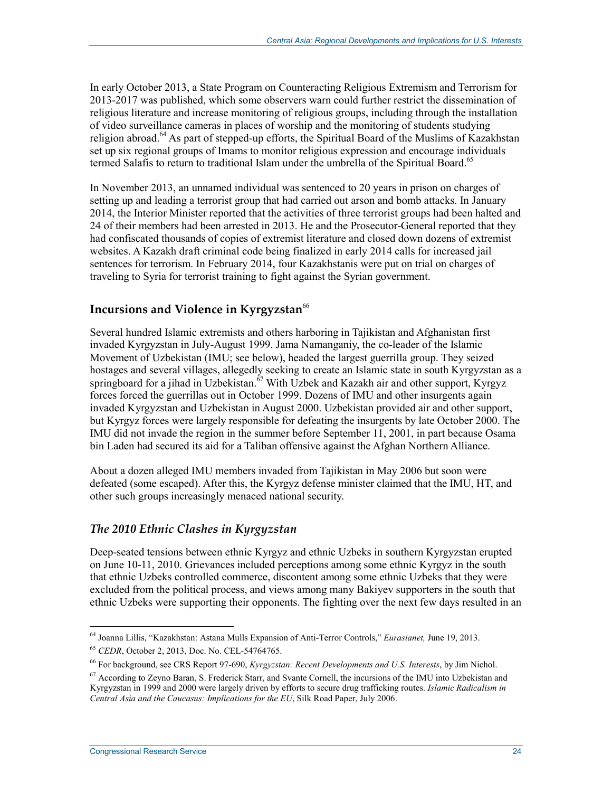In early October 2013, a State Program on Counteracting Religious Extremism and Terrorism for 2013-2017 was published, which some observers warn could further restrict the dissemination of religious literature and increase monitoring of religious groups, including through the installation of video surveillance cameras in places of worship and the monitoring of students studying religion abroad.<sup>64</sup> As part of stepped-up efforts, the Spiritual Board of the Muslims of Kazakhstan set up six regional groups of Imams to monitor religious expression and encourage individuals termed Salafis to return to traditional Islam under the umbrella of the Spiritual Board.<sup>65</sup>

In November 2013, an unnamed individual was sentenced to 20 years in prison on charges of setting up and leading a terrorist group that had carried out arson and bomb attacks. In January 2014, the Interior Minister reported that the activities of three terrorist groups had been halted and 24 of their members had been arrested in 2013. He and the Prosecutor-General reported that they had confiscated thousands of copies of extremist literature and closed down dozens of extremist websites. A Kazakh draft criminal code being finalized in early 2014 calls for increased jail sentences for terrorism. In February 2014, four Kazakhstanis were put on trial on charges of traveling to Syria for terrorist training to fight against the Syrian government.

### **Incursions and Violence in Kyrgyzstan<sup>66</sup>**

Several hundred Islamic extremists and others harboring in Tajikistan and Afghanistan first invaded Kyrgyzstan in July-August 1999. Jama Namanganiy, the co-leader of the Islamic Movement of Uzbekistan (IMU; see below), headed the largest guerrilla group. They seized hostages and several villages, allegedly seeking to create an Islamic state in south Kyrgyzstan as a springboard for a jihad in Uzbekistan.<sup> $\delta$ 7</sup> With Uzbek and Kazakh air and other support, Kyrgyz forces forced the guerrillas out in October 1999. Dozens of IMU and other insurgents again invaded Kyrgyzstan and Uzbekistan in August 2000. Uzbekistan provided air and other support, but Kyrgyz forces were largely responsible for defeating the insurgents by late October 2000. The IMU did not invade the region in the summer before September 11, 2001, in part because Osama bin Laden had secured its aid for a Taliban offensive against the Afghan Northern Alliance.

About a dozen alleged IMU members invaded from Tajikistan in May 2006 but soon were defeated (some escaped). After this, the Kyrgyz defense minister claimed that the IMU, HT, and other such groups increasingly menaced national security.

#### *The 2010 Ethnic Clashes in Kyrgyzstan*

Deep-seated tensions between ethnic Kyrgyz and ethnic Uzbeks in southern Kyrgyzstan erupted on June 10-11, 2010. Grievances included perceptions among some ethnic Kyrgyz in the south that ethnic Uzbeks controlled commerce, discontent among some ethnic Uzbeks that they were excluded from the political process, and views among many Bakiyev supporters in the south that ethnic Uzbeks were supporting their opponents. The fighting over the next few days resulted in an

<sup>1</sup> 64 Joanna Lillis, "Kazakhstan: Astana Mulls Expansion of Anti-Terror Controls," *Eurasianet,* June 19, 2013.

<sup>65</sup> *CEDR*, October 2, 2013, Doc. No. CEL-54764765.

<sup>66</sup> For background, see CRS Report 97-690, *Kyrgyzstan: Recent Developments and U.S. Interests*, by Jim Nichol.

<sup>67</sup> According to Zeyno Baran, S. Frederick Starr, and Svante Cornell, the incursions of the IMU into Uzbekistan and Kyrgyzstan in 1999 and 2000 were largely driven by efforts to secure drug trafficking routes. *Islamic Radicalism in Central Asia and the Caucasus: Implications for the EU*, Silk Road Paper, July 2006.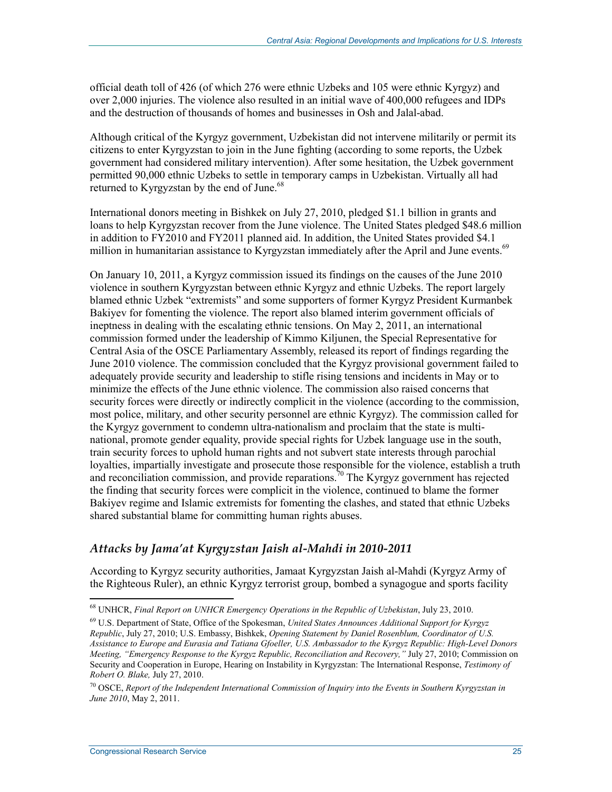official death toll of 426 (of which 276 were ethnic Uzbeks and 105 were ethnic Kyrgyz) and over 2,000 injuries. The violence also resulted in an initial wave of 400,000 refugees and IDPs and the destruction of thousands of homes and businesses in Osh and Jalal-abad.

Although critical of the Kyrgyz government, Uzbekistan did not intervene militarily or permit its citizens to enter Kyrgyzstan to join in the June fighting (according to some reports, the Uzbek government had considered military intervention). After some hesitation, the Uzbek government permitted 90,000 ethnic Uzbeks to settle in temporary camps in Uzbekistan. Virtually all had returned to Kyrgyzstan by the end of June. $68$ 

International donors meeting in Bishkek on July 27, 2010, pledged \$1.1 billion in grants and loans to help Kyrgyzstan recover from the June violence. The United States pledged \$48.6 million in addition to FY2010 and FY2011 planned aid. In addition, the United States provided \$4.1 million in humanitarian assistance to Kyrgyzstan immediately after the April and June events.<sup>69</sup>

On January 10, 2011, a Kyrgyz commission issued its findings on the causes of the June 2010 violence in southern Kyrgyzstan between ethnic Kyrgyz and ethnic Uzbeks. The report largely blamed ethnic Uzbek "extremists" and some supporters of former Kyrgyz President Kurmanbek Bakiyev for fomenting the violence. The report also blamed interim government officials of ineptness in dealing with the escalating ethnic tensions. On May 2, 2011, an international commission formed under the leadership of Kimmo Kiljunen, the Special Representative for Central Asia of the OSCE Parliamentary Assembly, released its report of findings regarding the June 2010 violence. The commission concluded that the Kyrgyz provisional government failed to adequately provide security and leadership to stifle rising tensions and incidents in May or to minimize the effects of the June ethnic violence. The commission also raised concerns that security forces were directly or indirectly complicit in the violence (according to the commission, most police, military, and other security personnel are ethnic Kyrgyz). The commission called for the Kyrgyz government to condemn ultra-nationalism and proclaim that the state is multinational, promote gender equality, provide special rights for Uzbek language use in the south, train security forces to uphold human rights and not subvert state interests through parochial loyalties, impartially investigate and prosecute those responsible for the violence, establish a truth and reconciliation commission, and provide reparations.<sup>70</sup> The Kyrgyz government has rejected the finding that security forces were complicit in the violence, continued to blame the former Bakiyev regime and Islamic extremists for fomenting the clashes, and stated that ethnic Uzbeks shared substantial blame for committing human rights abuses.

### *Attacks by Jama'at Kyrgyzstan Jaish al-Mahdi in 2010-2011*

According to Kyrgyz security authorities, Jamaat Kyrgyzstan Jaish al-Mahdi (Kyrgyz Army of the Righteous Ruler), an ethnic Kyrgyz terrorist group, bombed a synagogue and sports facility

<sup>68</sup> UNHCR, *Final Report on UNHCR Emergency Operations in the Republic of Uzbekistan*, July 23, 2010.

<sup>69</sup> U.S. Department of State, Office of the Spokesman, *United States Announces Additional Support for Kyrgyz Republic*, July 27, 2010; U.S. Embassy, Bishkek, *Opening Statement by Daniel Rosenblum, Coordinator of U.S. Assistance to Europe and Eurasia and Tatiana Gfoeller, U.S. Ambassador to the Kyrgyz Republic: High-Level Donors Meeting, "Emergency Response to the Kyrgyz Republic, Reconciliation and Recovery,"* July 27, 2010; Commission on Security and Cooperation in Europe, Hearing on Instability in Kyrgyzstan: The International Response, *Testimony of Robert O. Blake,* July 27, 2010.

<sup>70</sup> OSCE, *Report of the Independent International Commission of Inquiry into the Events in Southern Kyrgyzstan in June 2010*, May 2, 2011.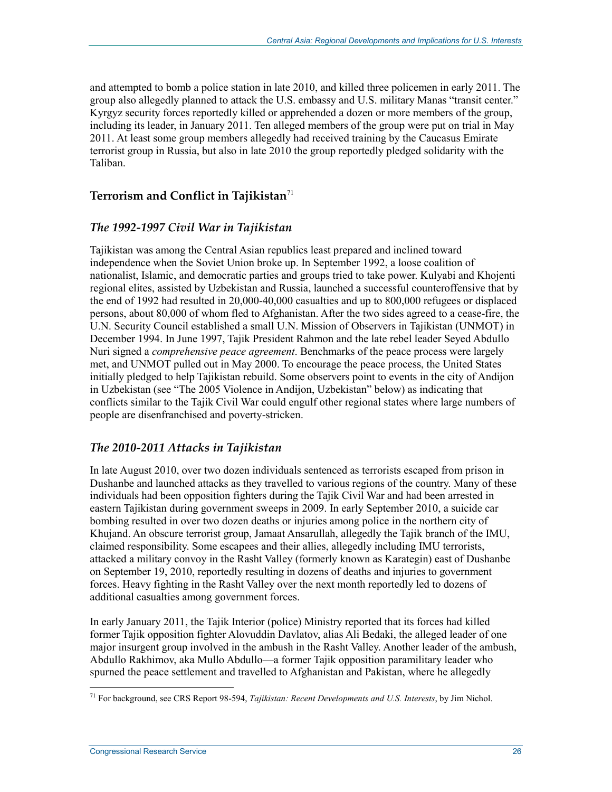and attempted to bomb a police station in late 2010, and killed three policemen in early 2011. The group also allegedly planned to attack the U.S. embassy and U.S. military Manas "transit center." Kyrgyz security forces reportedly killed or apprehended a dozen or more members of the group, including its leader, in January 2011. Ten alleged members of the group were put on trial in May 2011. At least some group members allegedly had received training by the Caucasus Emirate terrorist group in Russia, but also in late 2010 the group reportedly pledged solidarity with the Taliban.

### **Terrorism and Conflict in Tajikistan**<sup>71</sup>

#### *The 1992-1997 Civil War in Tajikistan*

Tajikistan was among the Central Asian republics least prepared and inclined toward independence when the Soviet Union broke up. In September 1992, a loose coalition of nationalist, Islamic, and democratic parties and groups tried to take power. Kulyabi and Khojenti regional elites, assisted by Uzbekistan and Russia, launched a successful counteroffensive that by the end of 1992 had resulted in 20,000-40,000 casualties and up to 800,000 refugees or displaced persons, about 80,000 of whom fled to Afghanistan. After the two sides agreed to a cease-fire, the U.N. Security Council established a small U.N. Mission of Observers in Tajikistan (UNMOT) in December 1994. In June 1997, Tajik President Rahmon and the late rebel leader Seyed Abdullo Nuri signed a *comprehensive peace agreement*. Benchmarks of the peace process were largely met, and UNMOT pulled out in May 2000. To encourage the peace process, the United States initially pledged to help Tajikistan rebuild. Some observers point to events in the city of Andijon in Uzbekistan (see "The 2005 Violence in Andijon, Uzbekistan" below) as indicating that conflicts similar to the Tajik Civil War could engulf other regional states where large numbers of people are disenfranchised and poverty-stricken.

#### *The 2010-2011 Attacks in Tajikistan*

In late August 2010, over two dozen individuals sentenced as terrorists escaped from prison in Dushanbe and launched attacks as they travelled to various regions of the country. Many of these individuals had been opposition fighters during the Tajik Civil War and had been arrested in eastern Tajikistan during government sweeps in 2009. In early September 2010, a suicide car bombing resulted in over two dozen deaths or injuries among police in the northern city of Khujand. An obscure terrorist group, Jamaat Ansarullah, allegedly the Tajik branch of the IMU, claimed responsibility. Some escapees and their allies, allegedly including IMU terrorists, attacked a military convoy in the Rasht Valley (formerly known as Karategin) east of Dushanbe on September 19, 2010, reportedly resulting in dozens of deaths and injuries to government forces. Heavy fighting in the Rasht Valley over the next month reportedly led to dozens of additional casualties among government forces.

In early January 2011, the Tajik Interior (police) Ministry reported that its forces had killed former Tajik opposition fighter Alovuddin Davlatov, alias Ali Bedaki, the alleged leader of one major insurgent group involved in the ambush in the Rasht Valley. Another leader of the ambush, Abdullo Rakhimov, aka Mullo Abdullo—a former Tajik opposition paramilitary leader who spurned the peace settlement and travelled to Afghanistan and Pakistan, where he allegedly

<sup>&</sup>lt;u>.</u> 71 For background, see CRS Report 98-594, *Tajikistan: Recent Developments and U.S. Interests*, by Jim Nichol.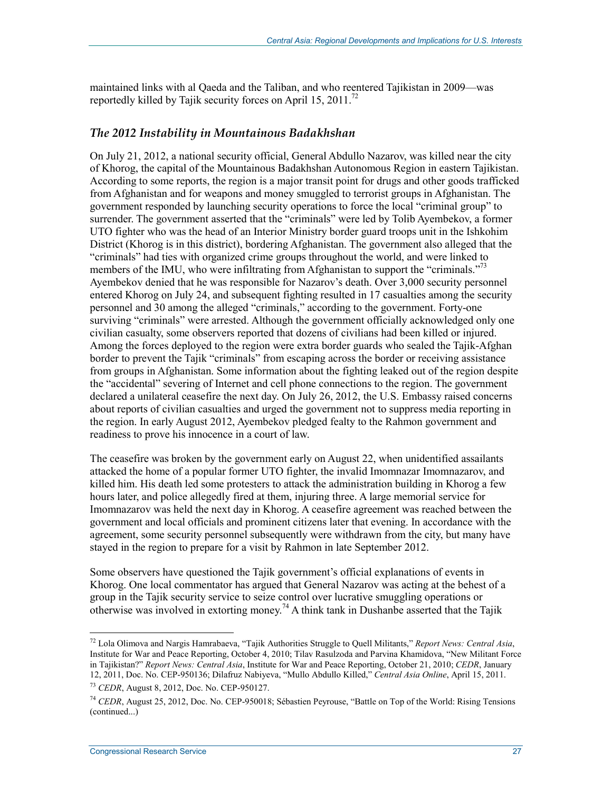maintained links with al Qaeda and the Taliban, and who reentered Tajikistan in 2009—was reportedly killed by Tajik security forces on April 15, 2011.<sup>72</sup>

#### *The 2012 Instability in Mountainous Badakhshan*

On July 21, 2012, a national security official, General Abdullo Nazarov, was killed near the city of Khorog, the capital of the Mountainous Badakhshan Autonomous Region in eastern Tajikistan. According to some reports, the region is a major transit point for drugs and other goods trafficked from Afghanistan and for weapons and money smuggled to terrorist groups in Afghanistan. The government responded by launching security operations to force the local "criminal group" to surrender. The government asserted that the "criminals" were led by Tolib Ayembekov, a former UTO fighter who was the head of an Interior Ministry border guard troops unit in the Ishkohim District (Khorog is in this district), bordering Afghanistan. The government also alleged that the "criminals" had ties with organized crime groups throughout the world, and were linked to members of the IMU, who were infiltrating from Afghanistan to support the "criminals."<sup>73</sup> Ayembekov denied that he was responsible for Nazarov's death. Over 3,000 security personnel entered Khorog on July 24, and subsequent fighting resulted in 17 casualties among the security personnel and 30 among the alleged "criminals," according to the government. Forty-one surviving "criminals" were arrested. Although the government officially acknowledged only one civilian casualty, some observers reported that dozens of civilians had been killed or injured. Among the forces deployed to the region were extra border guards who sealed the Tajik-Afghan border to prevent the Tajik "criminals" from escaping across the border or receiving assistance from groups in Afghanistan. Some information about the fighting leaked out of the region despite the "accidental" severing of Internet and cell phone connections to the region. The government declared a unilateral ceasefire the next day. On July 26, 2012, the U.S. Embassy raised concerns about reports of civilian casualties and urged the government not to suppress media reporting in the region. In early August 2012, Ayembekov pledged fealty to the Rahmon government and readiness to prove his innocence in a court of law.

The ceasefire was broken by the government early on August 22, when unidentified assailants attacked the home of a popular former UTO fighter, the invalid Imomnazar Imomnazarov, and killed him. His death led some protesters to attack the administration building in Khorog a few hours later, and police allegedly fired at them, injuring three. A large memorial service for Imomnazarov was held the next day in Khorog. A ceasefire agreement was reached between the government and local officials and prominent citizens later that evening. In accordance with the agreement, some security personnel subsequently were withdrawn from the city, but many have stayed in the region to prepare for a visit by Rahmon in late September 2012.

Some observers have questioned the Tajik government's official explanations of events in Khorog. One local commentator has argued that General Nazarov was acting at the behest of a group in the Tajik security service to seize control over lucrative smuggling operations or otherwise was involved in extorting money.<sup>74</sup> A think tank in Dushanbe asserted that the Tajik

<sup>72</sup> Lola Olimova and Nargis Hamrabaeva, "Tajik Authorities Struggle to Quell Militants," *Report News: Central Asia*, Institute for War and Peace Reporting, October 4, 2010; Tilav Rasulzoda and Parvina Khamidova, "New Militant Force in Tajikistan?" *Report News: Central Asia*, Institute for War and Peace Reporting, October 21, 2010; *CEDR*, January 12, 2011, Doc. No. CEP-950136; Dilafruz Nabiyeva, "Mullo Abdullo Killed," *Central Asia Online*, April 15, 2011.

<sup>73</sup> *CEDR*, August 8, 2012, Doc. No. CEP-950127.

<sup>74</sup> *CEDR*, August 25, 2012, Doc. No. CEP-950018; Sébastien Peyrouse, "Battle on Top of the World: Rising Tensions (continued...)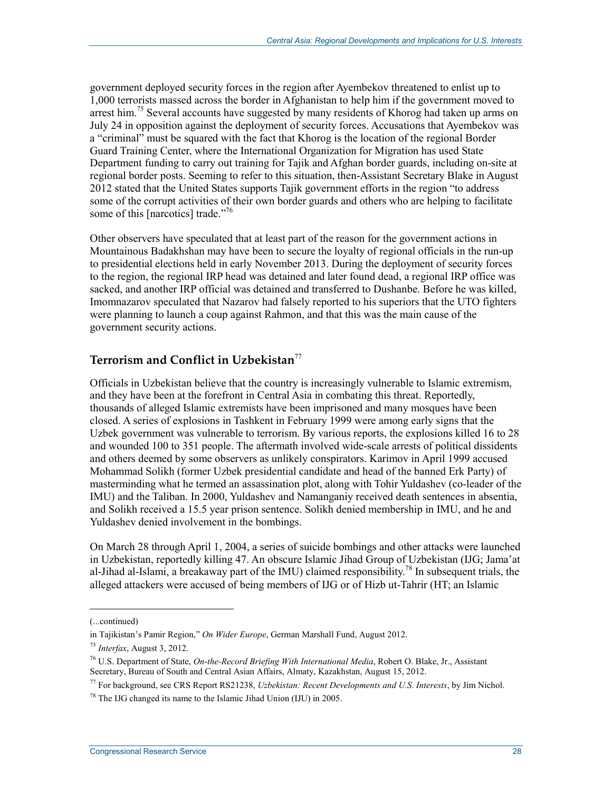government deployed security forces in the region after Ayembekov threatened to enlist up to 1,000 terrorists massed across the border in Afghanistan to help him if the government moved to arrest him.<sup>75</sup> Several accounts have suggested by many residents of Khorog had taken up arms on July 24 in opposition against the deployment of security forces. Accusations that Ayembekov was a "criminal" must be squared with the fact that Khorog is the location of the regional Border Guard Training Center, where the International Organization for Migration has used State Department funding to carry out training for Tajik and Afghan border guards, including on-site at regional border posts. Seeming to refer to this situation, then-Assistant Secretary Blake in August 2012 stated that the United States supports Tajik government efforts in the region "to address some of the corrupt activities of their own border guards and others who are helping to facilitate some of this [narcotics] trade."<sup>76</sup>

Other observers have speculated that at least part of the reason for the government actions in Mountainous Badakhshan may have been to secure the loyalty of regional officials in the run-up to presidential elections held in early November 2013. During the deployment of security forces to the region, the regional IRP head was detained and later found dead, a regional IRP office was sacked, and another IRP official was detained and transferred to Dushanbe. Before he was killed, Imomnazarov speculated that Nazarov had falsely reported to his superiors that the UTO fighters were planning to launch a coup against Rahmon, and that this was the main cause of the government security actions.

### **Terrorism and Conflict in Uzbekistan**<sup>77</sup>

Officials in Uzbekistan believe that the country is increasingly vulnerable to Islamic extremism, and they have been at the forefront in Central Asia in combating this threat. Reportedly, thousands of alleged Islamic extremists have been imprisoned and many mosques have been closed. A series of explosions in Tashkent in February 1999 were among early signs that the Uzbek government was vulnerable to terrorism. By various reports, the explosions killed 16 to 28 and wounded 100 to 351 people. The aftermath involved wide-scale arrests of political dissidents and others deemed by some observers as unlikely conspirators. Karimov in April 1999 accused Mohammad Solikh (former Uzbek presidential candidate and head of the banned Erk Party) of masterminding what he termed an assassination plot, along with Tohir Yuldashev (co-leader of the IMU) and the Taliban. In 2000, Yuldashev and Namanganiy received death sentences in absentia, and Solikh received a 15.5 year prison sentence. Solikh denied membership in IMU, and he and Yuldashev denied involvement in the bombings.

On March 28 through April 1, 2004, a series of suicide bombings and other attacks were launched in Uzbekistan, reportedly killing 47. An obscure Islamic Jihad Group of Uzbekistan (IJG; Jama'at al-Jihad al-Islami, a breakaway part of the IMU) claimed responsibility.<sup>78</sup> In subsequent trials, the alleged attackers were accused of being members of IJG or of Hizb ut-Tahrir (HT; an Islamic

<sup>(...</sup>continued)

in Tajikistan's Pamir Region," *On Wider Europe*, German Marshall Fund, August 2012.

<sup>75</sup> *Interfax*, August 3, 2012.

<sup>76</sup> U.S. Department of State, *On-the-Record Briefing With International Media*, Robert O. Blake, Jr., Assistant Secretary, Bureau of South and Central Asian Affairs, Almaty, Kazakhstan, August 15, 2012.

<sup>77</sup> For background, see CRS Report RS21238, *Uzbekistan: Recent Developments and U.S. Interests*, by Jim Nichol.

 $78$  The IJG changed its name to the Islamic Jihad Union (IJU) in 2005.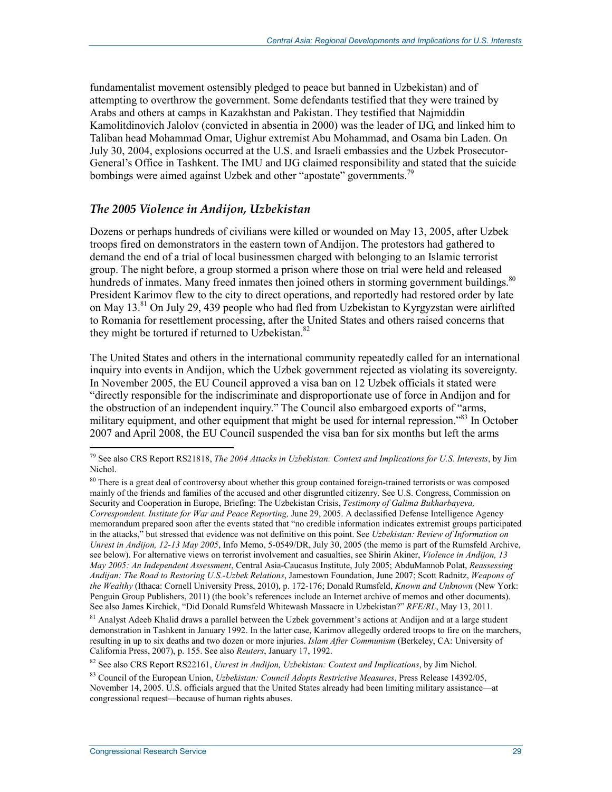fundamentalist movement ostensibly pledged to peace but banned in Uzbekistan) and of attempting to overthrow the government. Some defendants testified that they were trained by Arabs and others at camps in Kazakhstan and Pakistan. They testified that Najmiddin Kamolitdinovich Jalolov (convicted in absentia in 2000) was the leader of IJG, and linked him to Taliban head Mohammad Omar, Uighur extremist Abu Mohammad, and Osama bin Laden. On July 30, 2004, explosions occurred at the U.S. and Israeli embassies and the Uzbek Prosecutor-General's Office in Tashkent. The IMU and IJG claimed responsibility and stated that the suicide bombings were aimed against Uzbek and other "apostate" governments.<sup>79</sup>

#### *The 2005 Violence in Andijon, Uzbekistan*

Dozens or perhaps hundreds of civilians were killed or wounded on May 13, 2005, after Uzbek troops fired on demonstrators in the eastern town of Andijon. The protestors had gathered to demand the end of a trial of local businessmen charged with belonging to an Islamic terrorist group. The night before, a group stormed a prison where those on trial were held and released hundreds of inmates. Many freed inmates then joined others in storming government buildings.<sup>80</sup> President Karimov flew to the city to direct operations, and reportedly had restored order by late on May 13.<sup>81</sup> On July 29, 439 people who had fled from Uzbekistan to Kyrgyzstan were airlifted to Romania for resettlement processing, after the United States and others raised concerns that they might be tortured if returned to Uzbekistan.<sup>82</sup>

The United States and others in the international community repeatedly called for an international inquiry into events in Andijon, which the Uzbek government rejected as violating its sovereignty. In November 2005, the EU Council approved a visa ban on 12 Uzbek officials it stated were "directly responsible for the indiscriminate and disproportionate use of force in Andijon and for the obstruction of an independent inquiry." The Council also embargoed exports of "arms, military equipment, and other equipment that might be used for internal repression."<sup>83</sup> In October 2007 and April 2008, the EU Council suspended the visa ban for six months but left the arms

<sup>81</sup> Analyst Adeeb Khalid draws a parallel between the Uzbek government's actions at Andijon and at a large student demonstration in Tashkent in January 1992. In the latter case, Karimov allegedly ordered troops to fire on the marchers, resulting in up to six deaths and two dozen or more injuries. *Islam After Communism* (Berkeley, CA: University of California Press, 2007), p. 155. See also *Reuters*, January 17, 1992.

82 See also CRS Report RS22161, *Unrest in Andijon, Uzbekistan: Context and Implications*, by Jim Nichol.

<sup>79</sup> See also CRS Report RS21818, *The 2004 Attacks in Uzbekistan: Context and Implications for U.S. Interests*, by Jim Nichol.

<sup>&</sup>lt;sup>80</sup> There is a great deal of controversy about whether this group contained foreign-trained terrorists or was composed mainly of the friends and families of the accused and other disgruntled citizenry. See U.S. Congress, Commission on Security and Cooperation in Europe, Briefing: The Uzbekistan Crisis, *Testimony of Galima Bukharbayeva, Correspondent. Institute for War and Peace Reporting,* June 29, 2005. A declassified Defense Intelligence Agency memorandum prepared soon after the events stated that "no credible information indicates extremist groups participated in the attacks," but stressed that evidence was not definitive on this point. See *Uzbekistan: Review of Information on Unrest in Andijon, 12-13 May 2005*, Info Memo, 5-0549/DR, July 30, 2005 (the memo is part of the Rumsfeld Archive, see below). For alternative views on terrorist involvement and casualties, see Shirin Akiner, *Violence in Andijon, 13 May 2005: An Independent Assessment*, Central Asia-Caucasus Institute, July 2005; AbduMannob Polat, *Reassessing Andijan: The Road to Restoring U.S.-Uzbek Relations*, Jamestown Foundation, June 2007; Scott Radnitz, *Weapons of the Wealthy* (Ithaca: Cornell University Press, 2010), p. 172-176; Donald Rumsfeld, *Known and Unknown* (New York: Penguin Group Publishers, 2011) (the book's references include an Internet archive of memos and other documents). See also James Kirchick, "Did Donald Rumsfeld Whitewash Massacre in Uzbekistan?" *RFE/RL*, May 13, 2011.

<sup>83</sup> Council of the European Union, *Uzbekistan: Council Adopts Restrictive Measures*, Press Release 14392/05, November 14, 2005. U.S. officials argued that the United States already had been limiting military assistance—at congressional request—because of human rights abuses.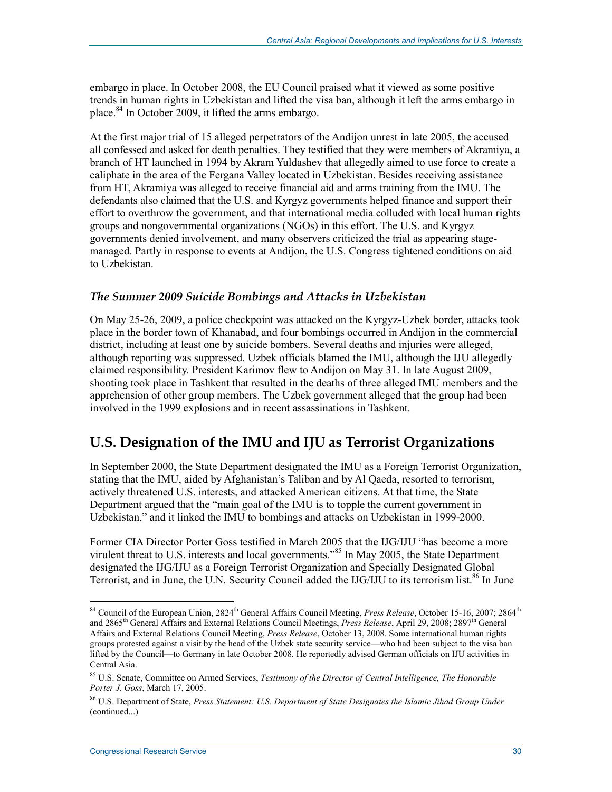embargo in place. In October 2008, the EU Council praised what it viewed as some positive trends in human rights in Uzbekistan and lifted the visa ban, although it left the arms embargo in place.<sup>84</sup> In October 2009, it lifted the arms embargo.

At the first major trial of 15 alleged perpetrators of the Andijon unrest in late 2005, the accused all confessed and asked for death penalties. They testified that they were members of Akramiya, a branch of HT launched in 1994 by Akram Yuldashev that allegedly aimed to use force to create a caliphate in the area of the Fergana Valley located in Uzbekistan. Besides receiving assistance from HT, Akramiya was alleged to receive financial aid and arms training from the IMU. The defendants also claimed that the U.S. and Kyrgyz governments helped finance and support their effort to overthrow the government, and that international media colluded with local human rights groups and nongovernmental organizations (NGOs) in this effort. The U.S. and Kyrgyz governments denied involvement, and many observers criticized the trial as appearing stagemanaged. Partly in response to events at Andijon, the U.S. Congress tightened conditions on aid to Uzbekistan.

#### *The Summer 2009 Suicide Bombings and Attacks in Uzbekistan*

On May 25-26, 2009, a police checkpoint was attacked on the Kyrgyz-Uzbek border, attacks took place in the border town of Khanabad, and four bombings occurred in Andijon in the commercial district, including at least one by suicide bombers. Several deaths and injuries were alleged, although reporting was suppressed. Uzbek officials blamed the IMU, although the IJU allegedly claimed responsibility. President Karimov flew to Andijon on May 31. In late August 2009, shooting took place in Tashkent that resulted in the deaths of three alleged IMU members and the apprehension of other group members. The Uzbek government alleged that the group had been involved in the 1999 explosions and in recent assassinations in Tashkent.

### **U.S. Designation of the IMU and IJU as Terrorist Organizations**

In September 2000, the State Department designated the IMU as a Foreign Terrorist Organization, stating that the IMU, aided by Afghanistan's Taliban and by Al Qaeda, resorted to terrorism, actively threatened U.S. interests, and attacked American citizens. At that time, the State Department argued that the "main goal of the IMU is to topple the current government in Uzbekistan," and it linked the IMU to bombings and attacks on Uzbekistan in 1999-2000.

Former CIA Director Porter Goss testified in March 2005 that the IJG/IJU "has become a more virulent threat to U.S. interests and local governments."<sup>85</sup> In May 2005, the State Department designated the IJG/IJU as a Foreign Terrorist Organization and Specially Designated Global Terrorist, and in June, the U.N. Security Council added the IJG/IJU to its terrorism list.<sup>86</sup> In June

<sup>&</sup>lt;sup>84</sup> Council of the European Union, 2824<sup>th</sup> General Affairs Council Meeting, *Press Release*, October 15-16, 2007; 2864<sup>th</sup> and 2865th General Affairs and External Relations Council Meetings, *Press Release*, April 29, 2008; 2897th General Affairs and External Relations Council Meeting, *Press Release*, October 13, 2008. Some international human rights groups protested against a visit by the head of the Uzbek state security service—who had been subject to the visa ban lifted by the Council—to Germany in late October 2008. He reportedly advised German officials on IJU activities in Central Asia.

<sup>85</sup> U.S. Senate, Committee on Armed Services, *Testimony of the Director of Central Intelligence, The Honorable Porter J. Goss*, March 17, 2005.

<sup>86</sup> U.S. Department of State, *Press Statement: U.S. Department of State Designates the Islamic Jihad Group Under*  (continued...)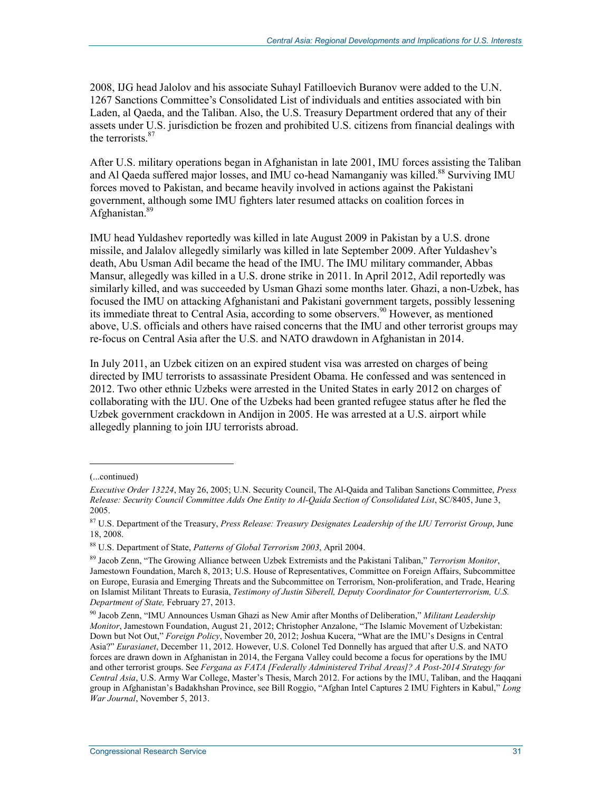2008, IJG head Jalolov and his associate Suhayl Fatilloevich Buranov were added to the U.N. 1267 Sanctions Committee's Consolidated List of individuals and entities associated with bin Laden, al Qaeda, and the Taliban. Also, the U.S. Treasury Department ordered that any of their assets under U.S. jurisdiction be frozen and prohibited U.S. citizens from financial dealings with the terrorists.<sup>87</sup>

After U.S. military operations began in Afghanistan in late 2001, IMU forces assisting the Taliban and Al Qaeda suffered major losses, and IMU co-head Namanganiy was killed.<sup>88</sup> Surviving IMU forces moved to Pakistan, and became heavily involved in actions against the Pakistani government, although some IMU fighters later resumed attacks on coalition forces in Afghanistan.<sup>89</sup>

IMU head Yuldashev reportedly was killed in late August 2009 in Pakistan by a U.S. drone missile, and Jalalov allegedly similarly was killed in late September 2009. After Yuldashev's death, Abu Usman Adil became the head of the IMU. The IMU military commander, Abbas Mansur, allegedly was killed in a U.S. drone strike in 2011. In April 2012, Adil reportedly was similarly killed, and was succeeded by Usman Ghazi some months later. Ghazi, a non-Uzbek, has focused the IMU on attacking Afghanistani and Pakistani government targets, possibly lessening its immediate threat to Central Asia, according to some observers.<sup>90</sup> However, as mentioned above, U.S. officials and others have raised concerns that the IMU and other terrorist groups may re-focus on Central Asia after the U.S. and NATO drawdown in Afghanistan in 2014.

In July 2011, an Uzbek citizen on an expired student visa was arrested on charges of being directed by IMU terrorists to assassinate President Obama. He confessed and was sentenced in 2012. Two other ethnic Uzbeks were arrested in the United States in early 2012 on charges of collaborating with the IJU. One of the Uzbeks had been granted refugee status after he fled the Uzbek government crackdown in Andijon in 2005. He was arrested at a U.S. airport while allegedly planning to join IJU terrorists abroad.

<sup>(...</sup>continued)

*Executive Order 13224*, May 26, 2005; U.N. Security Council, The Al-Qaida and Taliban Sanctions Committee, *Press Release: Security Council Committee Adds One Entity to Al-Qaida Section of Consolidated List*, SC/8405, June 3, 2005.

<sup>87</sup> U.S. Department of the Treasury, *Press Release: Treasury Designates Leadership of the IJU Terrorist Group*, June 18, 2008.

<sup>88</sup> U.S. Department of State, *Patterns of Global Terrorism 2003*, April 2004.

<sup>89</sup> Jacob Zenn, "The Growing Alliance between Uzbek Extremists and the Pakistani Taliban," *Terrorism Monitor*, Jamestown Foundation, March 8, 2013; U.S. House of Representatives, Committee on Foreign Affairs, Subcommittee on Europe, Eurasia and Emerging Threats and the Subcommittee on Terrorism, Non-proliferation, and Trade, Hearing on Islamist Militant Threats to Eurasia, *Testimony of Justin Siberell, Deputy Coordinator for Counterterrorism, U.S. Department of State,* February 27, 2013.

<sup>90</sup> Jacob Zenn, "IMU Announces Usman Ghazi as New Amir after Months of Deliberation," *Militant Leadership Monitor*, Jamestown Foundation, August 21, 2012; Christopher Anzalone, "The Islamic Movement of Uzbekistan: Down but Not Out," *Foreign Policy*, November 20, 2012; Joshua Kucera, "What are the IMU's Designs in Central Asia?" *Eurasianet*, December 11, 2012. However, U.S. Colonel Ted Donnelly has argued that after U.S. and NATO forces are drawn down in Afghanistan in 2014, the Fergana Valley could become a focus for operations by the IMU and other terrorist groups. See *Fergana as FATA [Federally Administered Tribal Areas]? A Post-2014 Strategy for Central Asia*, U.S. Army War College, Master's Thesis, March 2012. For actions by the IMU, Taliban, and the Haqqani group in Afghanistan's Badakhshan Province, see Bill Roggio, "Afghan Intel Captures 2 IMU Fighters in Kabul," *Long War Journal*, November 5, 2013.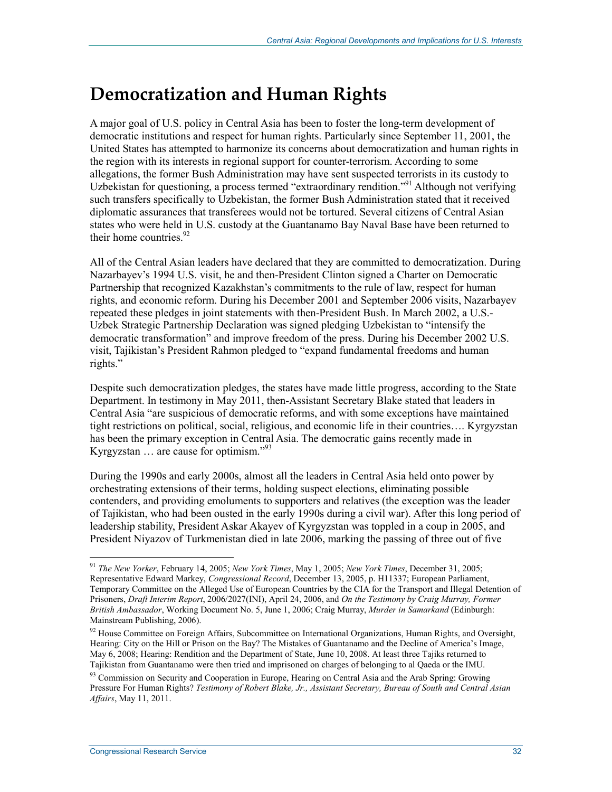## **Democratization and Human Rights**

A major goal of U.S. policy in Central Asia has been to foster the long-term development of democratic institutions and respect for human rights. Particularly since September 11, 2001, the United States has attempted to harmonize its concerns about democratization and human rights in the region with its interests in regional support for counter-terrorism. According to some allegations, the former Bush Administration may have sent suspected terrorists in its custody to Uzbekistan for questioning, a process termed "extraordinary rendition."<sup>91</sup> Although not verifying such transfers specifically to Uzbekistan, the former Bush Administration stated that it received diplomatic assurances that transferees would not be tortured. Several citizens of Central Asian states who were held in U.S. custody at the Guantanamo Bay Naval Base have been returned to their home countries. $92$ 

All of the Central Asian leaders have declared that they are committed to democratization. During Nazarbayev's 1994 U.S. visit, he and then-President Clinton signed a Charter on Democratic Partnership that recognized Kazakhstan's commitments to the rule of law, respect for human rights, and economic reform. During his December 2001 and September 2006 visits, Nazarbayev repeated these pledges in joint statements with then-President Bush. In March 2002, a U.S.- Uzbek Strategic Partnership Declaration was signed pledging Uzbekistan to "intensify the democratic transformation" and improve freedom of the press. During his December 2002 U.S. visit, Tajikistan's President Rahmon pledged to "expand fundamental freedoms and human rights."

Despite such democratization pledges, the states have made little progress, according to the State Department. In testimony in May 2011, then-Assistant Secretary Blake stated that leaders in Central Asia "are suspicious of democratic reforms, and with some exceptions have maintained tight restrictions on political, social, religious, and economic life in their countries…. Kyrgyzstan has been the primary exception in Central Asia. The democratic gains recently made in Kyrgyzstan  $\ldots$  are cause for optimism."<sup>93</sup>

During the 1990s and early 2000s, almost all the leaders in Central Asia held onto power by orchestrating extensions of their terms, holding suspect elections, eliminating possible contenders, and providing emoluments to supporters and relatives (the exception was the leader of Tajikistan, who had been ousted in the early 1990s during a civil war). After this long period of leadership stability, President Askar Akayev of Kyrgyzstan was toppled in a coup in 2005, and President Niyazov of Turkmenistan died in late 2006, marking the passing of three out of five

<u>.</u>

<sup>91</sup> *The New Yorker*, February 14, 2005; *New York Times*, May 1, 2005; *New York Times*, December 31, 2005; Representative Edward Markey, *Congressional Record*, December 13, 2005, p. H11337; European Parliament, Temporary Committee on the Alleged Use of European Countries by the CIA for the Transport and Illegal Detention of Prisoners, *Draft Interim Report*, 2006/2027(INI), April 24, 2006, and *On the Testimony by Craig Murray, Former British Ambassador*, Working Document No. 5, June 1, 2006; Craig Murray, *Murder in Samarkand* (Edinburgh: Mainstream Publishing, 2006).

<sup>&</sup>lt;sup>92</sup> House Committee on Foreign Affairs, Subcommittee on International Organizations, Human Rights, and Oversight, Hearing: City on the Hill or Prison on the Bay? The Mistakes of Guantanamo and the Decline of America's Image, May 6, 2008; Hearing: Rendition and the Department of State, June 10, 2008. At least three Tajiks returned to Tajikistan from Guantanamo were then tried and imprisoned on charges of belonging to al Qaeda or the IMU.

<sup>93</sup> Commission on Security and Cooperation in Europe, Hearing on Central Asia and the Arab Spring: Growing Pressure For Human Rights? *Testimony of Robert Blake, Jr., Assistant Secretary, Bureau of South and Central Asian Affairs*, May 11, 2011.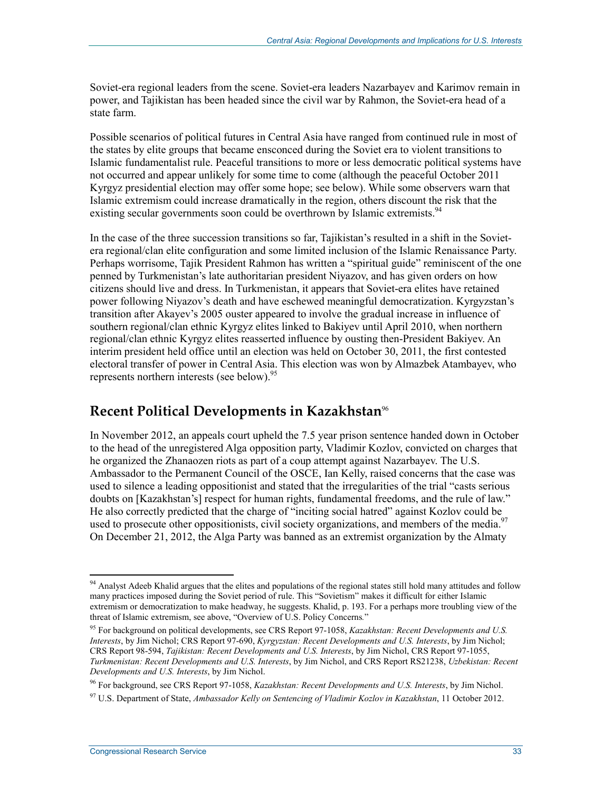Soviet-era regional leaders from the scene. Soviet-era leaders Nazarbayev and Karimov remain in power, and Tajikistan has been headed since the civil war by Rahmon, the Soviet-era head of a state farm.

Possible scenarios of political futures in Central Asia have ranged from continued rule in most of the states by elite groups that became ensconced during the Soviet era to violent transitions to Islamic fundamentalist rule. Peaceful transitions to more or less democratic political systems have not occurred and appear unlikely for some time to come (although the peaceful October 2011 Kyrgyz presidential election may offer some hope; see below). While some observers warn that Islamic extremism could increase dramatically in the region, others discount the risk that the existing secular governments soon could be overthrown by Islamic extremists.<sup>94</sup>

In the case of the three succession transitions so far, Tajikistan's resulted in a shift in the Sovietera regional/clan elite configuration and some limited inclusion of the Islamic Renaissance Party. Perhaps worrisome, Tajik President Rahmon has written a "spiritual guide" reminiscent of the one penned by Turkmenistan's late authoritarian president Niyazov, and has given orders on how citizens should live and dress. In Turkmenistan, it appears that Soviet-era elites have retained power following Niyazov's death and have eschewed meaningful democratization. Kyrgyzstan's transition after Akayev's 2005 ouster appeared to involve the gradual increase in influence of southern regional/clan ethnic Kyrgyz elites linked to Bakiyev until April 2010, when northern regional/clan ethnic Kyrgyz elites reasserted influence by ousting then-President Bakiyev. An interim president held office until an election was held on October 30, 2011, the first contested electoral transfer of power in Central Asia. This election was won by Almazbek Atambayev, who represents northern interests (see below).<sup>95</sup>

## **Recent Political Developments in Kazakhstan**<sup>96</sup>

In November 2012, an appeals court upheld the 7.5 year prison sentence handed down in October to the head of the unregistered Alga opposition party, Vladimir Kozlov, convicted on charges that he organized the Zhanaozen riots as part of a coup attempt against Nazarbayev. The U.S. Ambassador to the Permanent Council of the OSCE, Ian Kelly, raised concerns that the case was used to silence a leading oppositionist and stated that the irregularities of the trial "casts serious doubts on [Kazakhstan's] respect for human rights, fundamental freedoms, and the rule of law." He also correctly predicted that the charge of "inciting social hatred" against Kozlov could be used to prosecute other oppositionists, civil society organizations, and members of the media.<sup>97</sup> On December 21, 2012, the Alga Party was banned as an extremist organization by the Almaty

<u>.</u>

<sup>&</sup>lt;sup>94</sup> Analyst Adeeb Khalid argues that the elites and populations of the regional states still hold many attitudes and follow many practices imposed during the Soviet period of rule. This "Sovietism" makes it difficult for either Islamic extremism or democratization to make headway, he suggests. Khalid, p. 193. For a perhaps more troubling view of the threat of Islamic extremism, see above, "Overview of U.S. Policy Concerns*.*"

<sup>95</sup> For background on political developments, see CRS Report 97-1058, *Kazakhstan: Recent Developments and U.S. Interests*, by Jim Nichol; CRS Report 97-690, *Kyrgyzstan: Recent Developments and U.S. Interests*, by Jim Nichol; CRS Report 98-594, *Tajikistan: Recent Developments and U.S. Interests*, by Jim Nichol, CRS Report 97-1055, *Turkmenistan: Recent Developments and U.S. Interests*, by Jim Nichol, and CRS Report RS21238, *Uzbekistan: Recent Developments and U.S. Interests*, by Jim Nichol.

<sup>96</sup> For background, see CRS Report 97-1058, *Kazakhstan: Recent Developments and U.S. Interests*, by Jim Nichol.

<sup>97</sup> U.S. Department of State, *Ambassador Kelly on Sentencing of Vladimir Kozlov in Kazakhstan*, 11 October 2012.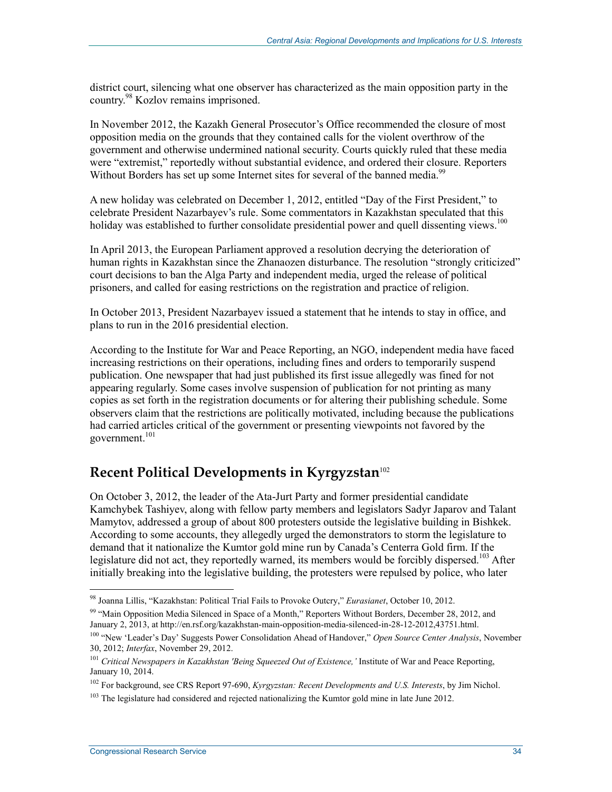district court, silencing what one observer has characterized as the main opposition party in the country.98 Kozlov remains imprisoned.

In November 2012, the Kazakh General Prosecutor's Office recommended the closure of most opposition media on the grounds that they contained calls for the violent overthrow of the government and otherwise undermined national security. Courts quickly ruled that these media were "extremist," reportedly without substantial evidence, and ordered their closure. Reporters Without Borders has set up some Internet sites for several of the banned media.<sup>99</sup>

A new holiday was celebrated on December 1, 2012, entitled "Day of the First President," to celebrate President Nazarbayev's rule. Some commentators in Kazakhstan speculated that this holiday was established to further consolidate presidential power and quell dissenting views.<sup>100</sup>

In April 2013, the European Parliament approved a resolution decrying the deterioration of human rights in Kazakhstan since the Zhanaozen disturbance. The resolution "strongly criticized" court decisions to ban the Alga Party and independent media, urged the release of political prisoners, and called for easing restrictions on the registration and practice of religion.

In October 2013, President Nazarbayev issued a statement that he intends to stay in office, and plans to run in the 2016 presidential election.

According to the Institute for War and Peace Reporting, an NGO, independent media have faced increasing restrictions on their operations, including fines and orders to temporarily suspend publication. One newspaper that had just published its first issue allegedly was fined for not appearing regularly. Some cases involve suspension of publication for not printing as many copies as set forth in the registration documents or for altering their publishing schedule. Some observers claim that the restrictions are politically motivated, including because the publications had carried articles critical of the government or presenting viewpoints not favored by the government.<sup>101</sup>

## **Recent Political Developments in Kyrgyzstan**<sup>102</sup>

On October 3, 2012, the leader of the Ata-Jurt Party and former presidential candidate Kamchybek Tashiyev, along with fellow party members and legislators Sadyr Japarov and Talant Mamytov, addressed a group of about 800 protesters outside the legislative building in Bishkek. According to some accounts, they allegedly urged the demonstrators to storm the legislature to demand that it nationalize the Kumtor gold mine run by Canada's Centerra Gold firm. If the legislature did not act, they reportedly warned, its members would be forcibly dispersed.<sup>103</sup> After initially breaking into the legislative building, the protesters were repulsed by police, who later

<sup>98</sup> Joanna Lillis, "Kazakhstan: Political Trial Fails to Provoke Outcry," *Eurasianet*, October 10, 2012.

<sup>&</sup>lt;sup>99</sup> "Main Opposition Media Silenced in Space of a Month," Reporters Without Borders, December 28, 2012, and January 2, 2013, at http://en.rsf.org/kazakhstan-main-opposition-media-silenced-in-28-12-2012,43751.html.

<sup>100 &</sup>quot;New 'Leader's Day' Suggests Power Consolidation Ahead of Handover," *Open Source Center Analysis*, November 30, 2012; *Interfax*, November 29, 2012.

<sup>101</sup> *Critical Newspapers in Kazakhstan 'Being Squeezed Out of Existence,'* Institute of War and Peace Reporting, January 10, 2014.

<sup>102</sup> For background, see CRS Report 97-690, *Kyrgyzstan: Recent Developments and U.S. Interests*, by Jim Nichol.

 $103$  The legislature had considered and rejected nationalizing the Kumtor gold mine in late June 2012.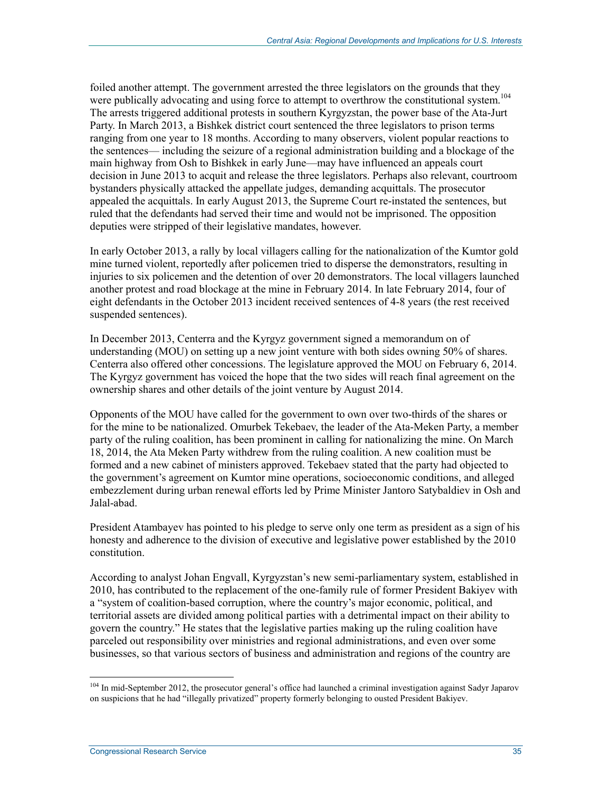foiled another attempt. The government arrested the three legislators on the grounds that they were publically advocating and using force to attempt to overthrow the constitutional system.<sup>104</sup> The arrests triggered additional protests in southern Kyrgyzstan, the power base of the Ata-Jurt Party. In March 2013, a Bishkek district court sentenced the three legislators to prison terms ranging from one year to 18 months. According to many observers, violent popular reactions to the sentences— including the seizure of a regional administration building and a blockage of the main highway from Osh to Bishkek in early June—may have influenced an appeals court decision in June 2013 to acquit and release the three legislators. Perhaps also relevant, courtroom bystanders physically attacked the appellate judges, demanding acquittals. The prosecutor appealed the acquittals. In early August 2013, the Supreme Court re-instated the sentences, but ruled that the defendants had served their time and would not be imprisoned. The opposition deputies were stripped of their legislative mandates, however.

In early October 2013, a rally by local villagers calling for the nationalization of the Kumtor gold mine turned violent, reportedly after policemen tried to disperse the demonstrators, resulting in injuries to six policemen and the detention of over 20 demonstrators. The local villagers launched another protest and road blockage at the mine in February 2014. In late February 2014, four of eight defendants in the October 2013 incident received sentences of 4-8 years (the rest received suspended sentences).

In December 2013, Centerra and the Kyrgyz government signed a memorandum on of understanding (MOU) on setting up a new joint venture with both sides owning 50% of shares. Centerra also offered other concessions. The legislature approved the MOU on February 6, 2014. The Kyrgyz government has voiced the hope that the two sides will reach final agreement on the ownership shares and other details of the joint venture by August 2014.

Opponents of the MOU have called for the government to own over two-thirds of the shares or for the mine to be nationalized. Omurbek Tekebaev, the leader of the Ata-Meken Party, a member party of the ruling coalition, has been prominent in calling for nationalizing the mine. On March 18, 2014, the Ata Meken Party withdrew from the ruling coalition. A new coalition must be formed and a new cabinet of ministers approved. Tekebaev stated that the party had objected to the government's agreement on Kumtor mine operations, socioeconomic conditions, and alleged embezzlement during urban renewal efforts led by Prime Minister Jantoro Satybaldiev in Osh and Jalal-abad.

President Atambayev has pointed to his pledge to serve only one term as president as a sign of his honesty and adherence to the division of executive and legislative power established by the 2010 constitution.

According to analyst Johan Engvall, Kyrgyzstan's new semi-parliamentary system, established in 2010, has contributed to the replacement of the one-family rule of former President Bakiyev with a "system of coalition-based corruption, where the country's major economic, political, and territorial assets are divided among political parties with a detrimental impact on their ability to govern the country." He states that the legislative parties making up the ruling coalition have parceled out responsibility over ministries and regional administrations, and even over some businesses, so that various sectors of business and administration and regions of the country are

<sup>&</sup>lt;sup>104</sup> In mid-September 2012, the prosecutor general's office had launched a criminal investigation against Sadyr Japarov on suspicions that he had "illegally privatized" property formerly belonging to ousted President Bakiyev.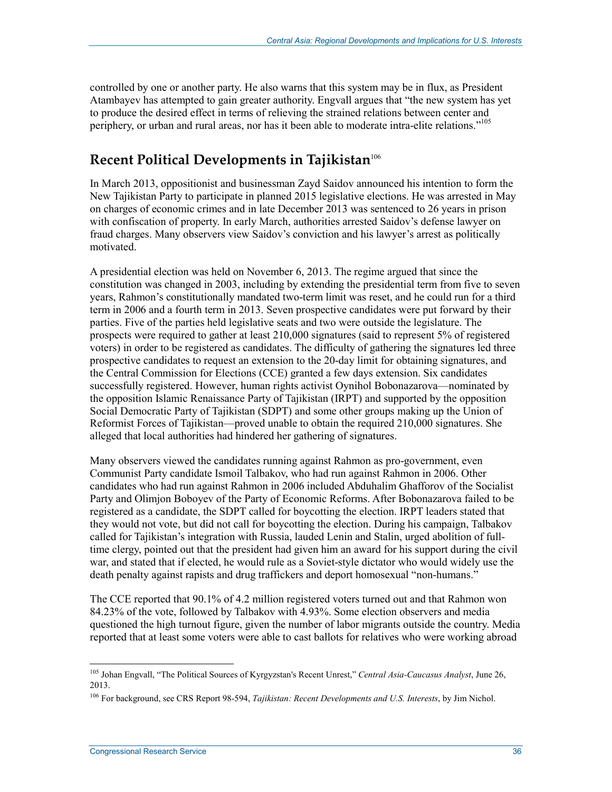controlled by one or another party. He also warns that this system may be in flux, as President Atambayev has attempted to gain greater authority. Engvall argues that "the new system has yet to produce the desired effect in terms of relieving the strained relations between center and periphery, or urban and rural areas, nor has it been able to moderate intra-elite relations."<sup>105</sup>

## **Recent Political Developments in Tajikistan**<sup>106</sup>

In March 2013, oppositionist and businessman Zayd Saidov announced his intention to form the New Tajikistan Party to participate in planned 2015 legislative elections. He was arrested in May on charges of economic crimes and in late December 2013 was sentenced to 26 years in prison with confiscation of property. In early March, authorities arrested Saidov's defense lawyer on fraud charges. Many observers view Saidov's conviction and his lawyer's arrest as politically motivated.

A presidential election was held on November 6, 2013. The regime argued that since the constitution was changed in 2003, including by extending the presidential term from five to seven years, Rahmon's constitutionally mandated two-term limit was reset, and he could run for a third term in 2006 and a fourth term in 2013. Seven prospective candidates were put forward by their parties. Five of the parties held legislative seats and two were outside the legislature. The prospects were required to gather at least 210,000 signatures (said to represent 5% of registered voters) in order to be registered as candidates. The difficulty of gathering the signatures led three prospective candidates to request an extension to the 20-day limit for obtaining signatures, and the Central Commission for Elections (CCE) granted a few days extension. Six candidates successfully registered. However, human rights activist Oynihol Bobonazarova—nominated by the opposition Islamic Renaissance Party of Tajikistan (IRPT) and supported by the opposition Social Democratic Party of Tajikistan (SDPT) and some other groups making up the Union of Reformist Forces of Tajikistan—proved unable to obtain the required 210,000 signatures. She alleged that local authorities had hindered her gathering of signatures.

Many observers viewed the candidates running against Rahmon as pro-government, even Communist Party candidate Ismoil Talbakov, who had run against Rahmon in 2006. Other candidates who had run against Rahmon in 2006 included Abduhalim Ghafforov of the Socialist Party and Olimjon Boboyev of the Party of Economic Reforms. After Bobonazarova failed to be registered as a candidate, the SDPT called for boycotting the election. IRPT leaders stated that they would not vote, but did not call for boycotting the election. During his campaign, Talbakov called for Tajikistan's integration with Russia, lauded Lenin and Stalin, urged abolition of fulltime clergy, pointed out that the president had given him an award for his support during the civil war, and stated that if elected, he would rule as a Soviet-style dictator who would widely use the death penalty against rapists and drug traffickers and deport homosexual "non-humans."

The CCE reported that 90.1% of 4.2 million registered voters turned out and that Rahmon won 84.23% of the vote, followed by Talbakov with 4.93%. Some election observers and media questioned the high turnout figure, given the number of labor migrants outside the country. Media reported that at least some voters were able to cast ballots for relatives who were working abroad

<sup>105</sup> Johan Engvall, "The Political Sources of Kyrgyzstan's Recent Unrest," *Central Asia-Caucasus Analyst*, June 26, 2013.

<sup>106</sup> For background, see CRS Report 98-594, *Tajikistan: Recent Developments and U.S. Interests*, by Jim Nichol.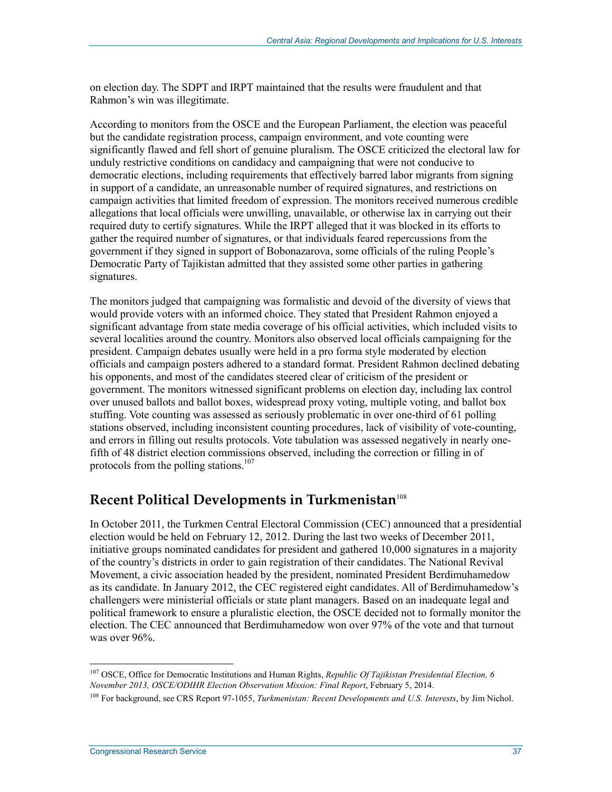on election day. The SDPT and IRPT maintained that the results were fraudulent and that Rahmon's win was illegitimate.

According to monitors from the OSCE and the European Parliament, the election was peaceful but the candidate registration process, campaign environment, and vote counting were significantly flawed and fell short of genuine pluralism. The OSCE criticized the electoral law for unduly restrictive conditions on candidacy and campaigning that were not conducive to democratic elections, including requirements that effectively barred labor migrants from signing in support of a candidate, an unreasonable number of required signatures, and restrictions on campaign activities that limited freedom of expression. The monitors received numerous credible allegations that local officials were unwilling, unavailable, or otherwise lax in carrying out their required duty to certify signatures. While the IRPT alleged that it was blocked in its efforts to gather the required number of signatures, or that individuals feared repercussions from the government if they signed in support of Bobonazarova, some officials of the ruling People's Democratic Party of Tajikistan admitted that they assisted some other parties in gathering signatures.

The monitors judged that campaigning was formalistic and devoid of the diversity of views that would provide voters with an informed choice. They stated that President Rahmon enjoyed a significant advantage from state media coverage of his official activities, which included visits to several localities around the country. Monitors also observed local officials campaigning for the president. Campaign debates usually were held in a pro forma style moderated by election officials and campaign posters adhered to a standard format. President Rahmon declined debating his opponents, and most of the candidates steered clear of criticism of the president or government. The monitors witnessed significant problems on election day, including lax control over unused ballots and ballot boxes, widespread proxy voting, multiple voting, and ballot box stuffing. Vote counting was assessed as seriously problematic in over one-third of 61 polling stations observed, including inconsistent counting procedures, lack of visibility of vote-counting, and errors in filling out results protocols. Vote tabulation was assessed negatively in nearly onefifth of 48 district election commissions observed, including the correction or filling in of protocols from the polling stations.<sup>107</sup>

## **Recent Political Developments in Turkmenistan**<sup>108</sup>

In October 2011, the Turkmen Central Electoral Commission (CEC) announced that a presidential election would be held on February 12, 2012. During the last two weeks of December 2011, initiative groups nominated candidates for president and gathered 10,000 signatures in a majority of the country's districts in order to gain registration of their candidates. The National Revival Movement, a civic association headed by the president, nominated President Berdimuhamedow as its candidate. In January 2012, the CEC registered eight candidates. All of Berdimuhamedow's challengers were ministerial officials or state plant managers. Based on an inadequate legal and political framework to ensure a pluralistic election, the OSCE decided not to formally monitor the election. The CEC announced that Berdimuhamedow won over 97% of the vote and that turnout was over 96%.

<sup>107</sup> OSCE, Office for Democratic Institutions and Human Rights, *Republic Of Tajikistan Presidential Election, 6 November 2013, OSCE/ODIHR Election Observation Mission: Final Report*, February 5, 2014.

<sup>108</sup> For background, see CRS Report 97-1055, *Turkmenistan: Recent Developments and U.S. Interests*, by Jim Nichol.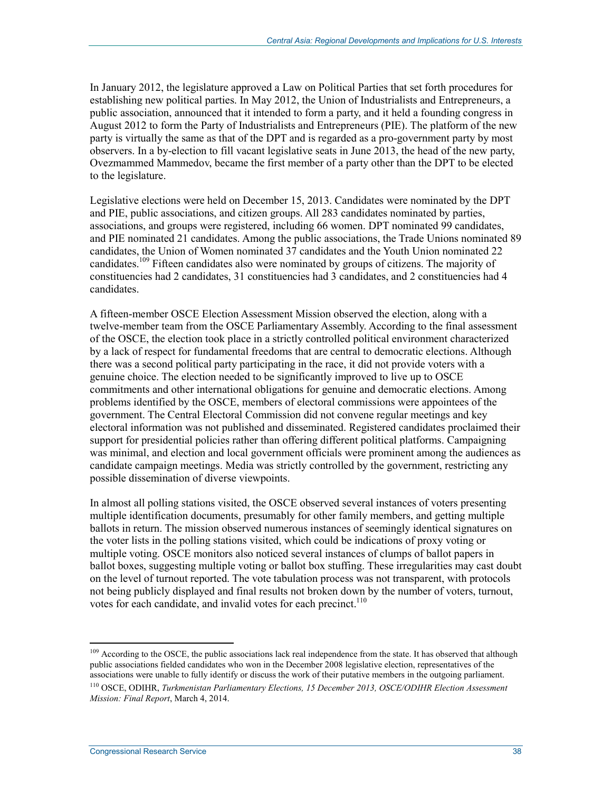In January 2012, the legislature approved a Law on Political Parties that set forth procedures for establishing new political parties. In May 2012, the Union of Industrialists and Entrepreneurs, a public association, announced that it intended to form a party, and it held a founding congress in August 2012 to form the Party of Industrialists and Entrepreneurs (PIE). The platform of the new party is virtually the same as that of the DPT and is regarded as a pro-government party by most observers. In a by-election to fill vacant legislative seats in June 2013, the head of the new party, Ovezmammed Mammedov, became the first member of a party other than the DPT to be elected to the legislature.

Legislative elections were held on December 15, 2013. Candidates were nominated by the DPT and PIE, public associations, and citizen groups. All 283 candidates nominated by parties, associations, and groups were registered, including 66 women. DPT nominated 99 candidates, and PIE nominated 21 candidates. Among the public associations, the Trade Unions nominated 89 candidates, the Union of Women nominated 37 candidates and the Youth Union nominated 22 candidates.109 Fifteen candidates also were nominated by groups of citizens. The majority of constituencies had 2 candidates, 31 constituencies had 3 candidates, and 2 constituencies had 4 candidates.

A fifteen-member OSCE Election Assessment Mission observed the election, along with a twelve-member team from the OSCE Parliamentary Assembly. According to the final assessment of the OSCE, the election took place in a strictly controlled political environment characterized by a lack of respect for fundamental freedoms that are central to democratic elections. Although there was a second political party participating in the race, it did not provide voters with a genuine choice. The election needed to be significantly improved to live up to OSCE commitments and other international obligations for genuine and democratic elections. Among problems identified by the OSCE, members of electoral commissions were appointees of the government. The Central Electoral Commission did not convene regular meetings and key electoral information was not published and disseminated. Registered candidates proclaimed their support for presidential policies rather than offering different political platforms. Campaigning was minimal, and election and local government officials were prominent among the audiences as candidate campaign meetings. Media was strictly controlled by the government, restricting any possible dissemination of diverse viewpoints.

In almost all polling stations visited, the OSCE observed several instances of voters presenting multiple identification documents, presumably for other family members, and getting multiple ballots in return. The mission observed numerous instances of seemingly identical signatures on the voter lists in the polling stations visited, which could be indications of proxy voting or multiple voting. OSCE monitors also noticed several instances of clumps of ballot papers in ballot boxes, suggesting multiple voting or ballot box stuffing. These irregularities may cast doubt on the level of turnout reported. The vote tabulation process was not transparent, with protocols not being publicly displayed and final results not broken down by the number of voters, turnout, votes for each candidate, and invalid votes for each precinct.<sup>110</sup>

<sup>109</sup> According to the OSCE, the public associations lack real independence from the state. It has observed that although public associations fielded candidates who won in the December 2008 legislative election, representatives of the associations were unable to fully identify or discuss the work of their putative members in the outgoing parliament.

<sup>110</sup> OSCE, ODIHR, *Turkmenistan Parliamentary Elections, 15 December 2013, OSCE/ODIHR Election Assessment Mission: Final Report*, March 4, 2014.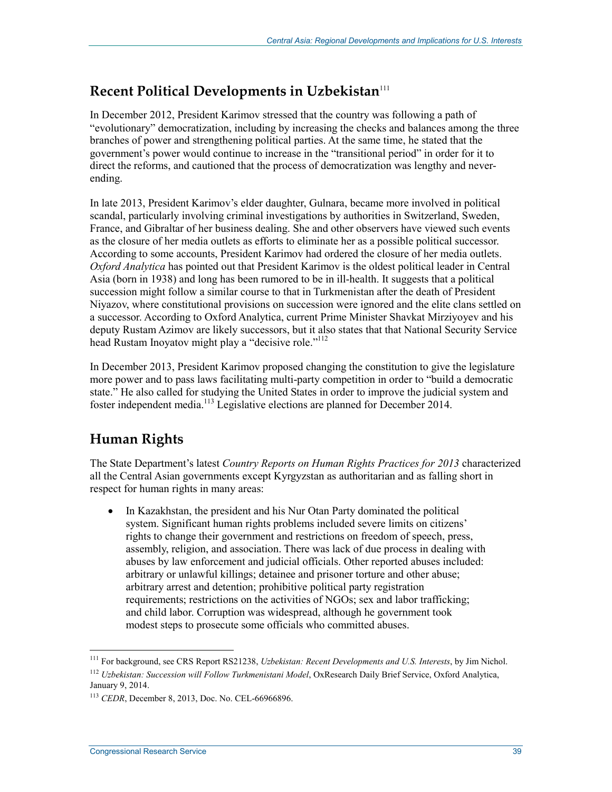## **Recent Political Developments in Uzbekistan**<sup>111</sup>

In December 2012, President Karimov stressed that the country was following a path of "evolutionary" democratization, including by increasing the checks and balances among the three branches of power and strengthening political parties. At the same time, he stated that the government's power would continue to increase in the "transitional period" in order for it to direct the reforms, and cautioned that the process of democratization was lengthy and neverending.

In late 2013, President Karimov's elder daughter, Gulnara, became more involved in political scandal, particularly involving criminal investigations by authorities in Switzerland, Sweden, France, and Gibraltar of her business dealing. She and other observers have viewed such events as the closure of her media outlets as efforts to eliminate her as a possible political successor. According to some accounts, President Karimov had ordered the closure of her media outlets. *Oxford Analytica* has pointed out that President Karimov is the oldest political leader in Central Asia (born in 1938) and long has been rumored to be in ill-health. It suggests that a political succession might follow a similar course to that in Turkmenistan after the death of President Niyazov, where constitutional provisions on succession were ignored and the elite clans settled on a successor. According to Oxford Analytica, current Prime Minister Shavkat Mirziyoyev and his deputy Rustam Azimov are likely successors, but it also states that that National Security Service head Rustam Inoyatov might play a "decisive role."<sup>112</sup>

In December 2013, President Karimov proposed changing the constitution to give the legislature more power and to pass laws facilitating multi-party competition in order to "build a democratic state." He also called for studying the United States in order to improve the judicial system and foster independent media.113 Legislative elections are planned for December 2014.

## **Human Rights**

The State Department's latest *Country Reports on Human Rights Practices for 2013* characterized all the Central Asian governments except Kyrgyzstan as authoritarian and as falling short in respect for human rights in many areas:

• In Kazakhstan, the president and his Nur Otan Party dominated the political system. Significant human rights problems included severe limits on citizens' rights to change their government and restrictions on freedom of speech, press, assembly, religion, and association. There was lack of due process in dealing with abuses by law enforcement and judicial officials. Other reported abuses included: arbitrary or unlawful killings; detainee and prisoner torture and other abuse; arbitrary arrest and detention; prohibitive political party registration requirements; restrictions on the activities of NGOs; sex and labor trafficking; and child labor. Corruption was widespread, although he government took modest steps to prosecute some officials who committed abuses.

<sup>111</sup> For background, see CRS Report RS21238, *Uzbekistan: Recent Developments and U.S. Interests*, by Jim Nichol.

<sup>112</sup> *Uzbekistan: Succession will Follow Turkmenistani Model*, OxResearch Daily Brief Service, Oxford Analytica, January 9, 2014.

<sup>113</sup> *CEDR*, December 8, 2013, Doc. No. CEL-66966896.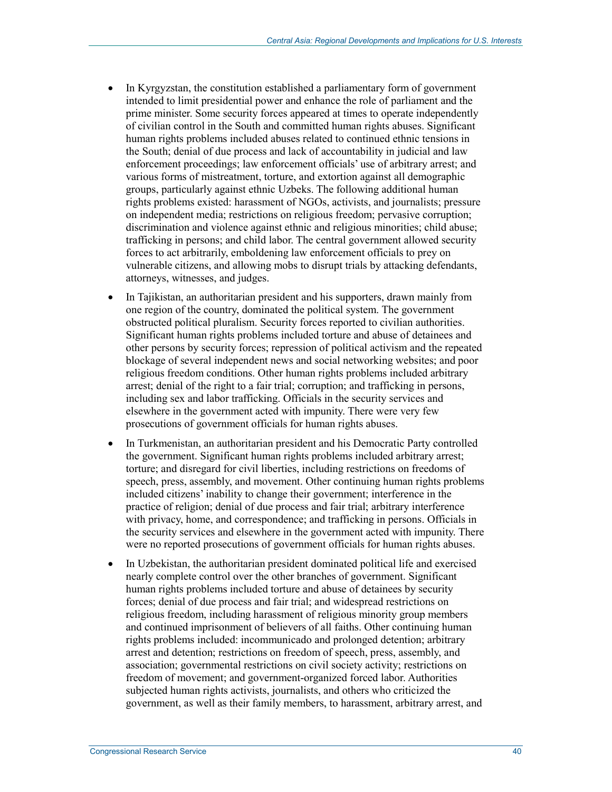- In Kyrgyzstan, the constitution established a parliamentary form of government intended to limit presidential power and enhance the role of parliament and the prime minister. Some security forces appeared at times to operate independently of civilian control in the South and committed human rights abuses. Significant human rights problems included abuses related to continued ethnic tensions in the South; denial of due process and lack of accountability in judicial and law enforcement proceedings; law enforcement officials' use of arbitrary arrest; and various forms of mistreatment, torture, and extortion against all demographic groups, particularly against ethnic Uzbeks. The following additional human rights problems existed: harassment of NGOs, activists, and journalists; pressure on independent media; restrictions on religious freedom; pervasive corruption; discrimination and violence against ethnic and religious minorities; child abuse; trafficking in persons; and child labor. The central government allowed security forces to act arbitrarily, emboldening law enforcement officials to prey on vulnerable citizens, and allowing mobs to disrupt trials by attacking defendants, attorneys, witnesses, and judges.
- In Tajikistan, an authoritarian president and his supporters, drawn mainly from one region of the country, dominated the political system. The government obstructed political pluralism. Security forces reported to civilian authorities. Significant human rights problems included torture and abuse of detainees and other persons by security forces; repression of political activism and the repeated blockage of several independent news and social networking websites; and poor religious freedom conditions. Other human rights problems included arbitrary arrest; denial of the right to a fair trial; corruption; and trafficking in persons, including sex and labor trafficking. Officials in the security services and elsewhere in the government acted with impunity. There were very few prosecutions of government officials for human rights abuses.
- In Turkmenistan, an authoritarian president and his Democratic Party controlled the government. Significant human rights problems included arbitrary arrest; torture; and disregard for civil liberties, including restrictions on freedoms of speech, press, assembly, and movement. Other continuing human rights problems included citizens' inability to change their government; interference in the practice of religion; denial of due process and fair trial; arbitrary interference with privacy, home, and correspondence; and trafficking in persons. Officials in the security services and elsewhere in the government acted with impunity. There were no reported prosecutions of government officials for human rights abuses.
- In Uzbekistan, the authoritarian president dominated political life and exercised nearly complete control over the other branches of government. Significant human rights problems included torture and abuse of detainees by security forces; denial of due process and fair trial; and widespread restrictions on religious freedom, including harassment of religious minority group members and continued imprisonment of believers of all faiths. Other continuing human rights problems included: incommunicado and prolonged detention; arbitrary arrest and detention; restrictions on freedom of speech, press, assembly, and association; governmental restrictions on civil society activity; restrictions on freedom of movement; and government-organized forced labor. Authorities subjected human rights activists, journalists, and others who criticized the government, as well as their family members, to harassment, arbitrary arrest, and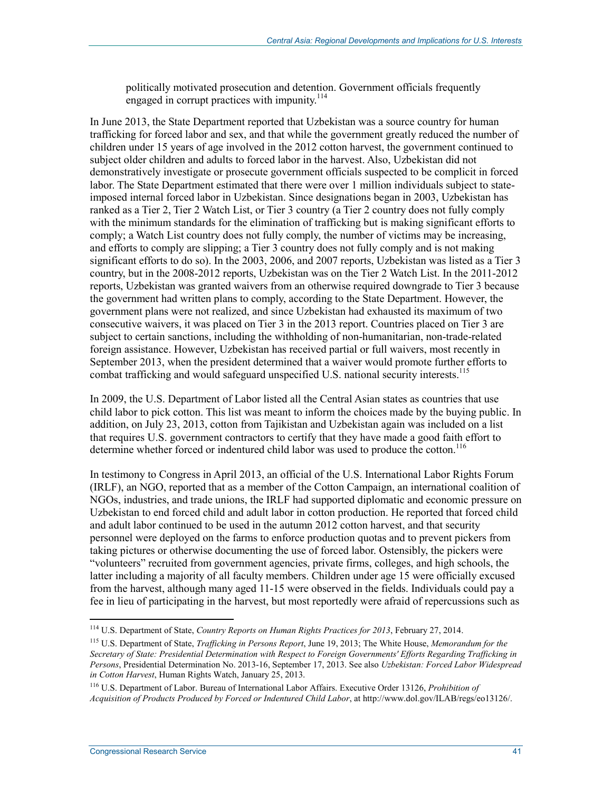politically motivated prosecution and detention. Government officials frequently engaged in corrupt practices with impunity.<sup>114</sup>

In June 2013, the State Department reported that Uzbekistan was a source country for human trafficking for forced labor and sex, and that while the government greatly reduced the number of children under 15 years of age involved in the 2012 cotton harvest, the government continued to subject older children and adults to forced labor in the harvest. Also, Uzbekistan did not demonstratively investigate or prosecute government officials suspected to be complicit in forced labor. The State Department estimated that there were over 1 million individuals subject to stateimposed internal forced labor in Uzbekistan. Since designations began in 2003, Uzbekistan has ranked as a Tier 2, Tier 2 Watch List, or Tier 3 country (a Tier 2 country does not fully comply with the minimum standards for the elimination of trafficking but is making significant efforts to comply; a Watch List country does not fully comply, the number of victims may be increasing, and efforts to comply are slipping; a Tier 3 country does not fully comply and is not making significant efforts to do so). In the 2003, 2006, and 2007 reports, Uzbekistan was listed as a Tier 3 country, but in the 2008-2012 reports, Uzbekistan was on the Tier 2 Watch List. In the 2011-2012 reports, Uzbekistan was granted waivers from an otherwise required downgrade to Tier 3 because the government had written plans to comply, according to the State Department. However, the government plans were not realized, and since Uzbekistan had exhausted its maximum of two consecutive waivers, it was placed on Tier 3 in the 2013 report. Countries placed on Tier 3 are subject to certain sanctions, including the withholding of non-humanitarian, non-trade-related foreign assistance. However, Uzbekistan has received partial or full waivers, most recently in September 2013, when the president determined that a waiver would promote further efforts to combat trafficking and would safeguard unspecified U.S. national security interests.<sup>115</sup>

In 2009, the U.S. Department of Labor listed all the Central Asian states as countries that use child labor to pick cotton. This list was meant to inform the choices made by the buying public. In addition, on July 23, 2013, cotton from Tajikistan and Uzbekistan again was included on a list that requires U.S. government contractors to certify that they have made a good faith effort to determine whether forced or indentured child labor was used to produce the cotton.<sup>116</sup>

In testimony to Congress in April 2013, an official of the U.S. International Labor Rights Forum (IRLF), an NGO, reported that as a member of the Cotton Campaign, an international coalition of NGOs, industries, and trade unions, the IRLF had supported diplomatic and economic pressure on Uzbekistan to end forced child and adult labor in cotton production. He reported that forced child and adult labor continued to be used in the autumn 2012 cotton harvest, and that security personnel were deployed on the farms to enforce production quotas and to prevent pickers from taking pictures or otherwise documenting the use of forced labor. Ostensibly, the pickers were "volunteers" recruited from government agencies, private firms, colleges, and high schools, the latter including a majority of all faculty members. Children under age 15 were officially excused from the harvest, although many aged 11-15 were observed in the fields. Individuals could pay a fee in lieu of participating in the harvest, but most reportedly were afraid of repercussions such as

<sup>114</sup> U.S. Department of State, *Country Reports on Human Rights Practices for 2013*, February 27, 2014.

<sup>115</sup> U.S. Department of State, *Trafficking in Persons Report*, June 19, 2013; The White House, *Memorandum for the Secretary of State: Presidential Determination with Respect to Foreign Governments' Efforts Regarding Trafficking in Persons*, Presidential Determination No. 2013-16, September 17, 2013. See also *Uzbekistan: Forced Labor Widespread in Cotton Harvest*, Human Rights Watch, January 25, 2013.

<sup>116</sup> U.S. Department of Labor. Bureau of International Labor Affairs. Executive Order 13126, *Prohibition of Acquisition of Products Produced by Forced or Indentured Child Labor*, at http://www.dol.gov/ILAB/regs/eo13126/.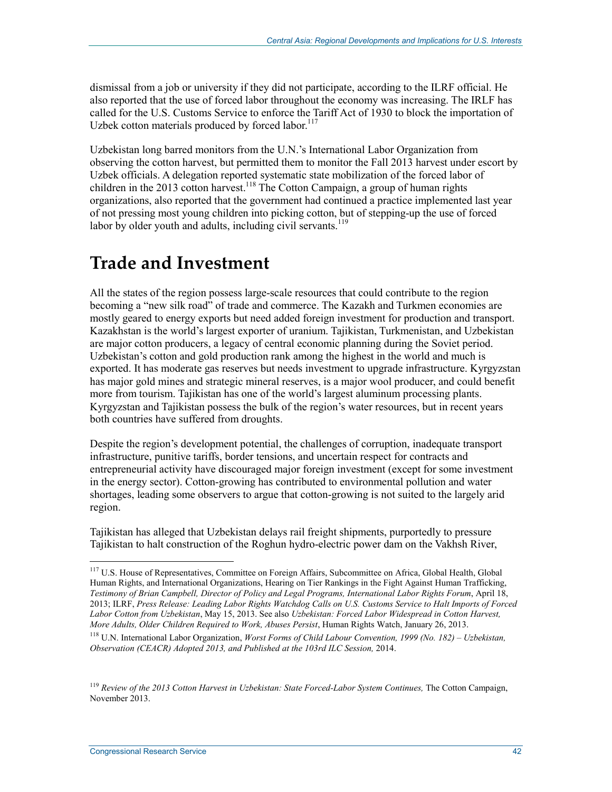dismissal from a job or university if they did not participate, according to the ILRF official. He also reported that the use of forced labor throughout the economy was increasing. The IRLF has called for the U.S. Customs Service to enforce the Tariff Act of 1930 to block the importation of Uzbek cotton materials produced by forced labor.<sup>117</sup>

Uzbekistan long barred monitors from the U.N.'s International Labor Organization from observing the cotton harvest, but permitted them to monitor the Fall 2013 harvest under escort by Uzbek officials. A delegation reported systematic state mobilization of the forced labor of children in the 2013 cotton harvest.<sup>118</sup> The Cotton Campaign, a group of human rights organizations, also reported that the government had continued a practice implemented last year of not pressing most young children into picking cotton, but of stepping-up the use of forced labor by older youth and adults, including civil servants. $119$ 

## **Trade and Investment**

All the states of the region possess large-scale resources that could contribute to the region becoming a "new silk road" of trade and commerce. The Kazakh and Turkmen economies are mostly geared to energy exports but need added foreign investment for production and transport. Kazakhstan is the world's largest exporter of uranium. Tajikistan, Turkmenistan, and Uzbekistan are major cotton producers, a legacy of central economic planning during the Soviet period. Uzbekistan's cotton and gold production rank among the highest in the world and much is exported. It has moderate gas reserves but needs investment to upgrade infrastructure. Kyrgyzstan has major gold mines and strategic mineral reserves, is a major wool producer, and could benefit more from tourism. Tajikistan has one of the world's largest aluminum processing plants. Kyrgyzstan and Tajikistan possess the bulk of the region's water resources, but in recent years both countries have suffered from droughts.

Despite the region's development potential, the challenges of corruption, inadequate transport infrastructure, punitive tariffs, border tensions, and uncertain respect for contracts and entrepreneurial activity have discouraged major foreign investment (except for some investment in the energy sector). Cotton-growing has contributed to environmental pollution and water shortages, leading some observers to argue that cotton-growing is not suited to the largely arid region.

Tajikistan has alleged that Uzbekistan delays rail freight shipments, purportedly to pressure Tajikistan to halt construction of the Roghun hydro-electric power dam on the Vakhsh River,

<sup>&</sup>lt;sup>117</sup> U.S. House of Representatives, Committee on Foreign Affairs, Subcommittee on Africa, Global Health, Global Human Rights, and International Organizations, Hearing on Tier Rankings in the Fight Against Human Trafficking, *Testimony of Brian Campbell, Director of Policy and Legal Programs, International Labor Rights Forum*, April 18, 2013; ILRF, *Press Release: Leading Labor Rights Watchdog Calls on U.S. Customs Service to Halt Imports of Forced Labor Cotton from Uzbekistan*, May 15, 2013. See also *Uzbekistan: Forced Labor Widespread in Cotton Harvest, More Adults, Older Children Required to Work, Abuses Persist*, Human Rights Watch, January 26, 2013.

<sup>118</sup> U.N. International Labor Organization, *Worst Forms of Child Labour Convention, 1999 (No. 182) – Uzbekistan, Observation (CEACR) Adopted 2013, and Published at the 103rd ILC Session,* 2014.

<sup>&</sup>lt;sup>119</sup> Review of the 2013 Cotton Harvest in Uzbekistan: State Forced-Labor System Continues, The Cotton Campaign, November 2013.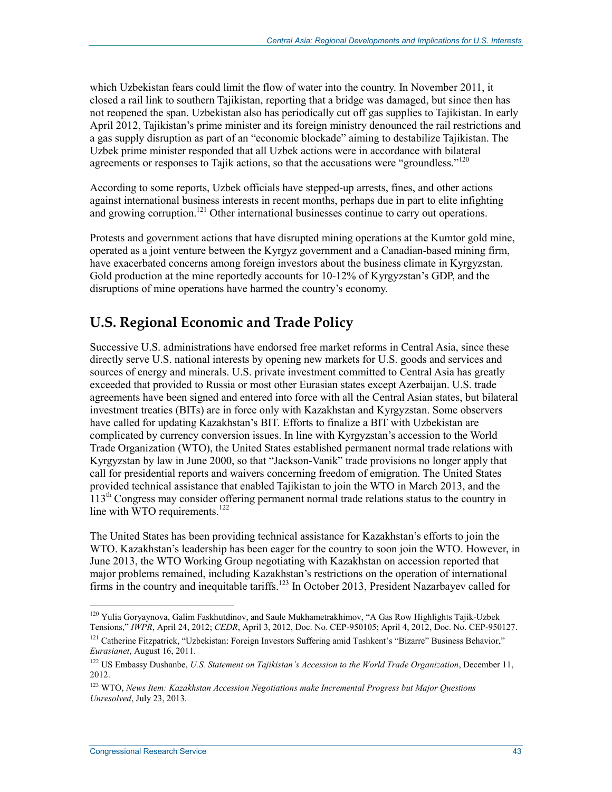which Uzbekistan fears could limit the flow of water into the country. In November 2011, it closed a rail link to southern Tajikistan, reporting that a bridge was damaged, but since then has not reopened the span. Uzbekistan also has periodically cut off gas supplies to Tajikistan. In early April 2012, Tajikistan's prime minister and its foreign ministry denounced the rail restrictions and a gas supply disruption as part of an "economic blockade" aiming to destabilize Tajikistan. The Uzbek prime minister responded that all Uzbek actions were in accordance with bilateral agreements or responses to Tajik actions, so that the accusations were "groundless."<sup>120</sup>

According to some reports, Uzbek officials have stepped-up arrests, fines, and other actions against international business interests in recent months, perhaps due in part to elite infighting and growing corruption.<sup>121</sup> Other international businesses continue to carry out operations.

Protests and government actions that have disrupted mining operations at the Kumtor gold mine, operated as a joint venture between the Kyrgyz government and a Canadian-based mining firm, have exacerbated concerns among foreign investors about the business climate in Kyrgyzstan. Gold production at the mine reportedly accounts for 10-12% of Kyrgyzstan's GDP, and the disruptions of mine operations have harmed the country's economy.

## **U.S. Regional Economic and Trade Policy**

Successive U.S. administrations have endorsed free market reforms in Central Asia, since these directly serve U.S. national interests by opening new markets for U.S. goods and services and sources of energy and minerals. U.S. private investment committed to Central Asia has greatly exceeded that provided to Russia or most other Eurasian states except Azerbaijan. U.S. trade agreements have been signed and entered into force with all the Central Asian states, but bilateral investment treaties (BITs) are in force only with Kazakhstan and Kyrgyzstan. Some observers have called for updating Kazakhstan's BIT. Efforts to finalize a BIT with Uzbekistan are complicated by currency conversion issues. In line with Kyrgyzstan's accession to the World Trade Organization (WTO), the United States established permanent normal trade relations with Kyrgyzstan by law in June 2000, so that "Jackson-Vanik" trade provisions no longer apply that call for presidential reports and waivers concerning freedom of emigration. The United States provided technical assistance that enabled Tajikistan to join the WTO in March 2013, and the  $113<sup>th</sup>$  Congress may consider offering permanent normal trade relations status to the country in line with  $WTO$  requirements.<sup>122</sup>

The United States has been providing technical assistance for Kazakhstan's efforts to join the WTO. Kazakhstan's leadership has been eager for the country to soon join the WTO. However, in June 2013, the WTO Working Group negotiating with Kazakhstan on accession reported that major problems remained, including Kazakhstan's restrictions on the operation of international firms in the country and inequitable tariffs.<sup>123</sup> In October 2013, President Nazarbayev called for

<sup>&</sup>lt;sup>120</sup> Yulia Goryaynova, Galim Faskhutdinov, and Saule Mukhametrakhimov, "A Gas Row Highlights Tajik-Uzbek Tensions," *IWPR*, April 24, 2012; *CEDR*, April 3, 2012, Doc. No. CEP-950105; April 4, 2012, Doc. No. CEP-950127.

<sup>&</sup>lt;sup>121</sup> Catherine Fitzpatrick, "Uzbekistan: Foreign Investors Suffering amid Tashkent's "Bizarre" Business Behavior," *Eurasianet*, August 16, 2011.

<sup>&</sup>lt;sup>122</sup> US Embassy Dushanbe, *U.S. Statement on Tajikistan's Accession to the World Trade Organization*, December 11, 2012.

<sup>123</sup> WTO, *News Item: Kazakhstan Accession Negotiations make Incremental Progress but Major Questions Unresolved*, July 23, 2013.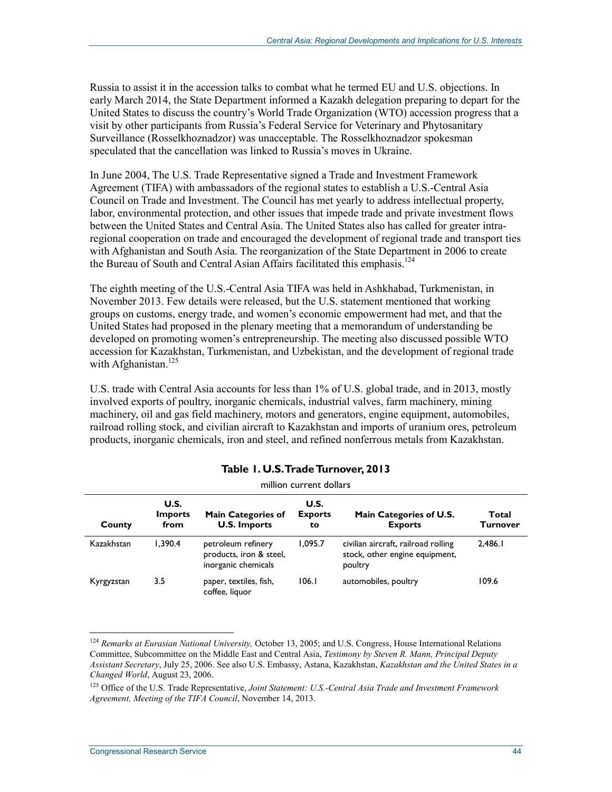Russia to assist it in the accession talks to combat what he termed EU and U.S. objections. In early March 2014, the State Department informed a Kazakh delegation preparing to depart for the United States to discuss the country's World Trade Organization (WTO) accession progress that a visit by other participants from Russia's Federal Service for Veterinary and Phytosanitary Surveillance (Rosselkhoznadzor) was unacceptable. The Rosselkhoznadzor spokesman speculated that the cancellation was linked to Russia's moves in Ukraine.

In June 2004, The U.S. Trade Representative signed a Trade and Investment Framework Agreement (TIFA) with ambassadors of the regional states to establish a U.S.-Central Asia Council on Trade and Investment. The Council has met yearly to address intellectual property, labor, environmental protection, and other issues that impede trade and private investment flows between the United States and Central Asia. The United States also has called for greater intraregional cooperation on trade and encouraged the development of regional trade and transport ties with Afghanistan and South Asia. The reorganization of the State Department in 2006 to create the Bureau of South and Central Asian Affairs facilitated this emphasis.<sup>124</sup>

The eighth meeting of the U.S.-Central Asia TIFA was held in Ashkhabad, Turkmenistan, in November 2013. Few details were released, but the U.S. statement mentioned that working groups on customs, energy trade, and women's economic empowerment had met, and that the United States had proposed in the plenary meeting that a memorandum of understanding be developed on promoting women's entrepreneurship. The meeting also discussed possible WTO accession for Kazakhstan, Turkmenistan, and Uzbekistan, and the development of regional trade with Afghanistan.<sup>125</sup>

U.S. trade with Central Asia accounts for less than 1% of U.S. global trade, and in 2013, mostly involved exports of poultry, inorganic chemicals, industrial valves, farm machinery, mining machinery, oil and gas field machinery, motors and generators, engine equipment, automobiles, railroad rolling stock, and civilian aircraft to Kazakhstan and imports of uranium ores, petroleum products, inorganic chemicals, iron and steel, and refined nonferrous metals from Kazakhstan.

| million current dollars |                                |                                                                      |                              |                                                                                  |                   |  |  |  |  |
|-------------------------|--------------------------------|----------------------------------------------------------------------|------------------------------|----------------------------------------------------------------------------------|-------------------|--|--|--|--|
| County                  | U.S.<br><b>Imports</b><br>from | <b>Main Categories of</b><br><b>U.S. Imports</b>                     | U.S.<br><b>Exports</b><br>to | Main Categories of U.S.<br><b>Exports</b>                                        | Total<br>Turnover |  |  |  |  |
| Kazakhstan              | 1.390.4                        | petroleum refinery<br>products, iron & steel,<br>inorganic chemicals | 1,095.7                      | civilian aircraft, railroad rolling<br>stock, other engine equipment,<br>poultry | 2,486.1           |  |  |  |  |
| Kyrgyzstan              | 3.5                            | paper, textiles, fish,<br>coffee, liquor                             | 106.1                        | automobiles, poultry                                                             | 109.6             |  |  |  |  |

#### **Table 1. U.S. Trade Turnover, 2013**

<sup>1</sup> <sup>124</sup> *Remarks at Eurasian National University*, October 13, 2005; and U.S. Congress, House International Relations Committee, Subcommittee on the Middle East and Central Asia, *Testimony by Steven R. Mann, Principal Deputy Assistant Secretary*, July 25, 2006. See also U.S. Embassy, Astana, Kazakhstan, *Kazakhstan and the United States in a Changed World*, August 23, 2006.

<sup>125</sup> Office of the U.S. Trade Representative, *Joint Statement: U.S.-Central Asia Trade and Investment Framework Agreement, Meeting of the TIFA Council*, November 14, 2013.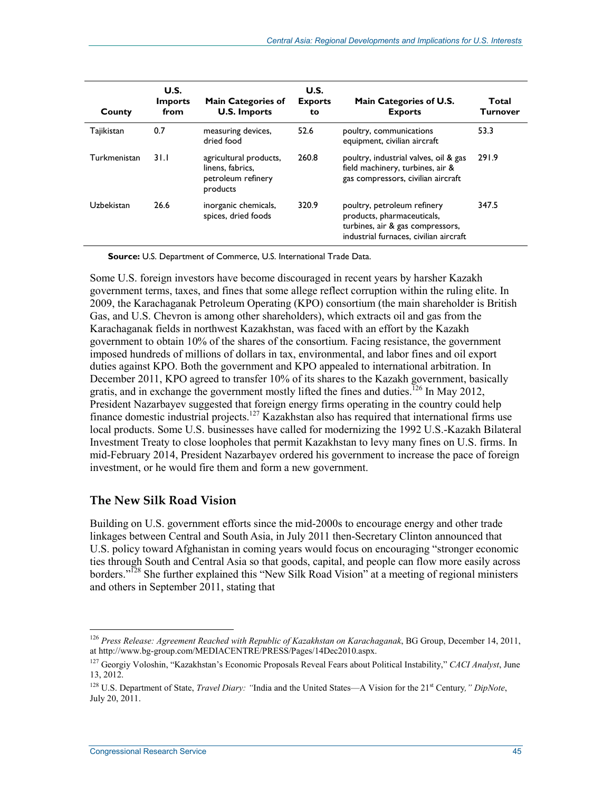| County       | U.S.<br><b>Imports</b><br>from | <b>Main Categories of</b><br><b>U.S. Imports</b>                             | U.S.<br><b>Exports</b><br>to | Main Categories of U.S.<br><b>Exports</b>                                                                                               | Total<br><b>Turnover</b> |
|--------------|--------------------------------|------------------------------------------------------------------------------|------------------------------|-----------------------------------------------------------------------------------------------------------------------------------------|--------------------------|
| Tajikistan   | 0.7                            | measuring devices,<br>dried food                                             | 52.6                         | poultry, communications<br>equipment, civilian aircraft                                                                                 | 53.3                     |
| Turkmenistan | 31.1                           | agricultural products,<br>linens, fabrics,<br>petroleum refinery<br>products | 260.8                        | poultry, industrial valves, oil & gas<br>field machinery, turbines, air &<br>gas compressors, civilian aircraft                         | 291.9                    |
| Uzbekistan   | 26.6                           | inorganic chemicals,<br>spices, dried foods                                  | 320.9                        | poultry, petroleum refinery<br>products, pharmaceuticals,<br>turbines, air & gas compressors,<br>industrial furnaces, civilian aircraft | 347.5                    |

**Source:** U.S. Department of Commerce, U.S. International Trade Data.

Some U.S. foreign investors have become discouraged in recent years by harsher Kazakh government terms, taxes, and fines that some allege reflect corruption within the ruling elite. In 2009, the Karachaganak Petroleum Operating (KPO) consortium (the main shareholder is British Gas, and U.S. Chevron is among other shareholders), which extracts oil and gas from the Karachaganak fields in northwest Kazakhstan, was faced with an effort by the Kazakh government to obtain 10% of the shares of the consortium. Facing resistance, the government imposed hundreds of millions of dollars in tax, environmental, and labor fines and oil export duties against KPO. Both the government and KPO appealed to international arbitration. In December 2011, KPO agreed to transfer 10% of its shares to the Kazakh government, basically gratis, and in exchange the government mostly lifted the fines and duties.<sup>126</sup> In May 2012, President Nazarbayev suggested that foreign energy firms operating in the country could help finance domestic industrial projects.<sup>127</sup> Kazakhstan also has required that international firms use local products. Some U.S. businesses have called for modernizing the 1992 U.S.-Kazakh Bilateral Investment Treaty to close loopholes that permit Kazakhstan to levy many fines on U.S. firms. In mid-February 2014, President Nazarbayev ordered his government to increase the pace of foreign investment, or he would fire them and form a new government.

#### **The New Silk Road Vision**

Building on U.S. government efforts since the mid-2000s to encourage energy and other trade linkages between Central and South Asia, in July 2011 then-Secretary Clinton announced that U.S. policy toward Afghanistan in coming years would focus on encouraging "stronger economic ties through South and Central Asia so that goods, capital, and people can flow more easily across borders."<sup>128</sup> She further explained this "New Silk Road Vision" at a meeting of regional ministers and others in September 2011, stating that

<sup>126</sup> *Press Release: Agreement Reached with Republic of Kazakhstan on Karachaganak*, BG Group, December 14, 2011, at http://www.bg-group.com/MEDIACENTRE/PRESS/Pages/14Dec2010.aspx.

<sup>127</sup> Georgiy Voloshin, "Kazakhstan's Economic Proposals Reveal Fears about Political Instability," *CACI Analyst*, June 13, 2012.

<sup>&</sup>lt;sup>128</sup> U.S. Department of State, *Travel Diary:* "India and the United States—A Vision for the 21<sup>st</sup> Century," DipNote, July 20, 2011.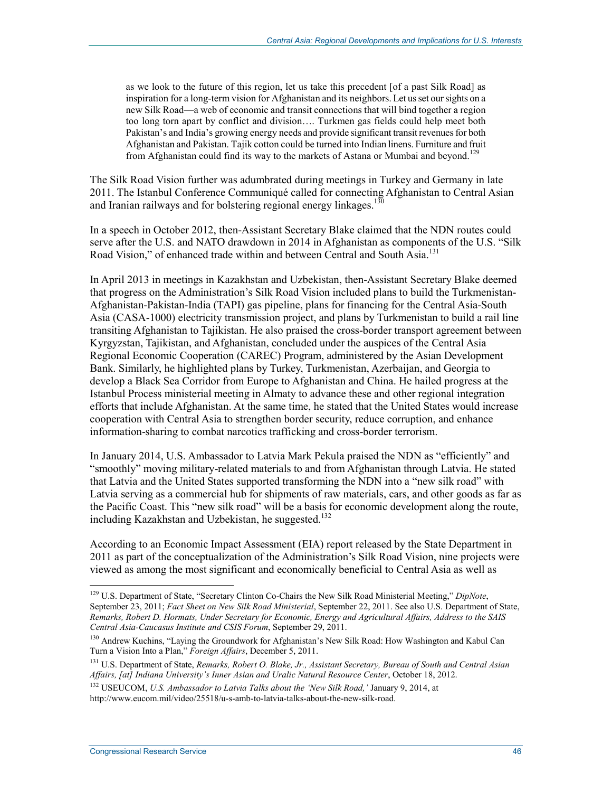as we look to the future of this region, let us take this precedent [of a past Silk Road] as inspiration for a long-term vision for Afghanistan and its neighbors. Let us set our sights on a new Silk Road—a web of economic and transit connections that will bind together a region too long torn apart by conflict and division…. Turkmen gas fields could help meet both Pakistan's and India's growing energy needs and provide significant transit revenues for both Afghanistan and Pakistan. Tajik cotton could be turned into Indian linens. Furniture and fruit from Afghanistan could find its way to the markets of Astana or Mumbai and beyond.<sup>129</sup>

The Silk Road Vision further was adumbrated during meetings in Turkey and Germany in late 2011. The Istanbul Conference Communiqué called for connecting Afghanistan to Central Asian and Iranian railways and for bolstering regional energy linkages.<sup>130</sup>

In a speech in October 2012, then-Assistant Secretary Blake claimed that the NDN routes could serve after the U.S. and NATO drawdown in 2014 in Afghanistan as components of the U.S. "Silk Road Vision," of enhanced trade within and between Central and South Asia.<sup>131</sup>

In April 2013 in meetings in Kazakhstan and Uzbekistan, then-Assistant Secretary Blake deemed that progress on the Administration's Silk Road Vision included plans to build the Turkmenistan-Afghanistan-Pakistan-India (TAPI) gas pipeline, plans for financing for the Central Asia-South Asia (CASA-1000) electricity transmission project, and plans by Turkmenistan to build a rail line transiting Afghanistan to Tajikistan. He also praised the cross-border transport agreement between Kyrgyzstan, Tajikistan, and Afghanistan, concluded under the auspices of the Central Asia Regional Economic Cooperation (CAREC) Program, administered by the Asian Development Bank. Similarly, he highlighted plans by Turkey, Turkmenistan, Azerbaijan, and Georgia to develop a Black Sea Corridor from Europe to Afghanistan and China. He hailed progress at the Istanbul Process ministerial meeting in Almaty to advance these and other regional integration efforts that include Afghanistan. At the same time, he stated that the United States would increase cooperation with Central Asia to strengthen border security, reduce corruption, and enhance information-sharing to combat narcotics trafficking and cross-border terrorism.

In January 2014, U.S. Ambassador to Latvia Mark Pekula praised the NDN as "efficiently" and "smoothly" moving military-related materials to and from Afghanistan through Latvia. He stated that Latvia and the United States supported transforming the NDN into a "new silk road" with Latvia serving as a commercial hub for shipments of raw materials, cars, and other goods as far as the Pacific Coast. This "new silk road" will be a basis for economic development along the route, including Kazakhstan and Uzbekistan, he suggested.<sup>132</sup>

According to an Economic Impact Assessment (EIA) report released by the State Department in 2011 as part of the conceptualization of the Administration's Silk Road Vision, nine projects were viewed as among the most significant and economically beneficial to Central Asia as well as

<sup>129</sup> U.S. Department of State, "Secretary Clinton Co-Chairs the New Silk Road Ministerial Meeting," *DipNote*, September 23, 2011; *Fact Sheet on New Silk Road Ministerial*, September 22, 2011. See also U.S. Department of State, *Remarks, Robert D. Hormats, Under Secretary for Economic, Energy and Agricultural Affairs, Address to the SAIS Central Asia-Caucasus Institute and CSIS Forum*, September 29, 2011.

<sup>130</sup> Andrew Kuchins, "Laying the Groundwork for Afghanistan's New Silk Road: How Washington and Kabul Can Turn a Vision Into a Plan," *Foreign Affairs*, December 5, 2011.

<sup>131</sup> U.S. Department of State, *Remarks, Robert O. Blake, Jr., Assistant Secretary, Bureau of South and Central Asian Affairs, [at] Indiana University's Inner Asian and Uralic Natural Resource Center*, October 18, 2012.

<sup>132</sup> USEUCOM, *U.S. Ambassador to Latvia Talks about the 'New Silk Road,'* January 9, 2014, at http://www.eucom.mil/video/25518/u-s-amb-to-latvia-talks-about-the-new-silk-road.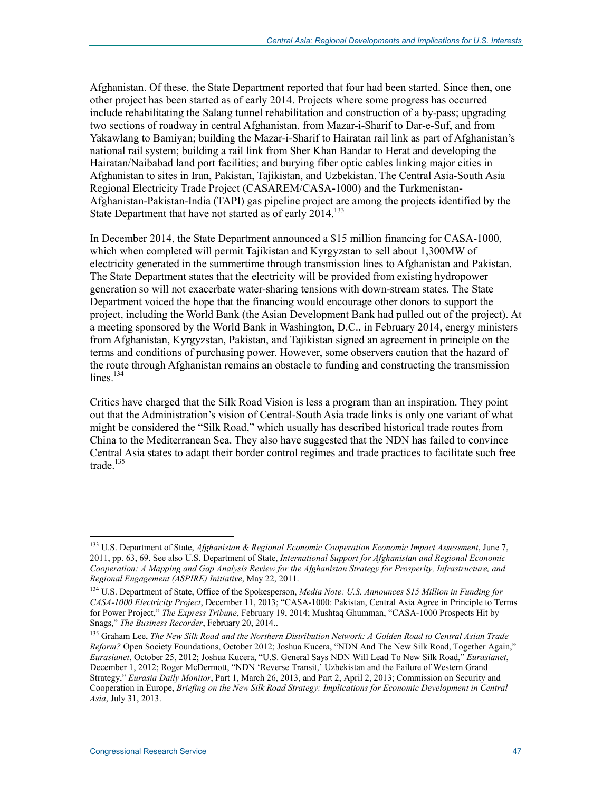Afghanistan. Of these, the State Department reported that four had been started. Since then, one other project has been started as of early 2014. Projects where some progress has occurred include rehabilitating the Salang tunnel rehabilitation and construction of a by-pass; upgrading two sections of roadway in central Afghanistan, from Mazar-i-Sharif to Dar-e-Suf, and from Yakawlang to Bamiyan; building the Mazar-i-Sharif to Hairatan rail link as part of Afghanistan's national rail system; building a rail link from Sher Khan Bandar to Herat and developing the Hairatan/Naibabad land port facilities; and burying fiber optic cables linking major cities in Afghanistan to sites in Iran, Pakistan, Tajikistan, and Uzbekistan. The Central Asia-South Asia Regional Electricity Trade Project (CASAREM/CASA-1000) and the Turkmenistan-Afghanistan-Pakistan-India (TAPI) gas pipeline project are among the projects identified by the State Department that have not started as of early 2014.<sup>133</sup>

In December 2014, the State Department announced a \$15 million financing for CASA-1000, which when completed will permit Tajikistan and Kyrgyzstan to sell about 1,300MW of electricity generated in the summertime through transmission lines to Afghanistan and Pakistan. The State Department states that the electricity will be provided from existing hydropower generation so will not exacerbate water-sharing tensions with down-stream states. The State Department voiced the hope that the financing would encourage other donors to support the project, including the World Bank (the Asian Development Bank had pulled out of the project). At a meeting sponsored by the World Bank in Washington, D.C., in February 2014, energy ministers from Afghanistan, Kyrgyzstan, Pakistan, and Tajikistan signed an agreement in principle on the terms and conditions of purchasing power. However, some observers caution that the hazard of the route through Afghanistan remains an obstacle to funding and constructing the transmission  $lines.$ <sup>134</sup>

Critics have charged that the Silk Road Vision is less a program than an inspiration. They point out that the Administration's vision of Central-South Asia trade links is only one variant of what might be considered the "Silk Road," which usually has described historical trade routes from China to the Mediterranean Sea. They also have suggested that the NDN has failed to convince Central Asia states to adapt their border control regimes and trade practices to facilitate such free trade. $135$ 

<sup>133</sup> U.S. Department of State, *Afghanistan & Regional Economic Cooperation Economic Impact Assessment*, June 7, 2011, pp. 63, 69. See also U.S. Department of State, *International Support for Afghanistan and Regional Economic Cooperation: A Mapping and Gap Analysis Review for the Afghanistan Strategy for Prosperity, Infrastructure, and Regional Engagement (ASPIRE) Initiative*, May 22, 2011.

<sup>134</sup> U.S. Department of State, Office of the Spokesperson, *Media Note: U.S. Announces \$15 Million in Funding for CASA-1000 Electricity Project*, December 11, 2013; "CASA-1000: Pakistan, Central Asia Agree in Principle to Terms for Power Project," *The Express Tribune*, February 19, 2014; Mushtaq Ghumman, "CASA-1000 Prospects Hit by Snags," *The Business Recorder*, February 20, 2014..

<sup>135</sup> Graham Lee, *The New Silk Road and the Northern Distribution Network: A Golden Road to Central Asian Trade Reform?* Open Society Foundations, October 2012; Joshua Kucera, "NDN And The New Silk Road, Together Again," *Eurasianet*, October 25, 2012; Joshua Kucera, "U.S. General Says NDN Will Lead To New Silk Road," *Eurasianet*, December 1, 2012; Roger McDermott, "NDN 'Reverse Transit,' Uzbekistan and the Failure of Western Grand Strategy," *Eurasia Daily Monitor*, Part 1, March 26, 2013, and Part 2, April 2, 2013; Commission on Security and Cooperation in Europe, *Briefing on the New Silk Road Strategy: Implications for Economic Development in Central Asia*, July 31, 2013.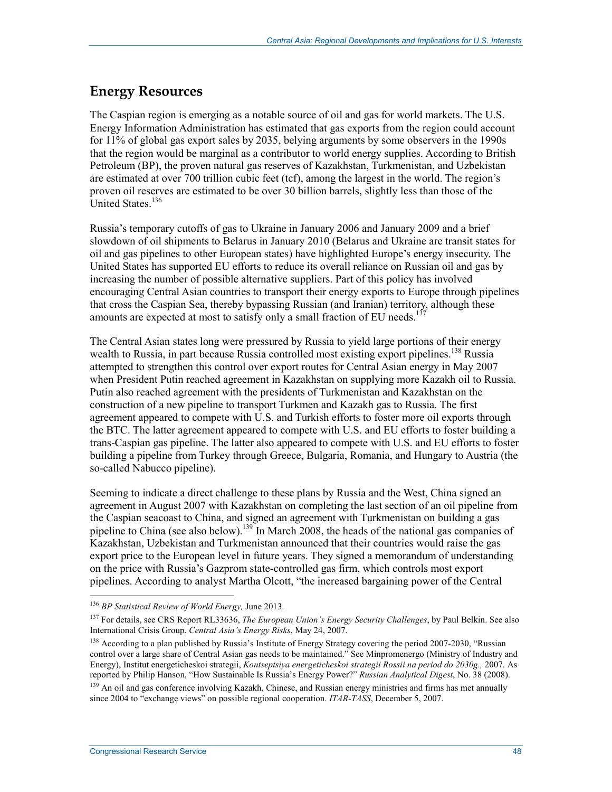## **Energy Resources**

The Caspian region is emerging as a notable source of oil and gas for world markets. The U.S. Energy Information Administration has estimated that gas exports from the region could account for 11% of global gas export sales by 2035, belying arguments by some observers in the 1990s that the region would be marginal as a contributor to world energy supplies. According to British Petroleum (BP), the proven natural gas reserves of Kazakhstan, Turkmenistan, and Uzbekistan are estimated at over 700 trillion cubic feet (tcf), among the largest in the world. The region's proven oil reserves are estimated to be over 30 billion barrels, slightly less than those of the United States.<sup>136</sup>

Russia's temporary cutoffs of gas to Ukraine in January 2006 and January 2009 and a brief slowdown of oil shipments to Belarus in January 2010 (Belarus and Ukraine are transit states for oil and gas pipelines to other European states) have highlighted Europe's energy insecurity. The United States has supported EU efforts to reduce its overall reliance on Russian oil and gas by increasing the number of possible alternative suppliers. Part of this policy has involved encouraging Central Asian countries to transport their energy exports to Europe through pipelines that cross the Caspian Sea, thereby bypassing Russian (and Iranian) territory, although these amounts are expected at most to satisfy only a small fraction of EU needs.<sup>13</sup>

The Central Asian states long were pressured by Russia to yield large portions of their energy wealth to Russia, in part because Russia controlled most existing export pipelines.<sup>138</sup> Russia attempted to strengthen this control over export routes for Central Asian energy in May 2007 when President Putin reached agreement in Kazakhstan on supplying more Kazakh oil to Russia. Putin also reached agreement with the presidents of Turkmenistan and Kazakhstan on the construction of a new pipeline to transport Turkmen and Kazakh gas to Russia. The first agreement appeared to compete with U.S. and Turkish efforts to foster more oil exports through the BTC. The latter agreement appeared to compete with U.S. and EU efforts to foster building a trans-Caspian gas pipeline. The latter also appeared to compete with U.S. and EU efforts to foster building a pipeline from Turkey through Greece, Bulgaria, Romania, and Hungary to Austria (the so-called Nabucco pipeline).

Seeming to indicate a direct challenge to these plans by Russia and the West, China signed an agreement in August 2007 with Kazakhstan on completing the last section of an oil pipeline from the Caspian seacoast to China, and signed an agreement with Turkmenistan on building a gas pipeline to China (see also below).<sup>139</sup> In March 2008, the heads of the national gas companies of Kazakhstan, Uzbekistan and Turkmenistan announced that their countries would raise the gas export price to the European level in future years. They signed a memorandum of understanding on the price with Russia's Gazprom state-controlled gas firm, which controls most export pipelines. According to analyst Martha Olcott, "the increased bargaining power of the Central

<sup>136</sup> *BP Statistical Review of World Energy,* June 2013.

<sup>137</sup> For details, see CRS Report RL33636, *The European Union's Energy Security Challenges*, by Paul Belkin. See also International Crisis Group. *Central Asia's Energy Risks*, May 24, 2007.

<sup>&</sup>lt;sup>138</sup> According to a plan published by Russia's Institute of Energy Strategy covering the period 2007-2030, "Russian control over a large share of Central Asian gas needs to be maintained." See Minpromenergo (Ministry of Industry and Energy), Institut energeticheskoi strategii, *Kontseptsiya energeticheskoi strategii Rossii na period do 2030g.,* 2007. As reported by Philip Hanson, "How Sustainable Is Russia's Energy Power?" *Russian Analytical Digest*, No. 38 (2008).

<sup>&</sup>lt;sup>139</sup> An oil and gas conference involving Kazakh, Chinese, and Russian energy ministries and firms has met annually since 2004 to "exchange views" on possible regional cooperation. *ITAR-TASS*, December 5, 2007.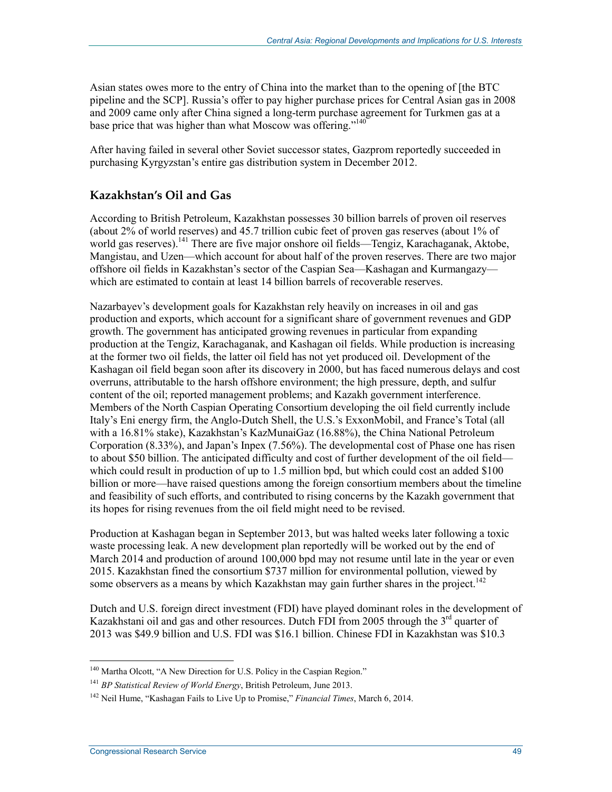Asian states owes more to the entry of China into the market than to the opening of [the BTC pipeline and the SCP]. Russia's offer to pay higher purchase prices for Central Asian gas in 2008 and 2009 came only after China signed a long-term purchase agreement for Turkmen gas at a base price that was higher than what Moscow was offering."<sup>140</sup>

After having failed in several other Soviet successor states, Gazprom reportedly succeeded in purchasing Kyrgyzstan's entire gas distribution system in December 2012.

### **Kazakhstan's Oil and Gas**

According to British Petroleum, Kazakhstan possesses 30 billion barrels of proven oil reserves (about 2% of world reserves) and 45.7 trillion cubic feet of proven gas reserves (about 1% of world gas reserves).<sup>141</sup> There are five major onshore oil fields—Tengiz, Karachaganak, Aktobe, Mangistau, and Uzen—which account for about half of the proven reserves. There are two major offshore oil fields in Kazakhstan's sector of the Caspian Sea—Kashagan and Kurmangazy which are estimated to contain at least 14 billion barrels of recoverable reserves.

Nazarbayev's development goals for Kazakhstan rely heavily on increases in oil and gas production and exports, which account for a significant share of government revenues and GDP growth. The government has anticipated growing revenues in particular from expanding production at the Tengiz, Karachaganak, and Kashagan oil fields. While production is increasing at the former two oil fields, the latter oil field has not yet produced oil. Development of the Kashagan oil field began soon after its discovery in 2000, but has faced numerous delays and cost overruns, attributable to the harsh offshore environment; the high pressure, depth, and sulfur content of the oil; reported management problems; and Kazakh government interference. Members of the North Caspian Operating Consortium developing the oil field currently include Italy's Eni energy firm, the Anglo-Dutch Shell, the U.S.'s ExxonMobil, and France's Total (all with a 16.81% stake), Kazakhstan's KazMunaiGaz (16.88%), the China National Petroleum Corporation (8.33%), and Japan's Inpex (7.56%). The developmental cost of Phase one has risen to about \$50 billion. The anticipated difficulty and cost of further development of the oil field which could result in production of up to 1.5 million bpd, but which could cost an added \$100 billion or more—have raised questions among the foreign consortium members about the timeline and feasibility of such efforts, and contributed to rising concerns by the Kazakh government that its hopes for rising revenues from the oil field might need to be revised.

Production at Kashagan began in September 2013, but was halted weeks later following a toxic waste processing leak. A new development plan reportedly will be worked out by the end of March 2014 and production of around 100,000 bpd may not resume until late in the year or even 2015. Kazakhstan fined the consortium \$737 million for environmental pollution, viewed by some observers as a means by which Kazakhstan may gain further shares in the project.<sup>142</sup>

Dutch and U.S. foreign direct investment (FDI) have played dominant roles in the development of Kazakhstani oil and gas and other resources. Dutch FDI from 2005 through the  $3<sup>rd</sup>$  quarter of 2013 was \$49.9 billion and U.S. FDI was \$16.1 billion. Chinese FDI in Kazakhstan was \$10.3

<sup>&</sup>lt;sup>140</sup> Martha Olcott, "A New Direction for U.S. Policy in the Caspian Region."

<sup>141</sup> *BP Statistical Review of World Energy*, British Petroleum, June 2013.

<sup>142</sup> Neil Hume, "Kashagan Fails to Live Up to Promise," *Financial Times*, March 6, 2014.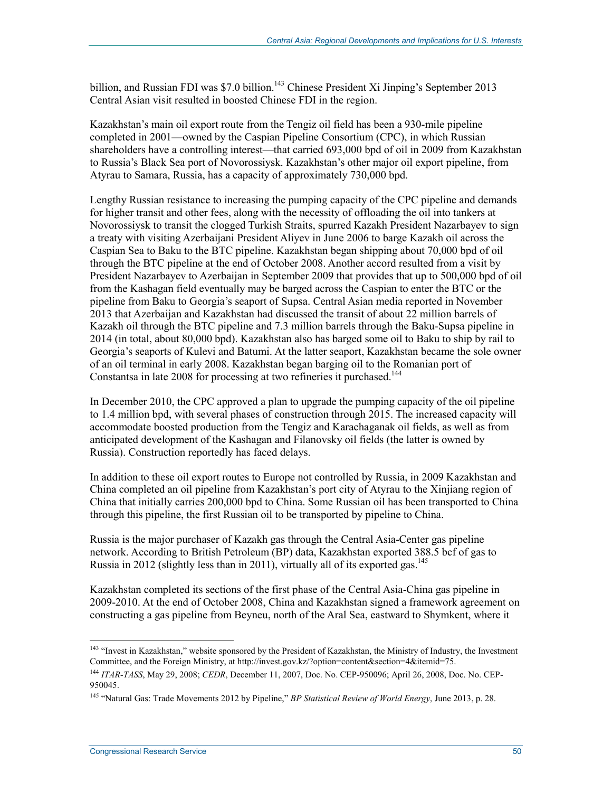billion, and Russian FDI was \$7.0 billion.<sup>143</sup> Chinese President Xi Jinping's September 2013 Central Asian visit resulted in boosted Chinese FDI in the region.

Kazakhstan's main oil export route from the Tengiz oil field has been a 930-mile pipeline completed in 2001—owned by the Caspian Pipeline Consortium (CPC), in which Russian shareholders have a controlling interest—that carried 693,000 bpd of oil in 2009 from Kazakhstan to Russia's Black Sea port of Novorossiysk. Kazakhstan's other major oil export pipeline, from Atyrau to Samara, Russia, has a capacity of approximately 730,000 bpd.

Lengthy Russian resistance to increasing the pumping capacity of the CPC pipeline and demands for higher transit and other fees, along with the necessity of offloading the oil into tankers at Novorossiysk to transit the clogged Turkish Straits, spurred Kazakh President Nazarbayev to sign a treaty with visiting Azerbaijani President Aliyev in June 2006 to barge Kazakh oil across the Caspian Sea to Baku to the BTC pipeline. Kazakhstan began shipping about 70,000 bpd of oil through the BTC pipeline at the end of October 2008. Another accord resulted from a visit by President Nazarbayev to Azerbaijan in September 2009 that provides that up to 500,000 bpd of oil from the Kashagan field eventually may be barged across the Caspian to enter the BTC or the pipeline from Baku to Georgia's seaport of Supsa. Central Asian media reported in November 2013 that Azerbaijan and Kazakhstan had discussed the transit of about 22 million barrels of Kazakh oil through the BTC pipeline and 7.3 million barrels through the Baku-Supsa pipeline in 2014 (in total, about 80,000 bpd). Kazakhstan also has barged some oil to Baku to ship by rail to Georgia's seaports of Kulevi and Batumi. At the latter seaport, Kazakhstan became the sole owner of an oil terminal in early 2008. Kazakhstan began barging oil to the Romanian port of Constantsa in late 2008 for processing at two refineries it purchased.<sup>144</sup>

In December 2010, the CPC approved a plan to upgrade the pumping capacity of the oil pipeline to 1.4 million bpd, with several phases of construction through 2015. The increased capacity will accommodate boosted production from the Tengiz and Karachaganak oil fields, as well as from anticipated development of the Kashagan and Filanovsky oil fields (the latter is owned by Russia). Construction reportedly has faced delays.

In addition to these oil export routes to Europe not controlled by Russia, in 2009 Kazakhstan and China completed an oil pipeline from Kazakhstan's port city of Atyrau to the Xinjiang region of China that initially carries 200,000 bpd to China. Some Russian oil has been transported to China through this pipeline, the first Russian oil to be transported by pipeline to China.

Russia is the major purchaser of Kazakh gas through the Central Asia-Center gas pipeline network. According to British Petroleum (BP) data, Kazakhstan exported 388.5 bcf of gas to Russia in 2012 (slightly less than in 2011), virtually all of its exported gas.<sup>145</sup>

Kazakhstan completed its sections of the first phase of the Central Asia-China gas pipeline in 2009-2010. At the end of October 2008, China and Kazakhstan signed a framework agreement on constructing a gas pipeline from Beyneu, north of the Aral Sea, eastward to Shymkent, where it

<sup>&</sup>lt;sup>143</sup> "Invest in Kazakhstan," website sponsored by the President of Kazakhstan, the Ministry of Industry, the Investment Committee, and the Foreign Ministry, at http://invest.gov.kz/?option=content&section=4&itemid=75.

<sup>144</sup> *ITAR-TASS*, May 29, 2008; *CEDR*, December 11, 2007, Doc. No. CEP-950096; April 26, 2008, Doc. No. CEP-950045.

<sup>145 &</sup>quot;Natural Gas: Trade Movements 2012 by Pipeline," *BP Statistical Review of World Energy*, June 2013, p. 28.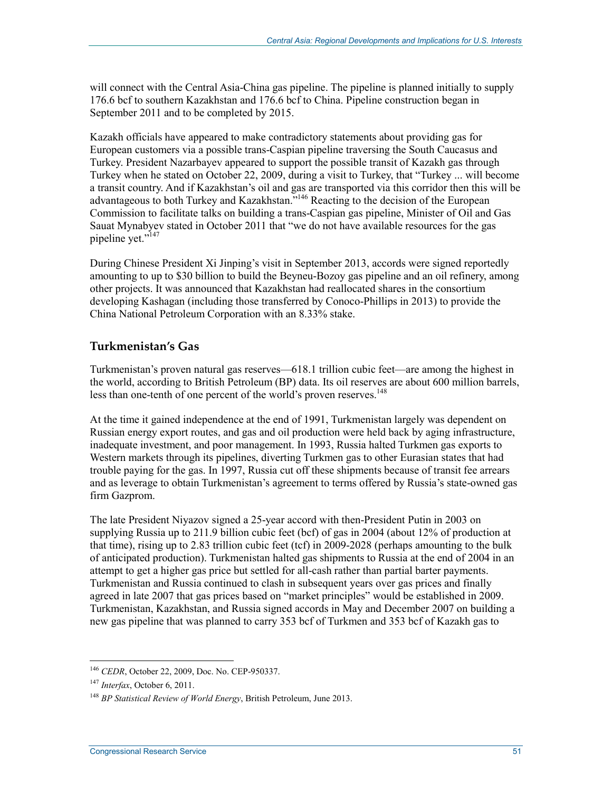will connect with the Central Asia-China gas pipeline. The pipeline is planned initially to supply 176.6 bcf to southern Kazakhstan and 176.6 bcf to China. Pipeline construction began in September 2011 and to be completed by 2015.

Kazakh officials have appeared to make contradictory statements about providing gas for European customers via a possible trans-Caspian pipeline traversing the South Caucasus and Turkey. President Nazarbayev appeared to support the possible transit of Kazakh gas through Turkey when he stated on October 22, 2009, during a visit to Turkey, that "Turkey ... will become a transit country. And if Kazakhstan's oil and gas are transported via this corridor then this will be advantageous to both Turkey and Kazakhstan."<sup>146</sup> Reacting to the decision of the European Commission to facilitate talks on building a trans-Caspian gas pipeline, Minister of Oil and Gas Sauat Mynabyev stated in October 2011 that "we do not have available resources for the gas pipeline yet."<sup>147</sup>

During Chinese President Xi Jinping's visit in September 2013, accords were signed reportedly amounting to up to \$30 billion to build the Beyneu-Bozoy gas pipeline and an oil refinery, among other projects. It was announced that Kazakhstan had reallocated shares in the consortium developing Kashagan (including those transferred by Conoco-Phillips in 2013) to provide the China National Petroleum Corporation with an 8.33% stake.

#### **Turkmenistan's Gas**

Turkmenistan's proven natural gas reserves—618.1 trillion cubic feet—are among the highest in the world, according to British Petroleum (BP) data. Its oil reserves are about 600 million barrels, less than one-tenth of one percent of the world's proven reserves.<sup>148</sup>

At the time it gained independence at the end of 1991, Turkmenistan largely was dependent on Russian energy export routes, and gas and oil production were held back by aging infrastructure, inadequate investment, and poor management. In 1993, Russia halted Turkmen gas exports to Western markets through its pipelines, diverting Turkmen gas to other Eurasian states that had trouble paying for the gas. In 1997, Russia cut off these shipments because of transit fee arrears and as leverage to obtain Turkmenistan's agreement to terms offered by Russia's state-owned gas firm Gazprom.

The late President Niyazov signed a 25-year accord with then-President Putin in 2003 on supplying Russia up to 211.9 billion cubic feet (bcf) of gas in 2004 (about 12% of production at that time), rising up to 2.83 trillion cubic feet (tcf) in 2009-2028 (perhaps amounting to the bulk of anticipated production). Turkmenistan halted gas shipments to Russia at the end of 2004 in an attempt to get a higher gas price but settled for all-cash rather than partial barter payments. Turkmenistan and Russia continued to clash in subsequent years over gas prices and finally agreed in late 2007 that gas prices based on "market principles" would be established in 2009. Turkmenistan, Kazakhstan, and Russia signed accords in May and December 2007 on building a new gas pipeline that was planned to carry 353 bcf of Turkmen and 353 bcf of Kazakh gas to

<sup>146</sup> *CEDR*, October 22, 2009, Doc. No. CEP-950337.

<sup>147</sup> *Interfax*, October 6, 2011.

<sup>148</sup> *BP Statistical Review of World Energy*, British Petroleum, June 2013.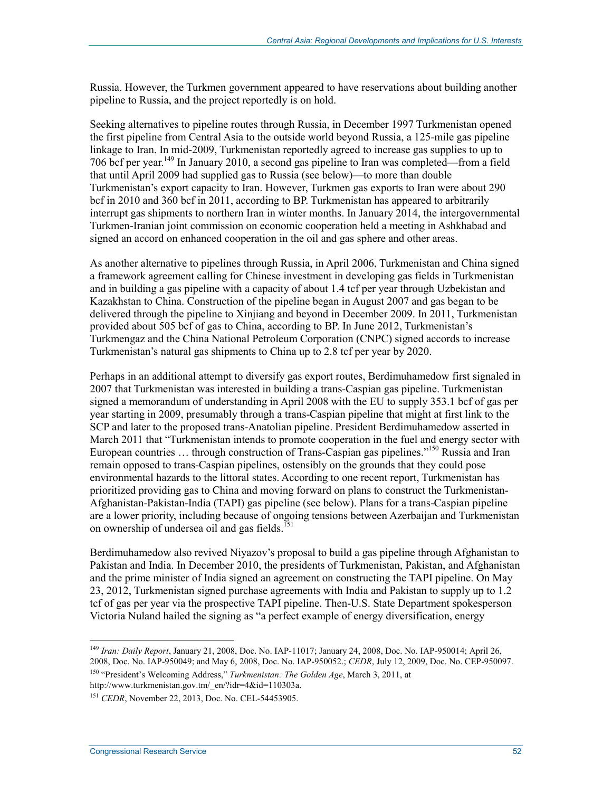Russia. However, the Turkmen government appeared to have reservations about building another pipeline to Russia, and the project reportedly is on hold.

Seeking alternatives to pipeline routes through Russia, in December 1997 Turkmenistan opened the first pipeline from Central Asia to the outside world beyond Russia, a 125-mile gas pipeline linkage to Iran. In mid-2009, Turkmenistan reportedly agreed to increase gas supplies to up to 706 bcf per year.149 In January 2010, a second gas pipeline to Iran was completed—from a field that until April 2009 had supplied gas to Russia (see below)—to more than double Turkmenistan's export capacity to Iran. However, Turkmen gas exports to Iran were about 290 bcf in 2010 and 360 bcf in 2011, according to BP. Turkmenistan has appeared to arbitrarily interrupt gas shipments to northern Iran in winter months. In January 2014, the intergovernmental Turkmen-Iranian joint commission on economic cooperation held a meeting in Ashkhabad and signed an accord on enhanced cooperation in the oil and gas sphere and other areas.

As another alternative to pipelines through Russia, in April 2006, Turkmenistan and China signed a framework agreement calling for Chinese investment in developing gas fields in Turkmenistan and in building a gas pipeline with a capacity of about 1.4 tcf per year through Uzbekistan and Kazakhstan to China. Construction of the pipeline began in August 2007 and gas began to be delivered through the pipeline to Xinjiang and beyond in December 2009. In 2011, Turkmenistan provided about 505 bcf of gas to China, according to BP. In June 2012, Turkmenistan's Turkmengaz and the China National Petroleum Corporation (CNPC) signed accords to increase Turkmenistan's natural gas shipments to China up to 2.8 tcf per year by 2020.

Perhaps in an additional attempt to diversify gas export routes, Berdimuhamedow first signaled in 2007 that Turkmenistan was interested in building a trans-Caspian gas pipeline. Turkmenistan signed a memorandum of understanding in April 2008 with the EU to supply 353.1 bcf of gas per year starting in 2009, presumably through a trans-Caspian pipeline that might at first link to the SCP and later to the proposed trans-Anatolian pipeline. President Berdimuhamedow asserted in March 2011 that "Turkmenistan intends to promote cooperation in the fuel and energy sector with European countries ... through construction of Trans-Caspian gas pipelines."<sup>150</sup> Russia and Iran remain opposed to trans-Caspian pipelines, ostensibly on the grounds that they could pose environmental hazards to the littoral states. According to one recent report, Turkmenistan has prioritized providing gas to China and moving forward on plans to construct the Turkmenistan-Afghanistan-Pakistan-India (TAPI) gas pipeline (see below). Plans for a trans-Caspian pipeline are a lower priority, including because of ongoing tensions between Azerbaijan and Turkmenistan on ownership of undersea oil and gas fields.<sup>151</sup>

Berdimuhamedow also revived Niyazov's proposal to build a gas pipeline through Afghanistan to Pakistan and India. In December 2010, the presidents of Turkmenistan, Pakistan, and Afghanistan and the prime minister of India signed an agreement on constructing the TAPI pipeline. On May 23, 2012, Turkmenistan signed purchase agreements with India and Pakistan to supply up to 1.2 tcf of gas per year via the prospective TAPI pipeline. Then-U.S. State Department spokesperson Victoria Nuland hailed the signing as "a perfect example of energy diversification, energy

<sup>1</sup> <sup>149</sup> *Iran: Daily Report*, January 21, 2008, Doc. No. IAP-11017; January 24, 2008, Doc. No. IAP-950014; April 26, 2008, Doc. No. IAP-950049; and May 6, 2008, Doc. No. IAP-950052.; *CEDR*, July 12, 2009, Doc. No. CEP-950097.

<sup>150 &</sup>quot;President's Welcoming Address," *Turkmenistan: The Golden Age*, March 3, 2011, at http://www.turkmenistan.gov.tm/\_en/?idr=4&id=110303a.

<sup>151</sup> *CEDR*, November 22, 2013, Doc. No. CEL-54453905.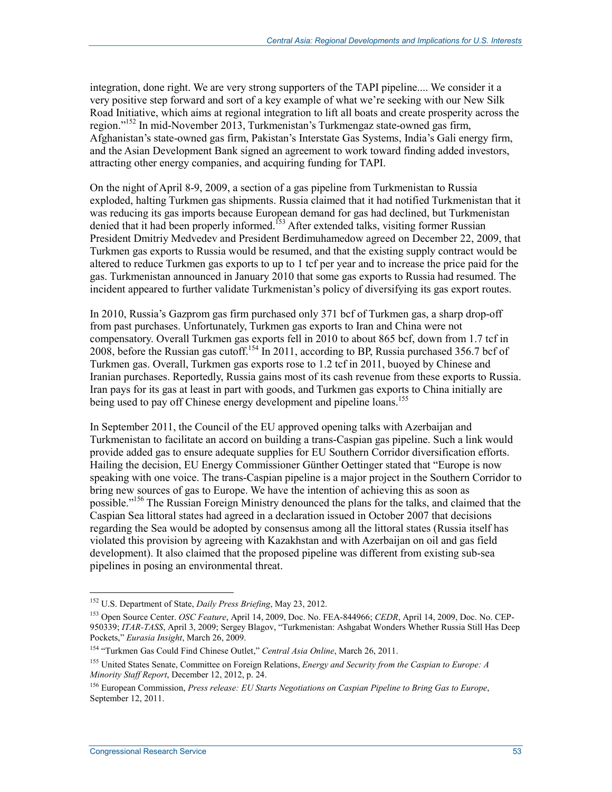integration, done right. We are very strong supporters of the TAPI pipeline.... We consider it a very positive step forward and sort of a key example of what we're seeking with our New Silk Road Initiative, which aims at regional integration to lift all boats and create prosperity across the region."152 In mid-November 2013, Turkmenistan's Turkmengaz state-owned gas firm, Afghanistan's state-owned gas firm, Pakistan's Interstate Gas Systems, India's Gali energy firm, and the Asian Development Bank signed an agreement to work toward finding added investors, attracting other energy companies, and acquiring funding for TAPI.

On the night of April 8-9, 2009, a section of a gas pipeline from Turkmenistan to Russia exploded, halting Turkmen gas shipments. Russia claimed that it had notified Turkmenistan that it was reducing its gas imports because European demand for gas had declined, but Turkmenistan denied that it had been properly informed.153 After extended talks, visiting former Russian President Dmitriy Medvedev and President Berdimuhamedow agreed on December 22, 2009, that Turkmen gas exports to Russia would be resumed, and that the existing supply contract would be altered to reduce Turkmen gas exports to up to 1 tcf per year and to increase the price paid for the gas. Turkmenistan announced in January 2010 that some gas exports to Russia had resumed. The incident appeared to further validate Turkmenistan's policy of diversifying its gas export routes.

In 2010, Russia's Gazprom gas firm purchased only 371 bcf of Turkmen gas, a sharp drop-off from past purchases. Unfortunately, Turkmen gas exports to Iran and China were not compensatory. Overall Turkmen gas exports fell in 2010 to about 865 bcf, down from 1.7 tcf in 2008, before the Russian gas cutoff.<sup>154</sup> In 2011, according to BP, Russia purchased 356.7 bcf of Turkmen gas. Overall, Turkmen gas exports rose to 1.2 tcf in 2011, buoyed by Chinese and Iranian purchases. Reportedly, Russia gains most of its cash revenue from these exports to Russia. Iran pays for its gas at least in part with goods, and Turkmen gas exports to China initially are being used to pay off Chinese energy development and pipeline loans.<sup>155</sup>

In September 2011, the Council of the EU approved opening talks with Azerbaijan and Turkmenistan to facilitate an accord on building a trans-Caspian gas pipeline. Such a link would provide added gas to ensure adequate supplies for EU Southern Corridor diversification efforts. Hailing the decision, EU Energy Commissioner Günther Oettinger stated that "Europe is now speaking with one voice. The trans-Caspian pipeline is a major project in the Southern Corridor to bring new sources of gas to Europe. We have the intention of achieving this as soon as possible."156 The Russian Foreign Ministry denounced the plans for the talks, and claimed that the Caspian Sea littoral states had agreed in a declaration issued in October 2007 that decisions regarding the Sea would be adopted by consensus among all the littoral states (Russia itself has violated this provision by agreeing with Kazakhstan and with Azerbaijan on oil and gas field development). It also claimed that the proposed pipeline was different from existing sub-sea pipelines in posing an environmental threat.

<sup>152</sup> U.S. Department of State, *Daily Press Briefing*, May 23, 2012.

<sup>153</sup> Open Source Center. *OSC Feature*, April 14, 2009, Doc. No. FEA-844966; *CEDR*, April 14, 2009, Doc. No. CEP-950339; *ITAR-TASS*, April 3, 2009; Sergey Blagov, "Turkmenistan: Ashgabat Wonders Whether Russia Still Has Deep Pockets," *Eurasia Insight*, March 26, 2009.

<sup>154 &</sup>quot;Turkmen Gas Could Find Chinese Outlet," *Central Asia Online*, March 26, 2011.

<sup>155</sup> United States Senate, Committee on Foreign Relations, *Energy and Security from the Caspian to Europe: A Minority Staff Report*, December 12, 2012, p. 24.

<sup>156</sup> European Commission, *Press release: EU Starts Negotiations on Caspian Pipeline to Bring Gas to Europe*, September 12, 2011.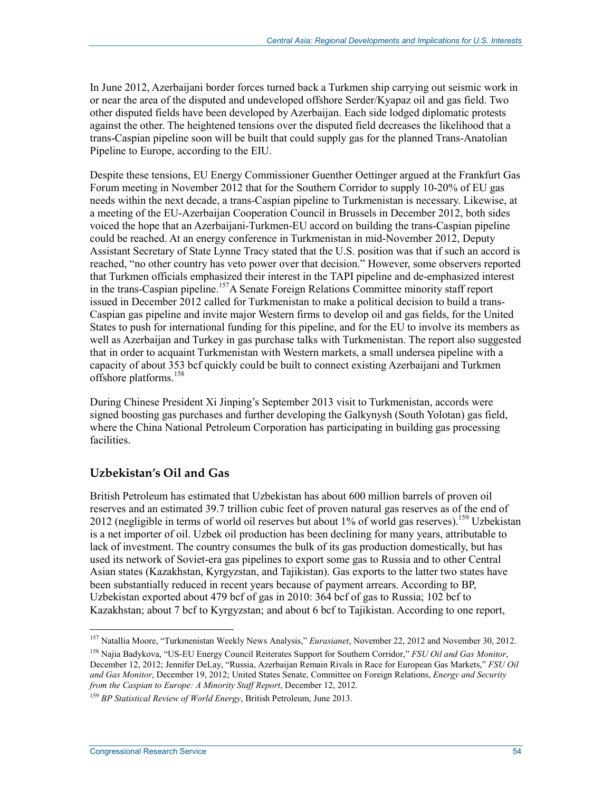In June 2012, Azerbaijani border forces turned back a Turkmen ship carrying out seismic work in or near the area of the disputed and undeveloped offshore Serder/Kyapaz oil and gas field. Two other disputed fields have been developed by Azerbaijan. Each side lodged diplomatic protests against the other. The heightened tensions over the disputed field decreases the likelihood that a trans-Caspian pipeline soon will be built that could supply gas for the planned Trans-Anatolian Pipeline to Europe, according to the EIU.

Despite these tensions, EU Energy Commissioner Guenther Oettinger argued at the Frankfurt Gas Forum meeting in November 2012 that for the Southern Corridor to supply 10-20% of EU gas needs within the next decade, a trans-Caspian pipeline to Turkmenistan is necessary. Likewise, at a meeting of the EU-Azerbaijan Cooperation Council in Brussels in December 2012, both sides voiced the hope that an Azerbaijani-Turkmen-EU accord on building the trans-Caspian pipeline could be reached. At an energy conference in Turkmenistan in mid-November 2012, Deputy Assistant Secretary of State Lynne Tracy stated that the U.S. position was that if such an accord is reached, "no other country has veto power over that decision." However, some observers reported that Turkmen officials emphasized their interest in the TAPI pipeline and de-emphasized interest in the trans-Caspian pipeline.<sup>157</sup>A Senate Foreign Relations Committee minority staff report issued in December 2012 called for Turkmenistan to make a political decision to build a trans-Caspian gas pipeline and invite major Western firms to develop oil and gas fields, for the United States to push for international funding for this pipeline, and for the EU to involve its members as well as Azerbaijan and Turkey in gas purchase talks with Turkmenistan. The report also suggested that in order to acquaint Turkmenistan with Western markets, a small undersea pipeline with a capacity of about 353 bcf quickly could be built to connect existing Azerbaijani and Turkmen offshore platforms.<sup>158</sup>

During Chinese President Xi Jinping's September 2013 visit to Turkmenistan, accords were signed boosting gas purchases and further developing the Galkynysh (South Yolotan) gas field, where the China National Petroleum Corporation has participating in building gas processing facilities.

### **Uzbekistan's Oil and Gas**

British Petroleum has estimated that Uzbekistan has about 600 million barrels of proven oil reserves and an estimated 39.7 trillion cubic feet of proven natural gas reserves as of the end of 2012 (negligible in terms of world oil reserves but about  $1\%$  of world gas reserves).<sup>159</sup> Uzbekistan is a net importer of oil. Uzbek oil production has been declining for many years, attributable to lack of investment. The country consumes the bulk of its gas production domestically, but has used its network of Soviet-era gas pipelines to export some gas to Russia and to other Central Asian states (Kazakhstan, Kyrgyzstan, and Tajikistan). Gas exports to the latter two states have been substantially reduced in recent years because of payment arrears. According to BP, Uzbekistan exported about 479 bcf of gas in 2010: 364 bcf of gas to Russia; 102 bcf to Kazakhstan; about 7 bcf to Kyrgyzstan; and about 6 bcf to Tajikistan. According to one report,

<sup>157</sup> Natallia Moore, "Turkmenistan Weekly News Analysis," *Eurasianet*, November 22, 2012 and November 30, 2012.

<sup>158</sup> Najia Badykova, "US-EU Energy Council Reiterates Support for Southern Corridor," *FSU Oil and Gas Monitor*, December 12, 2012; Jennifer DeLay, "Russia, Azerbaijan Remain Rivals in Race for European Gas Markets," *FSU Oil and Gas Monitor*, December 19, 2012; United States Senate, Committee on Foreign Relations, *Energy and Security from the Caspian to Europe: A Minority Staff Report*, December 12, 2012.

<sup>159</sup> *BP Statistical Review of World Energy*, British Petroleum, June 2013.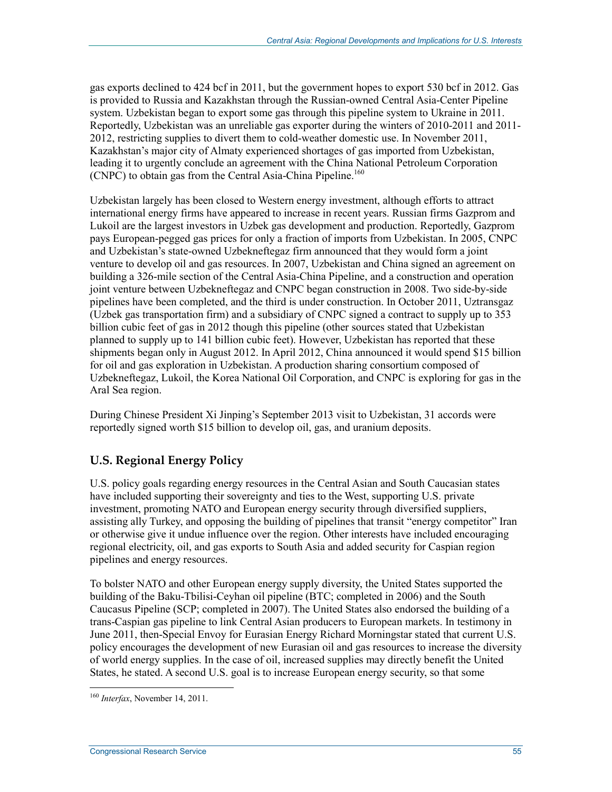gas exports declined to 424 bcf in 2011, but the government hopes to export 530 bcf in 2012. Gas is provided to Russia and Kazakhstan through the Russian-owned Central Asia-Center Pipeline system. Uzbekistan began to export some gas through this pipeline system to Ukraine in 2011. Reportedly, Uzbekistan was an unreliable gas exporter during the winters of 2010-2011 and 2011- 2012, restricting supplies to divert them to cold-weather domestic use. In November 2011, Kazakhstan's major city of Almaty experienced shortages of gas imported from Uzbekistan, leading it to urgently conclude an agreement with the China National Petroleum Corporation (CNPC) to obtain gas from the Central Asia-China Pipeline.<sup>160</sup>

Uzbekistan largely has been closed to Western energy investment, although efforts to attract international energy firms have appeared to increase in recent years. Russian firms Gazprom and Lukoil are the largest investors in Uzbek gas development and production. Reportedly, Gazprom pays European-pegged gas prices for only a fraction of imports from Uzbekistan. In 2005, CNPC and Uzbekistan's state-owned Uzbekneftegaz firm announced that they would form a joint venture to develop oil and gas resources. In 2007, Uzbekistan and China signed an agreement on building a 326-mile section of the Central Asia-China Pipeline, and a construction and operation joint venture between Uzbekneftegaz and CNPC began construction in 2008. Two side-by-side pipelines have been completed, and the third is under construction. In October 2011, Uztransgaz (Uzbek gas transportation firm) and a subsidiary of CNPC signed a contract to supply up to 353 billion cubic feet of gas in 2012 though this pipeline (other sources stated that Uzbekistan planned to supply up to 141 billion cubic feet). However, Uzbekistan has reported that these shipments began only in August 2012. In April 2012, China announced it would spend \$15 billion for oil and gas exploration in Uzbekistan. A production sharing consortium composed of Uzbekneftegaz, Lukoil, the Korea National Oil Corporation, and CNPC is exploring for gas in the Aral Sea region.

During Chinese President Xi Jinping's September 2013 visit to Uzbekistan, 31 accords were reportedly signed worth \$15 billion to develop oil, gas, and uranium deposits.

### **U.S. Regional Energy Policy**

U.S. policy goals regarding energy resources in the Central Asian and South Caucasian states have included supporting their sovereignty and ties to the West, supporting U.S. private investment, promoting NATO and European energy security through diversified suppliers, assisting ally Turkey, and opposing the building of pipelines that transit "energy competitor" Iran or otherwise give it undue influence over the region. Other interests have included encouraging regional electricity, oil, and gas exports to South Asia and added security for Caspian region pipelines and energy resources.

To bolster NATO and other European energy supply diversity, the United States supported the building of the Baku-Tbilisi-Ceyhan oil pipeline (BTC; completed in 2006) and the South Caucasus Pipeline (SCP; completed in 2007). The United States also endorsed the building of a trans-Caspian gas pipeline to link Central Asian producers to European markets. In testimony in June 2011, then-Special Envoy for Eurasian Energy Richard Morningstar stated that current U.S. policy encourages the development of new Eurasian oil and gas resources to increase the diversity of world energy supplies. In the case of oil, increased supplies may directly benefit the United States, he stated. A second U.S. goal is to increase European energy security, so that some

<sup>&</sup>lt;u>.</u> <sup>160</sup> *Interfax*, November 14, 2011.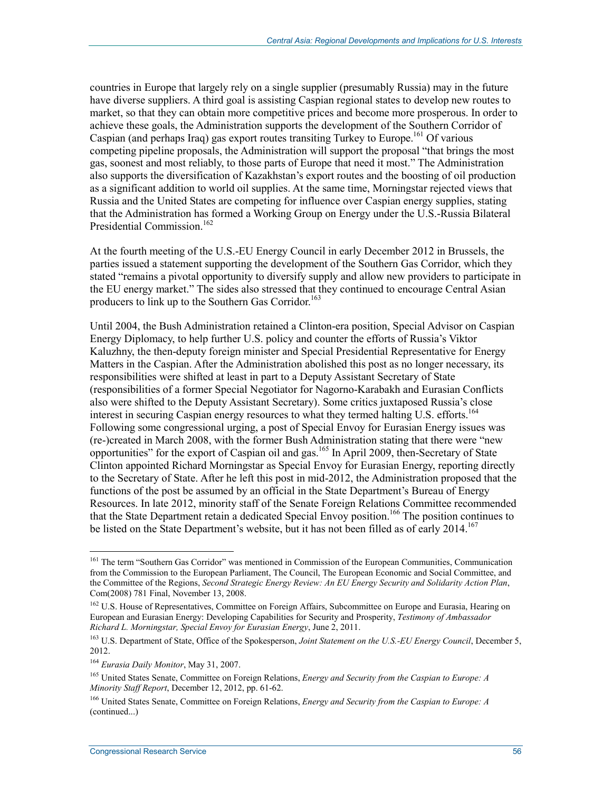countries in Europe that largely rely on a single supplier (presumably Russia) may in the future have diverse suppliers. A third goal is assisting Caspian regional states to develop new routes to market, so that they can obtain more competitive prices and become more prosperous. In order to achieve these goals, the Administration supports the development of the Southern Corridor of Caspian (and perhaps Iraq) gas export routes transiting Turkey to Europe.<sup>161</sup> Of various competing pipeline proposals, the Administration will support the proposal "that brings the most gas, soonest and most reliably, to those parts of Europe that need it most." The Administration also supports the diversification of Kazakhstan's export routes and the boosting of oil production as a significant addition to world oil supplies. At the same time, Morningstar rejected views that Russia and the United States are competing for influence over Caspian energy supplies, stating that the Administration has formed a Working Group on Energy under the U.S.-Russia Bilateral Presidential Commission.<sup>162</sup>

At the fourth meeting of the U.S.-EU Energy Council in early December 2012 in Brussels, the parties issued a statement supporting the development of the Southern Gas Corridor, which they stated "remains a pivotal opportunity to diversify supply and allow new providers to participate in the EU energy market." The sides also stressed that they continued to encourage Central Asian producers to link up to the Southern Gas Corridor.<sup>163</sup>

Until 2004, the Bush Administration retained a Clinton-era position, Special Advisor on Caspian Energy Diplomacy, to help further U.S. policy and counter the efforts of Russia's Viktor Kaluzhny, the then-deputy foreign minister and Special Presidential Representative for Energy Matters in the Caspian. After the Administration abolished this post as no longer necessary, its responsibilities were shifted at least in part to a Deputy Assistant Secretary of State (responsibilities of a former Special Negotiator for Nagorno-Karabakh and Eurasian Conflicts also were shifted to the Deputy Assistant Secretary). Some critics juxtaposed Russia's close interest in securing Caspian energy resources to what they termed halting U.S. efforts.<sup>164</sup> Following some congressional urging, a post of Special Envoy for Eurasian Energy issues was (re-)created in March 2008, with the former Bush Administration stating that there were "new opportunities" for the export of Caspian oil and gas.165 In April 2009, then-Secretary of State Clinton appointed Richard Morningstar as Special Envoy for Eurasian Energy, reporting directly to the Secretary of State. After he left this post in mid-2012, the Administration proposed that the functions of the post be assumed by an official in the State Department's Bureau of Energy Resources. In late 2012, minority staff of the Senate Foreign Relations Committee recommended that the State Department retain a dedicated Special Envoy position.166 The position continues to be listed on the State Department's website, but it has not been filled as of early 2014.<sup>167</sup>

<u>.</u>

<sup>&</sup>lt;sup>161</sup> The term "Southern Gas Corridor" was mentioned in Commission of the European Communities, Communication from the Commission to the European Parliament, The Council, The European Economic and Social Committee, and the Committee of the Regions, *Second Strategic Energy Review: An EU Energy Security and Solidarity Action Plan*, Com(2008) 781 Final, November 13, 2008.

<sup>&</sup>lt;sup>162</sup> U.S. House of Representatives, Committee on Foreign Affairs, Subcommittee on Europe and Eurasia, Hearing on European and Eurasian Energy: Developing Capabilities for Security and Prosperity, *Testimony of Ambassador Richard L. Morningstar, Special Envoy for Eurasian Energy*, June 2, 2011.

<sup>163</sup> U.S. Department of State, Office of the Spokesperson, *Joint Statement on the U.S.-EU Energy Council*, December 5, 2012.

<sup>164</sup> *Eurasia Daily Monitor*, May 31, 2007.

<sup>165</sup> United States Senate, Committee on Foreign Relations, *Energy and Security from the Caspian to Europe: A Minority Staff Report*, December 12, 2012, pp. 61-62.

<sup>166</sup> United States Senate, Committee on Foreign Relations, *Energy and Security from the Caspian to Europe: A*  (continued...)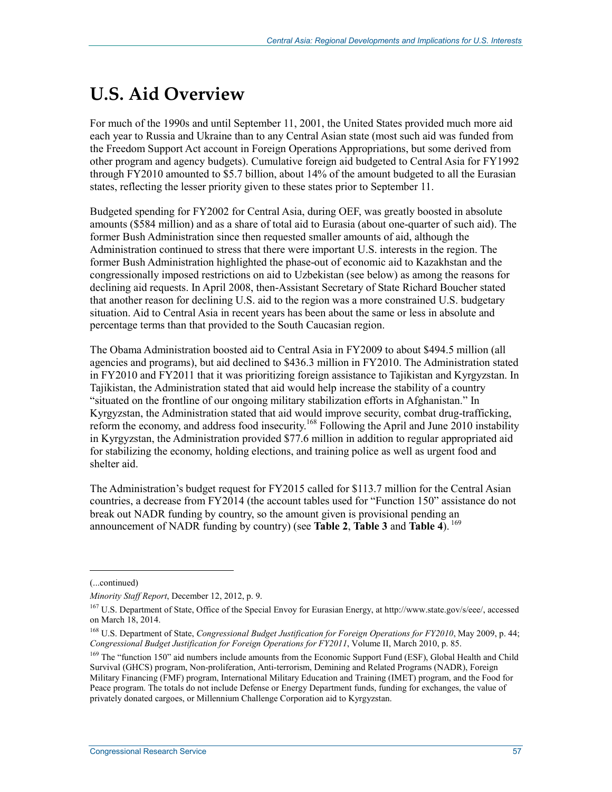# **U.S. Aid Overview**

For much of the 1990s and until September 11, 2001, the United States provided much more aid each year to Russia and Ukraine than to any Central Asian state (most such aid was funded from the Freedom Support Act account in Foreign Operations Appropriations, but some derived from other program and agency budgets). Cumulative foreign aid budgeted to Central Asia for FY1992 through FY2010 amounted to \$5.7 billion, about 14% of the amount budgeted to all the Eurasian states, reflecting the lesser priority given to these states prior to September 11.

Budgeted spending for FY2002 for Central Asia, during OEF, was greatly boosted in absolute amounts (\$584 million) and as a share of total aid to Eurasia (about one-quarter of such aid). The former Bush Administration since then requested smaller amounts of aid, although the Administration continued to stress that there were important U.S. interests in the region. The former Bush Administration highlighted the phase-out of economic aid to Kazakhstan and the congressionally imposed restrictions on aid to Uzbekistan (see below) as among the reasons for declining aid requests. In April 2008, then-Assistant Secretary of State Richard Boucher stated that another reason for declining U.S. aid to the region was a more constrained U.S. budgetary situation. Aid to Central Asia in recent years has been about the same or less in absolute and percentage terms than that provided to the South Caucasian region.

The Obama Administration boosted aid to Central Asia in FY2009 to about \$494.5 million (all agencies and programs), but aid declined to \$436.3 million in FY2010. The Administration stated in FY2010 and FY2011 that it was prioritizing foreign assistance to Tajikistan and Kyrgyzstan. In Tajikistan, the Administration stated that aid would help increase the stability of a country "situated on the frontline of our ongoing military stabilization efforts in Afghanistan." In Kyrgyzstan, the Administration stated that aid would improve security, combat drug-trafficking, reform the economy, and address food insecurity.<sup>168</sup> Following the April and June 2010 instability in Kyrgyzstan, the Administration provided \$77.6 million in addition to regular appropriated aid for stabilizing the economy, holding elections, and training police as well as urgent food and shelter aid.

The Administration's budget request for FY2015 called for \$113.7 million for the Central Asian countries, a decrease from FY2014 (the account tables used for "Function 150" assistance do not break out NADR funding by country, so the amount given is provisional pending an announcement of NADR funding by country) (see **Table 2**, **Table 3** and **Table 4**). 169

 $\overline{a}$ 

<sup>(...</sup>continued)

*Minority Staff Report*, December 12, 2012, p. 9.

<sup>&</sup>lt;sup>167</sup> U.S. Department of State, Office of the Special Envoy for Eurasian Energy, at http://www.state.gov/s/eee/, accessed on March 18, 2014.

<sup>168</sup> U.S. Department of State, *Congressional Budget Justification for Foreign Operations for FY2010*, May 2009, p. 44; *Congressional Budget Justification for Foreign Operations for FY2011*, Volume II, March 2010, p. 85.

<sup>&</sup>lt;sup>169</sup> The "function 150" aid numbers include amounts from the Economic Support Fund (ESF), Global Health and Child Survival (GHCS) program, Non-proliferation, Anti-terrorism, Demining and Related Programs (NADR), Foreign Military Financing (FMF) program, International Military Education and Training (IMET) program, and the Food for Peace program. The totals do not include Defense or Energy Department funds, funding for exchanges, the value of privately donated cargoes, or Millennium Challenge Corporation aid to Kyrgyzstan.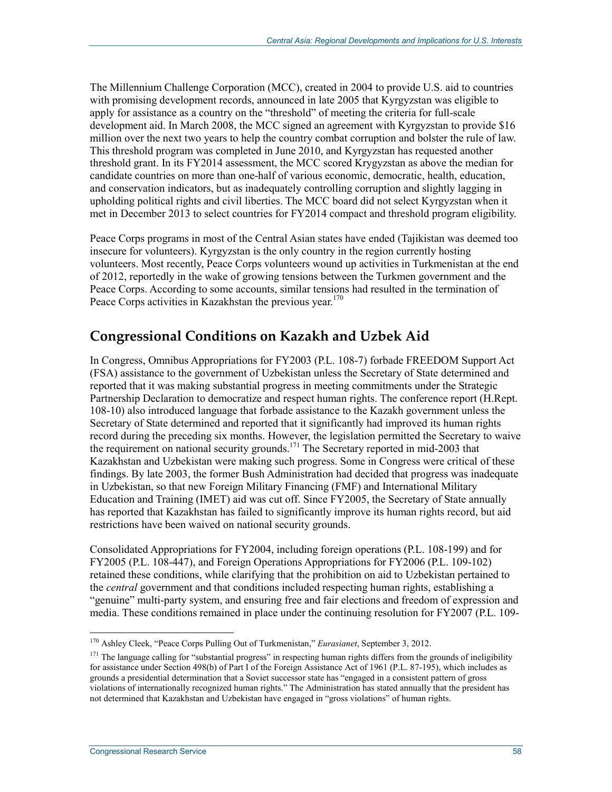The Millennium Challenge Corporation (MCC), created in 2004 to provide U.S. aid to countries with promising development records, announced in late 2005 that Kyrgyzstan was eligible to apply for assistance as a country on the "threshold" of meeting the criteria for full-scale development aid. In March 2008, the MCC signed an agreement with Kyrgyzstan to provide \$16 million over the next two years to help the country combat corruption and bolster the rule of law. This threshold program was completed in June 2010, and Kyrgyzstan has requested another threshold grant. In its FY2014 assessment, the MCC scored Krygyzstan as above the median for candidate countries on more than one-half of various economic, democratic, health, education, and conservation indicators, but as inadequately controlling corruption and slightly lagging in upholding political rights and civil liberties. The MCC board did not select Kyrgyzstan when it met in December 2013 to select countries for FY2014 compact and threshold program eligibility.

Peace Corps programs in most of the Central Asian states have ended (Tajikistan was deemed too insecure for volunteers). Kyrgyzstan is the only country in the region currently hosting volunteers. Most recently, Peace Corps volunteers wound up activities in Turkmenistan at the end of 2012, reportedly in the wake of growing tensions between the Turkmen government and the Peace Corps. According to some accounts, similar tensions had resulted in the termination of Peace Corps activities in Kazakhstan the previous year.<sup>170</sup>

## **Congressional Conditions on Kazakh and Uzbek Aid**

In Congress, Omnibus Appropriations for FY2003 (P.L. 108-7) forbade FREEDOM Support Act (FSA) assistance to the government of Uzbekistan unless the Secretary of State determined and reported that it was making substantial progress in meeting commitments under the Strategic Partnership Declaration to democratize and respect human rights. The conference report (H.Rept. 108-10) also introduced language that forbade assistance to the Kazakh government unless the Secretary of State determined and reported that it significantly had improved its human rights record during the preceding six months. However, the legislation permitted the Secretary to waive the requirement on national security grounds.<sup>171</sup> The Secretary reported in mid-2003 that Kazakhstan and Uzbekistan were making such progress. Some in Congress were critical of these findings. By late 2003, the former Bush Administration had decided that progress was inadequate in Uzbekistan, so that new Foreign Military Financing (FMF) and International Military Education and Training (IMET) aid was cut off. Since FY2005, the Secretary of State annually has reported that Kazakhstan has failed to significantly improve its human rights record, but aid restrictions have been waived on national security grounds.

Consolidated Appropriations for FY2004, including foreign operations (P.L. 108-199) and for FY2005 (P.L. 108-447), and Foreign Operations Appropriations for FY2006 (P.L. 109-102) retained these conditions, while clarifying that the prohibition on aid to Uzbekistan pertained to the *central* government and that conditions included respecting human rights, establishing a "genuine" multi-party system, and ensuring free and fair elections and freedom of expression and media. These conditions remained in place under the continuing resolution for FY2007 (P.L. 109-

<sup>1</sup> 170 Ashley Cleek, "Peace Corps Pulling Out of Turkmenistan," *Eurasianet*, September 3, 2012.

<sup>&</sup>lt;sup>171</sup> The language calling for "substantial progress" in respecting human rights differs from the grounds of ineligibility for assistance under Section 498(b) of Part I of the Foreign Assistance Act of 1961 (P.L. 87-195), which includes as grounds a presidential determination that a Soviet successor state has "engaged in a consistent pattern of gross violations of internationally recognized human rights." The Administration has stated annually that the president has not determined that Kazakhstan and Uzbekistan have engaged in "gross violations" of human rights.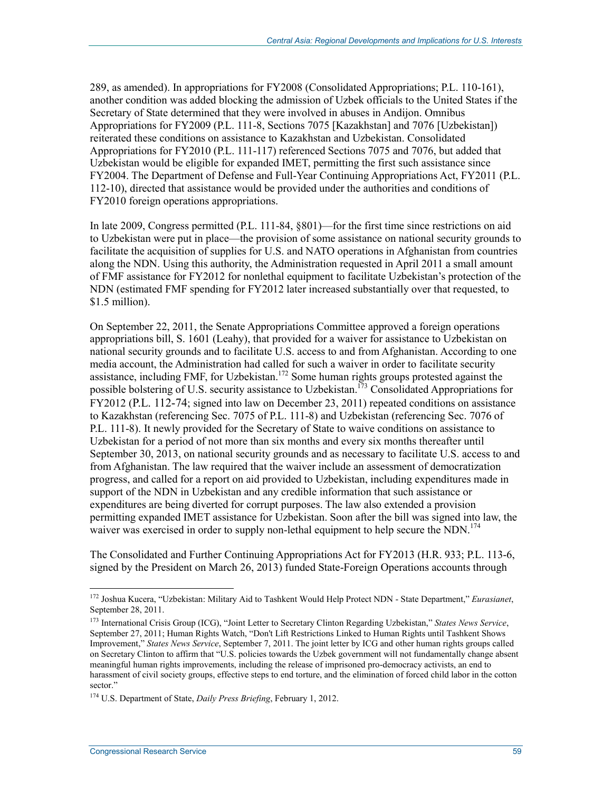289, as amended). In appropriations for FY2008 (Consolidated Appropriations; P.L. 110-161), another condition was added blocking the admission of Uzbek officials to the United States if the Secretary of State determined that they were involved in abuses in Andijon. Omnibus Appropriations for FY2009 (P.L. 111-8, Sections 7075 [Kazakhstan] and 7076 [Uzbekistan]) reiterated these conditions on assistance to Kazakhstan and Uzbekistan. Consolidated Appropriations for FY2010 (P.L. 111-117) referenced Sections 7075 and 7076, but added that Uzbekistan would be eligible for expanded IMET, permitting the first such assistance since FY2004. The Department of Defense and Full-Year Continuing Appropriations Act, FY2011 (P.L. 112-10), directed that assistance would be provided under the authorities and conditions of FY2010 foreign operations appropriations.

In late 2009, Congress permitted (P.L. 111-84, §801)—for the first time since restrictions on aid to Uzbekistan were put in place—the provision of some assistance on national security grounds to facilitate the acquisition of supplies for U.S. and NATO operations in Afghanistan from countries along the NDN. Using this authority, the Administration requested in April 2011 a small amount of FMF assistance for FY2012 for nonlethal equipment to facilitate Uzbekistan's protection of the NDN (estimated FMF spending for FY2012 later increased substantially over that requested, to \$1.5 million).

On September 22, 2011, the Senate Appropriations Committee approved a foreign operations appropriations bill, S. 1601 (Leahy), that provided for a waiver for assistance to Uzbekistan on national security grounds and to facilitate U.S. access to and from Afghanistan. According to one media account, the Administration had called for such a waiver in order to facilitate security assistance, including FMF, for Uzbekistan.172 Some human rights groups protested against the possible bolstering of U.S. security assistance to Uzbekistan.<sup>173</sup> Consolidated Appropriations for FY2012 (P.L. 112-74; signed into law on December 23, 2011) repeated conditions on assistance to Kazakhstan (referencing Sec. 7075 of P.L. 111-8) and Uzbekistan (referencing Sec. 7076 of P.L. 111-8). It newly provided for the Secretary of State to waive conditions on assistance to Uzbekistan for a period of not more than six months and every six months thereafter until September 30, 2013, on national security grounds and as necessary to facilitate U.S. access to and from Afghanistan. The law required that the waiver include an assessment of democratization progress, and called for a report on aid provided to Uzbekistan, including expenditures made in support of the NDN in Uzbekistan and any credible information that such assistance or expenditures are being diverted for corrupt purposes. The law also extended a provision permitting expanded IMET assistance for Uzbekistan. Soon after the bill was signed into law, the waiver was exercised in order to supply non-lethal equipment to help secure the NDN.<sup>174</sup>

The Consolidated and Further Continuing Appropriations Act for FY2013 (H.R. 933; P.L. 113-6, signed by the President on March 26, 2013) funded State-Foreign Operations accounts through

<sup>172</sup> Joshua Kucera, "Uzbekistan: Military Aid to Tashkent Would Help Protect NDN - State Department," *Eurasianet*, September 28, 2011.

<sup>173</sup> International Crisis Group (ICG), "Joint Letter to Secretary Clinton Regarding Uzbekistan," *States News Service*, September 27, 2011; Human Rights Watch, "Don't Lift Restrictions Linked to Human Rights until Tashkent Shows Improvement," *States News Service*, September 7, 2011. The joint letter by ICG and other human rights groups called on Secretary Clinton to affirm that "U.S. policies towards the Uzbek government will not fundamentally change absent meaningful human rights improvements, including the release of imprisoned pro-democracy activists, an end to harassment of civil society groups, effective steps to end torture, and the elimination of forced child labor in the cotton sector."

<sup>174</sup> U.S. Department of State, *Daily Press Briefing*, February 1, 2012.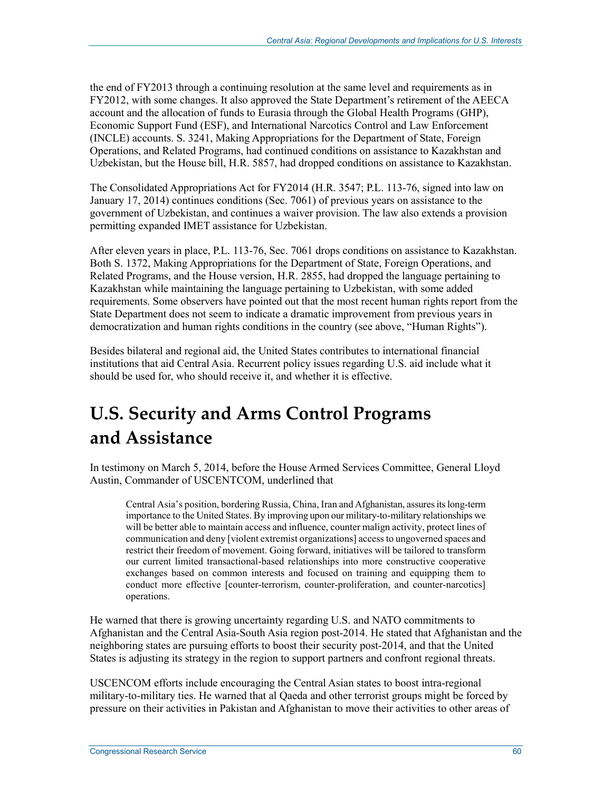the end of FY2013 through a continuing resolution at the same level and requirements as in FY2012, with some changes. It also approved the State Department's retirement of the AEECA account and the allocation of funds to Eurasia through the Global Health Programs (GHP), Economic Support Fund (ESF), and International Narcotics Control and Law Enforcement (INCLE) accounts. S. 3241, Making Appropriations for the Department of State, Foreign Operations, and Related Programs, had continued conditions on assistance to Kazakhstan and Uzbekistan, but the House bill, H.R. 5857, had dropped conditions on assistance to Kazakhstan.

The Consolidated Appropriations Act for FY2014 (H.R. 3547; P.L. 113-76, signed into law on January 17, 2014) continues conditions (Sec. 7061) of previous years on assistance to the government of Uzbekistan, and continues a waiver provision. The law also extends a provision permitting expanded IMET assistance for Uzbekistan.

After eleven years in place, P.L. 113-76, Sec. 7061 drops conditions on assistance to Kazakhstan. Both S. 1372, Making Appropriations for the Department of State, Foreign Operations, and Related Programs, and the House version, H.R. 2855, had dropped the language pertaining to Kazakhstan while maintaining the language pertaining to Uzbekistan, with some added requirements. Some observers have pointed out that the most recent human rights report from the State Department does not seem to indicate a dramatic improvement from previous years in democratization and human rights conditions in the country (see above, "Human Rights").

Besides bilateral and regional aid, the United States contributes to international financial institutions that aid Central Asia. Recurrent policy issues regarding U.S. aid include what it should be used for, who should receive it, and whether it is effective.

# **U.S. Security and Arms Control Programs and Assistance**

In testimony on March 5, 2014, before the House Armed Services Committee, General Lloyd Austin, Commander of USCENTCOM, underlined that

Central Asia's position, bordering Russia, China, Iran and Afghanistan, assures its long-term importance to the United States. By improving upon our military-to-military relationships we will be better able to maintain access and influence, counter malign activity, protect lines of communication and deny [violent extremist organizations] access to ungoverned spaces and restrict their freedom of movement. Going forward, initiatives will be tailored to transform our current limited transactional-based relationships into more constructive cooperative exchanges based on common interests and focused on training and equipping them to conduct more effective [counter-terrorism, counter-proliferation, and counter-narcotics] operations.

He warned that there is growing uncertainty regarding U.S. and NATO commitments to Afghanistan and the Central Asia-South Asia region post-2014. He stated that Afghanistan and the neighboring states are pursuing efforts to boost their security post-2014, and that the United States is adjusting its strategy in the region to support partners and confront regional threats.

USCENCOM efforts include encouraging the Central Asian states to boost intra-regional military-to-military ties. He warned that al Qaeda and other terrorist groups might be forced by pressure on their activities in Pakistan and Afghanistan to move their activities to other areas of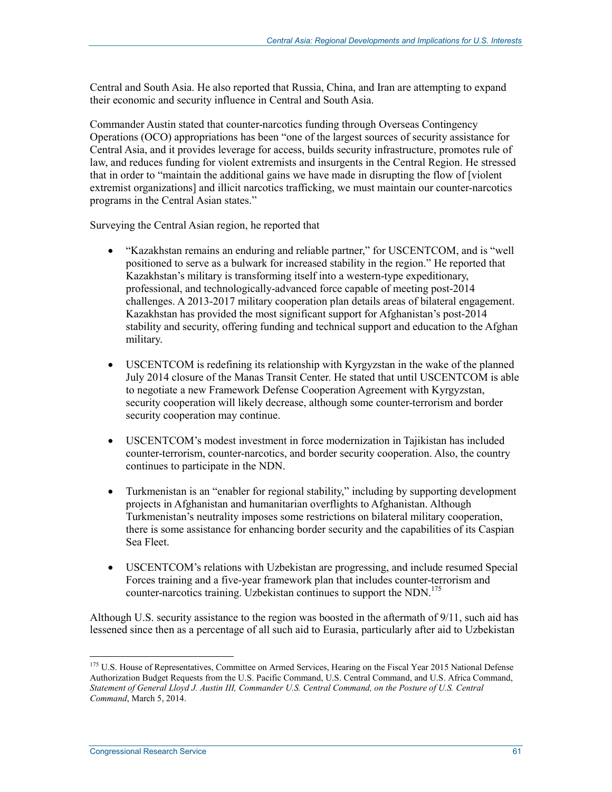Central and South Asia. He also reported that Russia, China, and Iran are attempting to expand their economic and security influence in Central and South Asia.

Commander Austin stated that counter-narcotics funding through Overseas Contingency Operations (OCO) appropriations has been "one of the largest sources of security assistance for Central Asia, and it provides leverage for access, builds security infrastructure, promotes rule of law, and reduces funding for violent extremists and insurgents in the Central Region. He stressed that in order to "maintain the additional gains we have made in disrupting the flow of [violent extremist organizations] and illicit narcotics trafficking, we must maintain our counter-narcotics programs in the Central Asian states."

Surveying the Central Asian region, he reported that

- "Kazakhstan remains an enduring and reliable partner," for USCENTCOM, and is "well positioned to serve as a bulwark for increased stability in the region." He reported that Kazakhstan's military is transforming itself into a western-type expeditionary, professional, and technologically-advanced force capable of meeting post-2014 challenges. A 2013-2017 military cooperation plan details areas of bilateral engagement. Kazakhstan has provided the most significant support for Afghanistan's post-2014 stability and security, offering funding and technical support and education to the Afghan military.
- USCENTCOM is redefining its relationship with Kyrgyzstan in the wake of the planned July 2014 closure of the Manas Transit Center. He stated that until USCENTCOM is able to negotiate a new Framework Defense Cooperation Agreement with Kyrgyzstan, security cooperation will likely decrease, although some counter-terrorism and border security cooperation may continue.
- USCENTCOM's modest investment in force modernization in Tajikistan has included counter-terrorism, counter-narcotics, and border security cooperation. Also, the country continues to participate in the NDN.
- Turkmenistan is an "enabler for regional stability," including by supporting development projects in Afghanistan and humanitarian overflights to Afghanistan. Although Turkmenistan's neutrality imposes some restrictions on bilateral military cooperation, there is some assistance for enhancing border security and the capabilities of its Caspian Sea Fleet.
- USCENTCOM's relations with Uzbekistan are progressing, and include resumed Special Forces training and a five-year framework plan that includes counter-terrorism and counter-narcotics training. Uzbekistan continues to support the NDN.<sup>175</sup>

Although U.S. security assistance to the region was boosted in the aftermath of 9/11, such aid has lessened since then as a percentage of all such aid to Eurasia, particularly after aid to Uzbekistan

<sup>&</sup>lt;sup>175</sup> U.S. House of Representatives, Committee on Armed Services, Hearing on the Fiscal Year 2015 National Defense Authorization Budget Requests from the U.S. Pacific Command, U.S. Central Command, and U.S. Africa Command, *Statement of General Lloyd J. Austin III, Commander U.S. Central Command, on the Posture of U.S. Central Command*, March 5, 2014.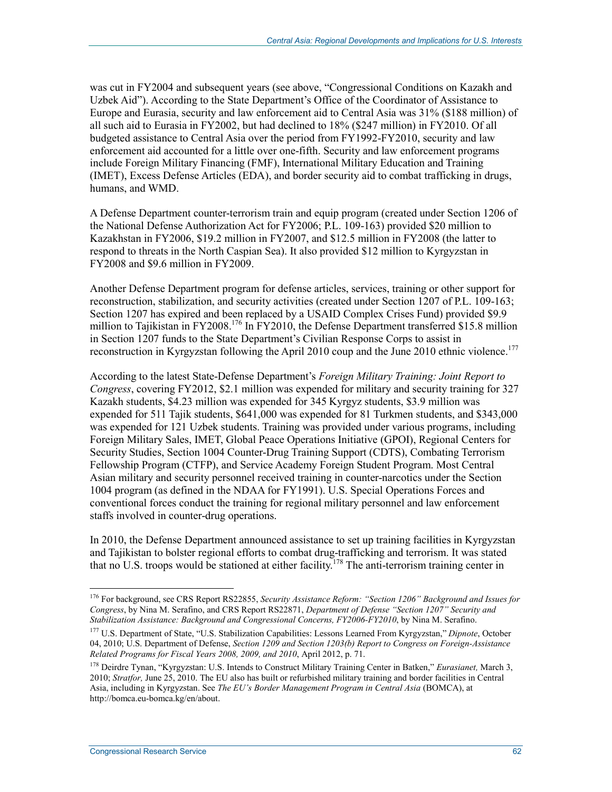was cut in FY2004 and subsequent years (see above, "Congressional Conditions on Kazakh and Uzbek Aid"). According to the State Department's Office of the Coordinator of Assistance to Europe and Eurasia, security and law enforcement aid to Central Asia was 31% (\$188 million) of all such aid to Eurasia in FY2002, but had declined to 18% (\$247 million) in FY2010. Of all budgeted assistance to Central Asia over the period from FY1992-FY2010, security and law enforcement aid accounted for a little over one-fifth. Security and law enforcement programs include Foreign Military Financing (FMF), International Military Education and Training (IMET), Excess Defense Articles (EDA), and border security aid to combat trafficking in drugs, humans, and WMD.

A Defense Department counter-terrorism train and equip program (created under Section 1206 of the National Defense Authorization Act for FY2006; P.L. 109-163) provided \$20 million to Kazakhstan in FY2006, \$19.2 million in FY2007, and \$12.5 million in FY2008 (the latter to respond to threats in the North Caspian Sea). It also provided \$12 million to Kyrgyzstan in FY2008 and \$9.6 million in FY2009.

Another Defense Department program for defense articles, services, training or other support for reconstruction, stabilization, and security activities (created under Section 1207 of P.L. 109-163; Section 1207 has expired and been replaced by a USAID Complex Crises Fund) provided \$9.9 million to Tajikistan in FY2008.<sup>176</sup> In FY2010, the Defense Department transferred \$15.8 million in Section 1207 funds to the State Department's Civilian Response Corps to assist in reconstruction in Kyrgyzstan following the April 2010 coup and the June 2010 ethnic violence.<sup>177</sup>

According to the latest State-Defense Department's *Foreign Military Training: Joint Report to Congress*, covering FY2012, \$2.1 million was expended for military and security training for 327 Kazakh students, \$4.23 million was expended for 345 Kyrgyz students, \$3.9 million was expended for 511 Tajik students, \$641,000 was expended for 81 Turkmen students, and \$343,000 was expended for 121 Uzbek students. Training was provided under various programs, including Foreign Military Sales, IMET, Global Peace Operations Initiative (GPOI), Regional Centers for Security Studies, Section 1004 Counter-Drug Training Support (CDTS), Combating Terrorism Fellowship Program (CTFP), and Service Academy Foreign Student Program. Most Central Asian military and security personnel received training in counter-narcotics under the Section 1004 program (as defined in the NDAA for FY1991). U.S. Special Operations Forces and conventional forces conduct the training for regional military personnel and law enforcement staffs involved in counter-drug operations.

In 2010, the Defense Department announced assistance to set up training facilities in Kyrgyzstan and Tajikistan to bolster regional efforts to combat drug-trafficking and terrorism. It was stated that no U.S. troops would be stationed at either facility.178 The anti-terrorism training center in

<sup>176</sup> For background, see CRS Report RS22855, *Security Assistance Reform: "Section 1206" Background and Issues for Congress*, by Nina M. Serafino, and CRS Report RS22871, *Department of Defense "Section 1207" Security and Stabilization Assistance: Background and Congressional Concerns, FY2006-FY2010*, by Nina M. Serafino.

<sup>177</sup> U.S. Department of State, "U.S. Stabilization Capabilities: Lessons Learned From Kyrgyzstan," *Dipnote*, October 04, 2010; U.S. Department of Defense, *Section 1209 and Section 1203(b) Report to Congress on Foreign-Assistance Related Programs for Fiscal Years 2008, 2009, and 2010*, April 2012, p. 71.

<sup>178</sup> Deirdre Tynan, "Kyrgyzstan: U.S. Intends to Construct Military Training Center in Batken," *Eurasianet,* March 3, 2010; *Stratfor,* June 25, 2010. The EU also has built or refurbished military training and border facilities in Central Asia, including in Kyrgyzstan. See *The EU's Border Management Program in Central Asia* (BOMCA), at http://bomca.eu-bomca.kg/en/about.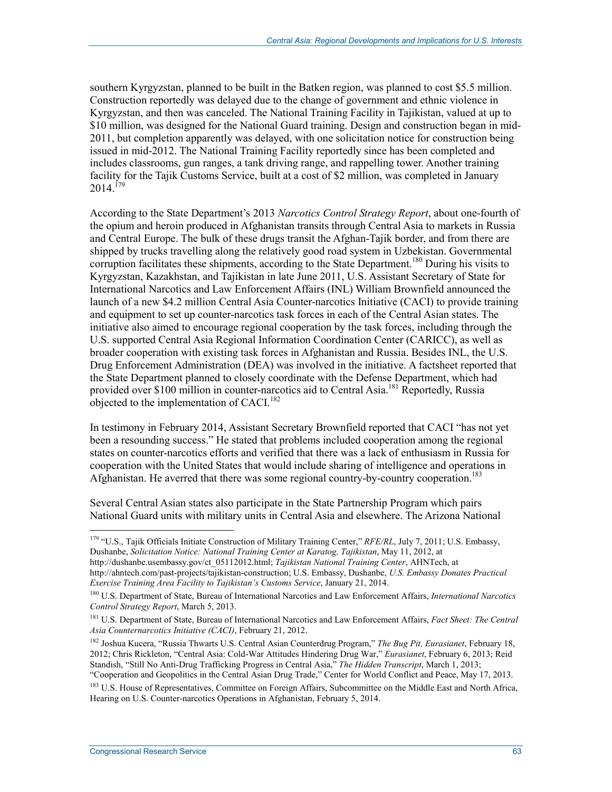southern Kyrgyzstan, planned to be built in the Batken region, was planned to cost \$5.5 million. Construction reportedly was delayed due to the change of government and ethnic violence in Kyrgyzstan, and then was canceled. The National Training Facility in Tajikistan, valued at up to \$10 million, was designed for the National Guard training. Design and construction began in mid-2011, but completion apparently was delayed, with one solicitation notice for construction being issued in mid-2012. The National Training Facility reportedly since has been completed and includes classrooms, gun ranges, a tank driving range, and rappelling tower. Another training facility for the Tajik Customs Service, built at a cost of \$2 million, was completed in January  $2014$ <sup> $179$ </sup>

According to the State Department's 2013 *Narcotics Control Strategy Report*, about one-fourth of the opium and heroin produced in Afghanistan transits through Central Asia to markets in Russia and Central Europe. The bulk of these drugs transit the Afghan-Tajik border, and from there are shipped by trucks travelling along the relatively good road system in Uzbekistan. Governmental corruption facilitates these shipments, according to the State Department.<sup>180</sup> During his visits to Kyrgyzstan, Kazakhstan, and Tajikistan in late June 2011, U.S. Assistant Secretary of State for International Narcotics and Law Enforcement Affairs (INL) William Brownfield announced the launch of a new \$4.2 million Central Asia Counter-narcotics Initiative (CACI) to provide training and equipment to set up counter-narcotics task forces in each of the Central Asian states. The initiative also aimed to encourage regional cooperation by the task forces, including through the U.S. supported Central Asia Regional Information Coordination Center (CARICC), as well as broader cooperation with existing task forces in Afghanistan and Russia. Besides INL, the U.S. Drug Enforcement Administration (DEA) was involved in the initiative. A factsheet reported that the State Department planned to closely coordinate with the Defense Department, which had provided over \$100 million in counter-narcotics aid to Central Asia.<sup>181</sup> Reportedly, Russia objected to the implementation of CACI.<sup>182</sup>

In testimony in February 2014, Assistant Secretary Brownfield reported that CACI "has not yet been a resounding success." He stated that problems included cooperation among the regional states on counter-narcotics efforts and verified that there was a lack of enthusiasm in Russia for cooperation with the United States that would include sharing of intelligence and operations in Afghanistan. He averred that there was some regional country-by-country cooperation.<sup>183</sup>

Several Central Asian states also participate in the State Partnership Program which pairs National Guard units with military units in Central Asia and elsewhere. The Arizona National

http://dushanbe.usembassy.gov/ct\_05112012.html; *Tajikistan National Training Center*, AHNTech, at http://ahntech.com/past-projects/tajikistan-construction; U.S. Embassy, Dushanbe, *U.S. Embassy Donates Practical Exercise Training Area Facility to Tajikistan's Customs Service*, January 21, 2014.

<sup>179 &</sup>quot;U.S., Tajik Officials Initiate Construction of Military Training Center," *RFE/RL*, July 7, 2011; U.S. Embassy, Dushanbe, *Solicitation Notice: National Training Center at Karatog, Tajikistan*, May 11, 2012, at

<sup>180</sup> U.S. Department of State, Bureau of International Narcotics and Law Enforcement Affairs, *International Narcotics Control Strategy Report*, March 5, 2013.

<sup>181</sup> U.S. Department of State, Bureau of International Narcotics and Law Enforcement Affairs, *Fact Sheet: The Central Asia Counternarcotics Initiative (CACI)*, February 21, 2012.

<sup>182</sup> Joshua Kucera, "Russia Thwarts U.S. Central Asian Counterdrug Program," *The Bug Pit, Eurasianet*, February 18, 2012; Chris Rickleton, "Central Asia: Cold-War Attitudes Hindering Drug War," *Eurasianet*, February 6, 2013; Reid Standish, "Still No Anti-Drug Trafficking Progress in Central Asia," *The Hidden Transcript*, March 1, 2013;

<sup>&</sup>quot;Cooperation and Geopolitics in the Central Asian Drug Trade," Center for World Conflict and Peace, May 17, 2013. <sup>183</sup> U.S. House of Representatives, Committee on Foreign Affairs, Subcommittee on the Middle East and North Africa, Hearing on U.S. Counter-narcotics Operations in Afghanistan, February 5, 2014.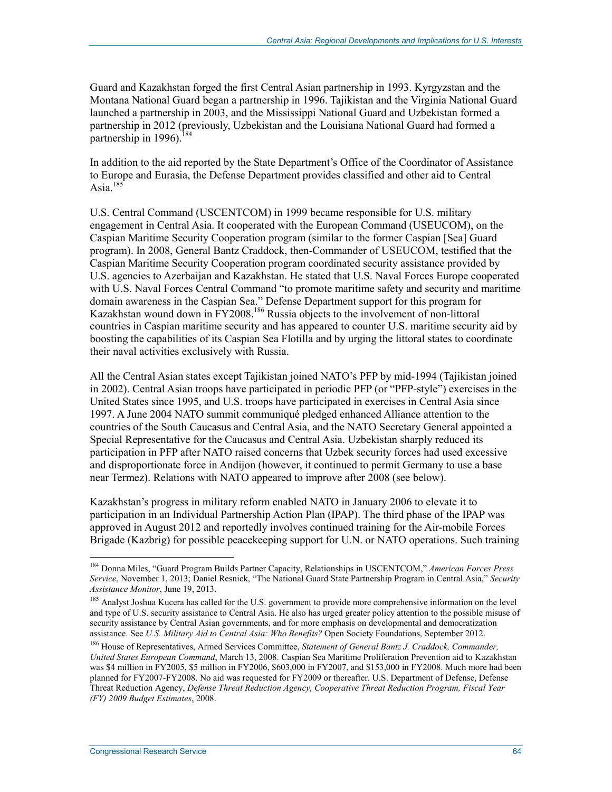Guard and Kazakhstan forged the first Central Asian partnership in 1993. Kyrgyzstan and the Montana National Guard began a partnership in 1996. Tajikistan and the Virginia National Guard launched a partnership in 2003, and the Mississippi National Guard and Uzbekistan formed a partnership in 2012 (previously, Uzbekistan and the Louisiana National Guard had formed a partnership in 1996).<sup>184</sup>

In addition to the aid reported by the State Department's Office of the Coordinator of Assistance to Europe and Eurasia, the Defense Department provides classified and other aid to Central Asia. $185$ 

U.S. Central Command (USCENTCOM) in 1999 became responsible for U.S. military engagement in Central Asia. It cooperated with the European Command (USEUCOM), on the Caspian Maritime Security Cooperation program (similar to the former Caspian [Sea] Guard program). In 2008, General Bantz Craddock, then-Commander of USEUCOM, testified that the Caspian Maritime Security Cooperation program coordinated security assistance provided by U.S. agencies to Azerbaijan and Kazakhstan. He stated that U.S. Naval Forces Europe cooperated with U.S. Naval Forces Central Command "to promote maritime safety and security and maritime domain awareness in the Caspian Sea." Defense Department support for this program for Kazakhstan wound down in FY2008.<sup>186</sup> Russia objects to the involvement of non-littoral countries in Caspian maritime security and has appeared to counter U.S. maritime security aid by boosting the capabilities of its Caspian Sea Flotilla and by urging the littoral states to coordinate their naval activities exclusively with Russia.

All the Central Asian states except Tajikistan joined NATO's PFP by mid-1994 (Tajikistan joined in 2002). Central Asian troops have participated in periodic PFP (or "PFP-style") exercises in the United States since 1995, and U.S. troops have participated in exercises in Central Asia since 1997. A June 2004 NATO summit communiqué pledged enhanced Alliance attention to the countries of the South Caucasus and Central Asia, and the NATO Secretary General appointed a Special Representative for the Caucasus and Central Asia. Uzbekistan sharply reduced its participation in PFP after NATO raised concerns that Uzbek security forces had used excessive and disproportionate force in Andijon (however, it continued to permit Germany to use a base near Termez). Relations with NATO appeared to improve after 2008 (see below).

Kazakhstan's progress in military reform enabled NATO in January 2006 to elevate it to participation in an Individual Partnership Action Plan (IPAP). The third phase of the IPAP was approved in August 2012 and reportedly involves continued training for the Air-mobile Forces Brigade (Kazbrig) for possible peacekeeping support for U.N. or NATO operations. Such training

<u>.</u>

<sup>184</sup> Donna Miles, "Guard Program Builds Partner Capacity, Relationships in USCENTCOM," *American Forces Press Service*, November 1, 2013; Daniel Resnick, "The National Guard State Partnership Program in Central Asia," *Security Assistance Monitor*, June 19, 2013.

<sup>&</sup>lt;sup>185</sup> Analyst Joshua Kucera has called for the U.S. government to provide more comprehensive information on the level and type of U.S. security assistance to Central Asia. He also has urged greater policy attention to the possible misuse of security assistance by Central Asian governments, and for more emphasis on developmental and democratization assistance. See *U.S. Military Aid to Central Asia: Who Benefits?* Open Society Foundations, September 2012.

<sup>186</sup> House of Representatives, Armed Services Committee, *Statement of General Bantz J. Craddock, Commander, United States European Command*, March 13, 2008. Caspian Sea Maritime Proliferation Prevention aid to Kazakhstan was \$4 million in FY2005, \$5 million in FY2006, \$603,000 in FY2007, and \$153,000 in FY2008. Much more had been planned for FY2007-FY2008. No aid was requested for FY2009 or thereafter. U.S. Department of Defense, Defense Threat Reduction Agency, *Defense Threat Reduction Agency, Cooperative Threat Reduction Program, Fiscal Year (FY) 2009 Budget Estimates*, 2008.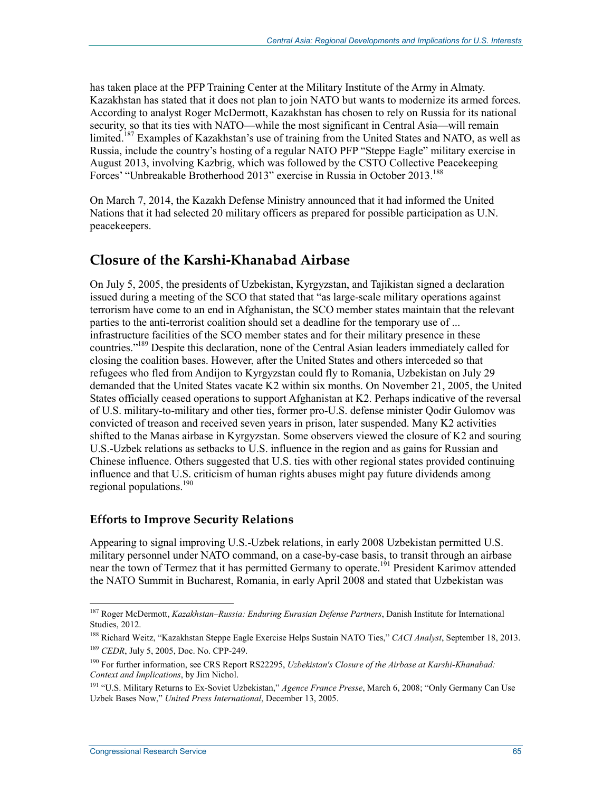has taken place at the PFP Training Center at the Military Institute of the Army in Almaty. Kazakhstan has stated that it does not plan to join NATO but wants to modernize its armed forces. According to analyst Roger McDermott, Kazakhstan has chosen to rely on Russia for its national security, so that its ties with NATO—while the most significant in Central Asia—will remain limited.<sup>187</sup> Examples of Kazakhstan's use of training from the United States and NATO, as well as Russia, include the country's hosting of a regular NATO PFP "Steppe Eagle" military exercise in August 2013, involving Kazbrig, which was followed by the CSTO Collective Peacekeeping Forces' "Unbreakable Brotherhood 2013" exercise in Russia in October 2013.<sup>188</sup>

On March 7, 2014, the Kazakh Defense Ministry announced that it had informed the United Nations that it had selected 20 military officers as prepared for possible participation as U.N. peacekeepers.

## **Closure of the Karshi-Khanabad Airbase**

On July 5, 2005, the presidents of Uzbekistan, Kyrgyzstan, and Tajikistan signed a declaration issued during a meeting of the SCO that stated that "as large-scale military operations against terrorism have come to an end in Afghanistan, the SCO member states maintain that the relevant parties to the anti-terrorist coalition should set a deadline for the temporary use of ... infrastructure facilities of the SCO member states and for their military presence in these countries."189 Despite this declaration, none of the Central Asian leaders immediately called for closing the coalition bases. However, after the United States and others interceded so that refugees who fled from Andijon to Kyrgyzstan could fly to Romania, Uzbekistan on July 29 demanded that the United States vacate K2 within six months. On November 21, 2005, the United States officially ceased operations to support Afghanistan at K2. Perhaps indicative of the reversal of U.S. military-to-military and other ties, former pro-U.S. defense minister Qodir Gulomov was convicted of treason and received seven years in prison, later suspended. Many K2 activities shifted to the Manas airbase in Kyrgyzstan. Some observers viewed the closure of K2 and souring U.S.-Uzbek relations as setbacks to U.S. influence in the region and as gains for Russian and Chinese influence. Others suggested that U.S. ties with other regional states provided continuing influence and that U.S. criticism of human rights abuses might pay future dividends among regional populations.<sup>190</sup>

#### **Efforts to Improve Security Relations**

Appearing to signal improving U.S.-Uzbek relations, in early 2008 Uzbekistan permitted U.S. military personnel under NATO command, on a case-by-case basis, to transit through an airbase near the town of Termez that it has permitted Germany to operate.<sup>191</sup> President Karimov attended the NATO Summit in Bucharest, Romania, in early April 2008 and stated that Uzbekistan was

<sup>187</sup> Roger McDermott, *Kazakhstan–Russia: Enduring Eurasian Defense Partners*, Danish Institute for International Studies, 2012.

<sup>188</sup> Richard Weitz, "Kazakhstan Steppe Eagle Exercise Helps Sustain NATO Ties," *CACI Analyst*, September 18, 2013. <sup>189</sup> *CEDR*, July 5, 2005, Doc. No. CPP-249.

<sup>190</sup> For further information, see CRS Report RS22295, *Uzbekistan's Closure of the Airbase at Karshi-Khanabad: Context and Implications*, by Jim Nichol.

<sup>191 &</sup>quot;U.S. Military Returns to Ex-Soviet Uzbekistan," *Agence France Presse*, March 6, 2008; "Only Germany Can Use Uzbek Bases Now," *United Press International*, December 13, 2005.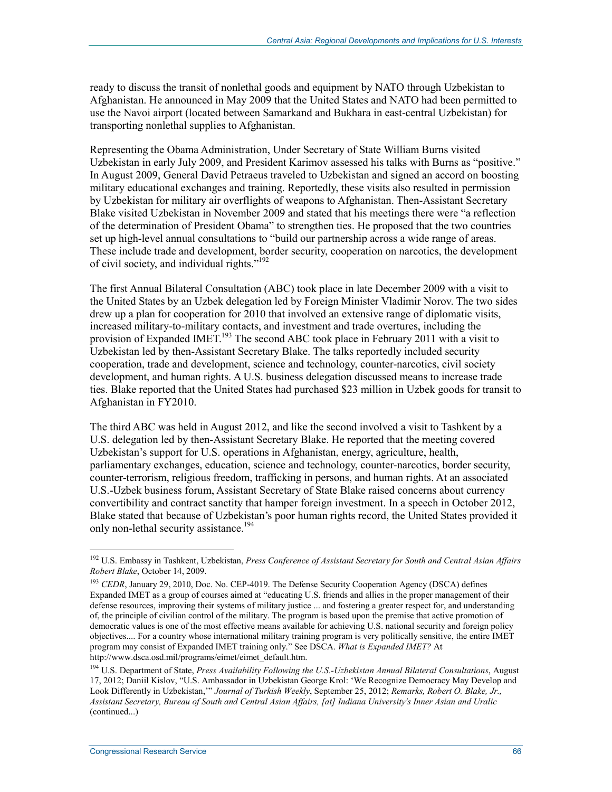ready to discuss the transit of nonlethal goods and equipment by NATO through Uzbekistan to Afghanistan. He announced in May 2009 that the United States and NATO had been permitted to use the Navoi airport (located between Samarkand and Bukhara in east-central Uzbekistan) for transporting nonlethal supplies to Afghanistan.

Representing the Obama Administration, Under Secretary of State William Burns visited Uzbekistan in early July 2009, and President Karimov assessed his talks with Burns as "positive." In August 2009, General David Petraeus traveled to Uzbekistan and signed an accord on boosting military educational exchanges and training. Reportedly, these visits also resulted in permission by Uzbekistan for military air overflights of weapons to Afghanistan. Then-Assistant Secretary Blake visited Uzbekistan in November 2009 and stated that his meetings there were "a reflection of the determination of President Obama" to strengthen ties. He proposed that the two countries set up high-level annual consultations to "build our partnership across a wide range of areas. These include trade and development, border security, cooperation on narcotics, the development of civil society, and individual rights."192

The first Annual Bilateral Consultation (ABC) took place in late December 2009 with a visit to the United States by an Uzbek delegation led by Foreign Minister Vladimir Norov. The two sides drew up a plan for cooperation for 2010 that involved an extensive range of diplomatic visits, increased military-to-military contacts, and investment and trade overtures, including the provision of Expanded IMET.<sup>193</sup> The second ABC took place in February 2011 with a visit to Uzbekistan led by then-Assistant Secretary Blake. The talks reportedly included security cooperation, trade and development, science and technology, counter-narcotics, civil society development, and human rights. A U.S. business delegation discussed means to increase trade ties. Blake reported that the United States had purchased \$23 million in Uzbek goods for transit to Afghanistan in FY2010.

The third ABC was held in August 2012, and like the second involved a visit to Tashkent by a U.S. delegation led by then-Assistant Secretary Blake. He reported that the meeting covered Uzbekistan's support for U.S. operations in Afghanistan, energy, agriculture, health, parliamentary exchanges, education, science and technology, counter-narcotics, border security, counter-terrorism, religious freedom, trafficking in persons, and human rights. At an associated U.S.-Uzbek business forum, Assistant Secretary of State Blake raised concerns about currency convertibility and contract sanctity that hamper foreign investment. In a speech in October 2012, Blake stated that because of Uzbekistan's poor human rights record, the United States provided it only non-lethal security assistance.<sup>194</sup>

<u>.</u>

<sup>192</sup> U.S. Embassy in Tashkent, Uzbekistan, *Press Conference of Assistant Secretary for South and Central Asian Affairs Robert Blake*, October 14, 2009.

<sup>&</sup>lt;sup>193</sup> *CEDR*, January 29, 2010, Doc. No. CEP-4019. The Defense Security Cooperation Agency (DSCA) defines Expanded IMET as a group of courses aimed at "educating U.S. friends and allies in the proper management of their defense resources, improving their systems of military justice ... and fostering a greater respect for, and understanding of, the principle of civilian control of the military. The program is based upon the premise that active promotion of democratic values is one of the most effective means available for achieving U.S. national security and foreign policy objectives.... For a country whose international military training program is very politically sensitive, the entire IMET program may consist of Expanded IMET training only." See DSCA. *What is Expanded IMET?* At http://www.dsca.osd.mil/programs/eimet/eimet\_default.htm.

<sup>194</sup> U.S. Department of State, *Press Availability Following the U.S.-Uzbekistan Annual Bilateral Consultations*, August 17, 2012; Daniil Kislov, "U.S. Ambassador in Uzbekistan George Krol: 'We Recognize Democracy May Develop and Look Differently in Uzbekistan,'" *Journal of Turkish Weekly*, September 25, 2012; *Remarks, Robert O. Blake, Jr., Assistant Secretary, Bureau of South and Central Asian Affairs, [at] Indiana University's Inner Asian and Uralic*  (continued...)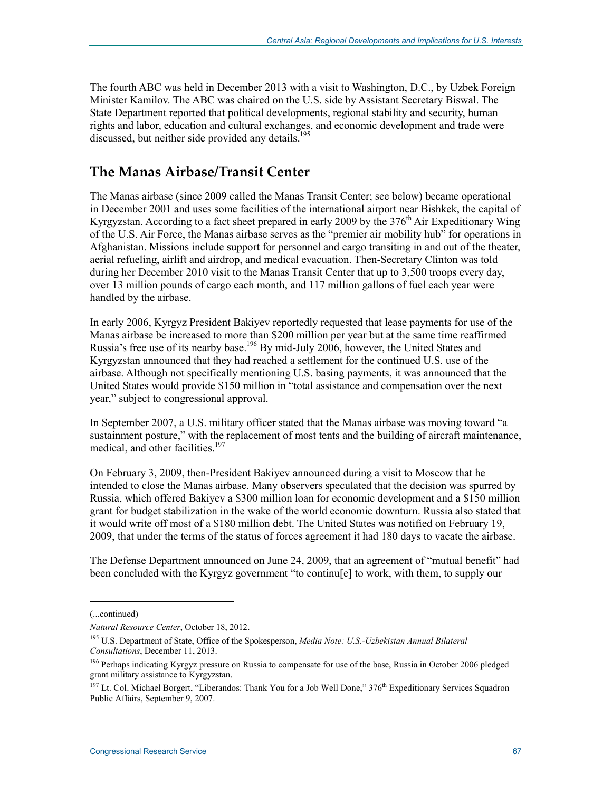The fourth ABC was held in December 2013 with a visit to Washington, D.C., by Uzbek Foreign Minister Kamilov. The ABC was chaired on the U.S. side by Assistant Secretary Biswal. The State Department reported that political developments, regional stability and security, human rights and labor, education and cultural exchanges, and economic development and trade were discussed, but neither side provided any details.<sup>195</sup>

## **The Manas Airbase/Transit Center**

The Manas airbase (since 2009 called the Manas Transit Center; see below) became operational in December 2001 and uses some facilities of the international airport near Bishkek, the capital of Kyrgyzstan. According to a fact sheet prepared in early 2009 by the 376<sup>th</sup> Air Expeditionary Wing of the U.S. Air Force, the Manas airbase serves as the "premier air mobility hub" for operations in Afghanistan. Missions include support for personnel and cargo transiting in and out of the theater, aerial refueling, airlift and airdrop, and medical evacuation. Then-Secretary Clinton was told during her December 2010 visit to the Manas Transit Center that up to 3,500 troops every day, over 13 million pounds of cargo each month, and 117 million gallons of fuel each year were handled by the airbase.

In early 2006, Kyrgyz President Bakiyev reportedly requested that lease payments for use of the Manas airbase be increased to more than \$200 million per year but at the same time reaffirmed Russia's free use of its nearby base.<sup>196</sup> By mid-July 2006, however, the United States and Kyrgyzstan announced that they had reached a settlement for the continued U.S. use of the airbase. Although not specifically mentioning U.S. basing payments, it was announced that the United States would provide \$150 million in "total assistance and compensation over the next year," subject to congressional approval.

In September 2007, a U.S. military officer stated that the Manas airbase was moving toward "a sustainment posture," with the replacement of most tents and the building of aircraft maintenance, medical, and other facilities.<sup>197</sup>

On February 3, 2009, then-President Bakiyev announced during a visit to Moscow that he intended to close the Manas airbase. Many observers speculated that the decision was spurred by Russia, which offered Bakiyev a \$300 million loan for economic development and a \$150 million grant for budget stabilization in the wake of the world economic downturn. Russia also stated that it would write off most of a \$180 million debt. The United States was notified on February 19, 2009, that under the terms of the status of forces agreement it had 180 days to vacate the airbase.

The Defense Department announced on June 24, 2009, that an agreement of "mutual benefit" had been concluded with the Kyrgyz government "to continu[e] to work, with them, to supply our

<sup>(...</sup>continued)

*Natural Resource Center*, October 18, 2012.

<sup>195</sup> U.S. Department of State, Office of the Spokesperson, *Media Note: U.S.-Uzbekistan Annual Bilateral Consultations*, December 11, 2013.

<sup>&</sup>lt;sup>196</sup> Perhaps indicating Kyrgyz pressure on Russia to compensate for use of the base, Russia in October 2006 pledged grant military assistance to Kyrgyzstan.

<sup>&</sup>lt;sup>197</sup> Lt. Col. Michael Borgert, "Liberandos: Thank You for a Job Well Done," 376<sup>th</sup> Expeditionary Services Squadron Public Affairs, September 9, 2007.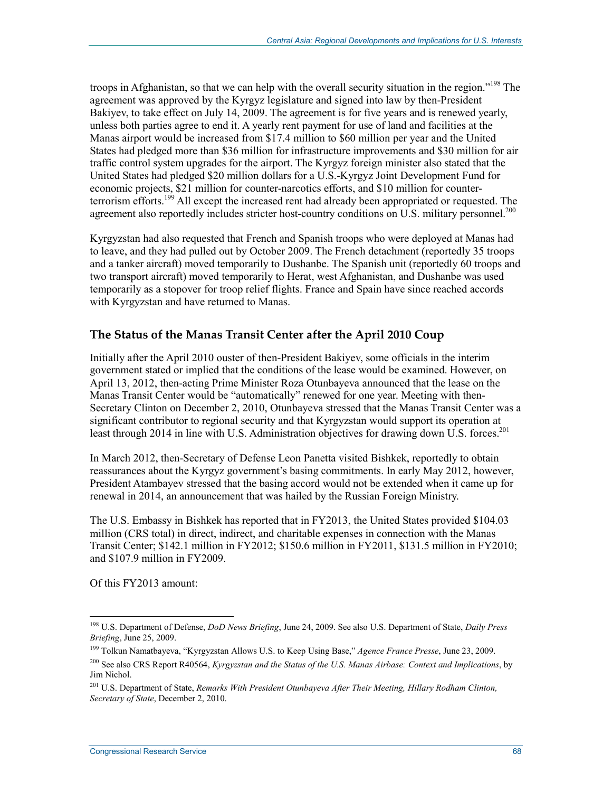troops in Afghanistan, so that we can help with the overall security situation in the region."<sup>198</sup> The agreement was approved by the Kyrgyz legislature and signed into law by then-President Bakiyev, to take effect on July 14, 2009. The agreement is for five years and is renewed yearly, unless both parties agree to end it. A yearly rent payment for use of land and facilities at the Manas airport would be increased from \$17.4 million to \$60 million per year and the United States had pledged more than \$36 million for infrastructure improvements and \$30 million for air traffic control system upgrades for the airport. The Kyrgyz foreign minister also stated that the United States had pledged \$20 million dollars for a U.S.-Kyrgyz Joint Development Fund for economic projects, \$21 million for counter-narcotics efforts, and \$10 million for counterterrorism efforts.<sup>199</sup> All except the increased rent had already been appropriated or requested. The agreement also reportedly includes stricter host-country conditions on U.S. military personnel.<sup>200</sup>

Kyrgyzstan had also requested that French and Spanish troops who were deployed at Manas had to leave, and they had pulled out by October 2009. The French detachment (reportedly 35 troops and a tanker aircraft) moved temporarily to Dushanbe. The Spanish unit (reportedly 60 troops and two transport aircraft) moved temporarily to Herat, west Afghanistan, and Dushanbe was used temporarily as a stopover for troop relief flights. France and Spain have since reached accords with Kyrgyzstan and have returned to Manas.

#### **The Status of the Manas Transit Center after the April 2010 Coup**

Initially after the April 2010 ouster of then-President Bakiyev, some officials in the interim government stated or implied that the conditions of the lease would be examined. However, on April 13, 2012, then-acting Prime Minister Roza Otunbayeva announced that the lease on the Manas Transit Center would be "automatically" renewed for one year. Meeting with then-Secretary Clinton on December 2, 2010, Otunbayeva stressed that the Manas Transit Center was a significant contributor to regional security and that Kyrgyzstan would support its operation at least through 2014 in line with U.S. Administration objectives for drawing down U.S. forces.<sup>201</sup>

In March 2012, then-Secretary of Defense Leon Panetta visited Bishkek, reportedly to obtain reassurances about the Kyrgyz government's basing commitments. In early May 2012, however, President Atambayev stressed that the basing accord would not be extended when it came up for renewal in 2014, an announcement that was hailed by the Russian Foreign Ministry.

The U.S. Embassy in Bishkek has reported that in FY2013, the United States provided \$104.03 million (CRS total) in direct, indirect, and charitable expenses in connection with the Manas Transit Center; \$142.1 million in FY2012; \$150.6 million in FY2011, \$131.5 million in FY2010; and \$107.9 million in FY2009.

Of this FY2013 amount:

<sup>198</sup> U.S. Department of Defense, *DoD News Briefing*, June 24, 2009. See also U.S. Department of State, *Daily Press Briefing*, June 25, 2009.

<sup>199</sup> Tolkun Namatbayeva, "Kyrgyzstan Allows U.S. to Keep Using Base," *Agence France Presse*, June 23, 2009.

<sup>200</sup> See also CRS Report R40564, *Kyrgyzstan and the Status of the U.S. Manas Airbase: Context and Implications*, by Jim Nichol.

<sup>201</sup> U.S. Department of State, *Remarks With President Otunbayeva After Their Meeting, Hillary Rodham Clinton, Secretary of State*, December 2, 2010.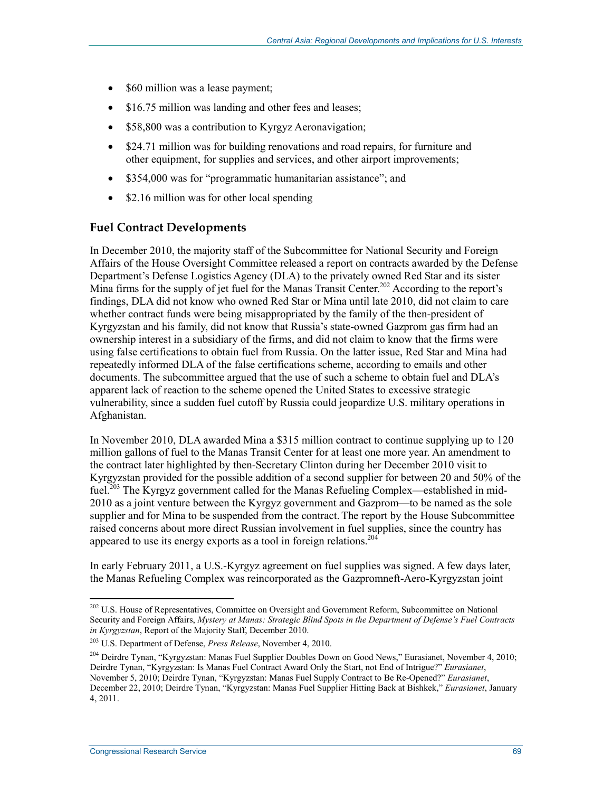- \$60 million was a lease payment;
- \$16.75 million was landing and other fees and leases;
- \$58,800 was a contribution to Kyrgyz Aeronavigation;
- \$24.71 million was for building renovations and road repairs, for furniture and other equipment, for supplies and services, and other airport improvements;
- \$354,000 was for "programmatic humanitarian assistance"; and
- \$2.16 million was for other local spending

### **Fuel Contract Developments**

In December 2010, the majority staff of the Subcommittee for National Security and Foreign Affairs of the House Oversight Committee released a report on contracts awarded by the Defense Department's Defense Logistics Agency (DLA) to the privately owned Red Star and its sister Mina firms for the supply of jet fuel for the Manas Transit Center.<sup>202</sup> According to the report's findings, DLA did not know who owned Red Star or Mina until late 2010, did not claim to care whether contract funds were being misappropriated by the family of the then-president of Kyrgyzstan and his family, did not know that Russia's state-owned Gazprom gas firm had an ownership interest in a subsidiary of the firms, and did not claim to know that the firms were using false certifications to obtain fuel from Russia. On the latter issue, Red Star and Mina had repeatedly informed DLA of the false certifications scheme, according to emails and other documents. The subcommittee argued that the use of such a scheme to obtain fuel and DLA's apparent lack of reaction to the scheme opened the United States to excessive strategic vulnerability, since a sudden fuel cutoff by Russia could jeopardize U.S. military operations in Afghanistan.

In November 2010, DLA awarded Mina a \$315 million contract to continue supplying up to 120 million gallons of fuel to the Manas Transit Center for at least one more year. An amendment to the contract later highlighted by then-Secretary Clinton during her December 2010 visit to Kyrgyzstan provided for the possible addition of a second supplier for between 20 and 50% of the fuel.<sup>203</sup> The Kyrgyz government called for the Manas Refueling Complex—established in mid-2010 as a joint venture between the Kyrgyz government and Gazprom—to be named as the sole supplier and for Mina to be suspended from the contract. The report by the House Subcommittee raised concerns about more direct Russian involvement in fuel supplies, since the country has appeared to use its energy exports as a tool in foreign relations.<sup>204</sup>

In early February 2011, a U.S.-Kyrgyz agreement on fuel supplies was signed. A few days later, the Manas Refueling Complex was reincorporated as the Gazpromneft-Aero-Kyrgyzstan joint

<sup>1</sup> <sup>202</sup> U.S. House of Representatives, Committee on Oversight and Government Reform, Subcommittee on National Security and Foreign Affairs, *Mystery at Manas: Strategic Blind Spots in the Department of Defense's Fuel Contracts in Kyrgyzstan*, Report of the Majority Staff, December 2010.

<sup>203</sup> U.S. Department of Defense, *Press Release*, November 4, 2010.

<sup>&</sup>lt;sup>204</sup> Deirdre Tynan, "Kyrgyzstan: Manas Fuel Supplier Doubles Down on Good News," Eurasianet, November 4, 2010; Deirdre Tynan, "Kyrgyzstan: Is Manas Fuel Contract Award Only the Start, not End of Intrigue?" *Eurasianet*, November 5, 2010; Deirdre Tynan, "Kyrgyzstan: Manas Fuel Supply Contract to Be Re-Opened?" *Eurasianet*, December 22, 2010; Deirdre Tynan, "Kyrgyzstan: Manas Fuel Supplier Hitting Back at Bishkek," *Eurasianet*, January 4, 2011.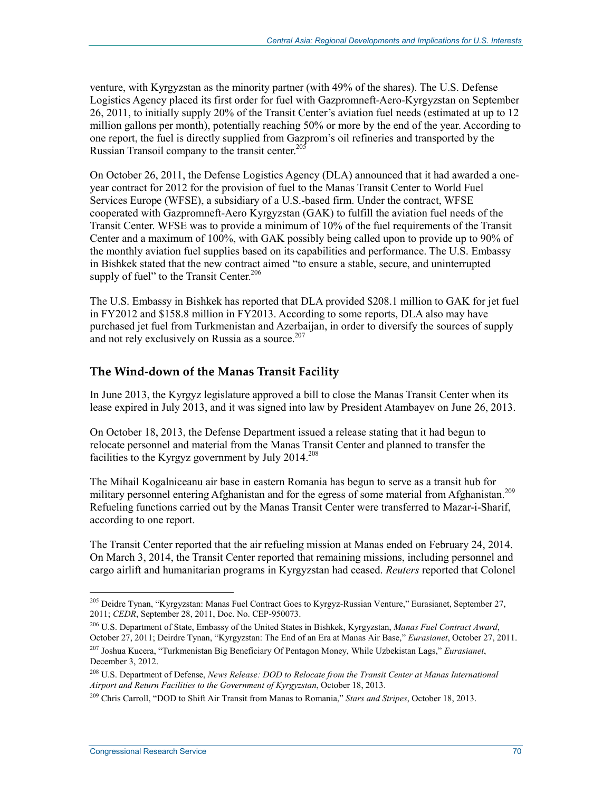venture, with Kyrgyzstan as the minority partner (with 49% of the shares). The U.S. Defense Logistics Agency placed its first order for fuel with Gazpromneft-Aero-Kyrgyzstan on September 26, 2011, to initially supply 20% of the Transit Center's aviation fuel needs (estimated at up to 12 million gallons per month), potentially reaching 50% or more by the end of the year. According to one report, the fuel is directly supplied from Gazprom's oil refineries and transported by the Russian Transoil company to the transit center.<sup>205</sup>

On October 26, 2011, the Defense Logistics Agency (DLA) announced that it had awarded a oneyear contract for 2012 for the provision of fuel to the Manas Transit Center to World Fuel Services Europe (WFSE), a subsidiary of a U.S.-based firm. Under the contract, WFSE cooperated with Gazpromneft-Aero Kyrgyzstan (GAK) to fulfill the aviation fuel needs of the Transit Center. WFSE was to provide a minimum of 10% of the fuel requirements of the Transit Center and a maximum of 100%, with GAK possibly being called upon to provide up to 90% of the monthly aviation fuel supplies based on its capabilities and performance. The U.S. Embassy in Bishkek stated that the new contract aimed "to ensure a stable, secure, and uninterrupted supply of fuel" to the Transit Center.<sup>206</sup>

The U.S. Embassy in Bishkek has reported that DLA provided \$208.1 million to GAK for jet fuel in FY2012 and \$158.8 million in FY2013. According to some reports, DLA also may have purchased jet fuel from Turkmenistan and Azerbaijan, in order to diversify the sources of supply and not rely exclusively on Russia as a source.<sup>207</sup>

### **The Wind-down of the Manas Transit Facility**

In June 2013, the Kyrgyz legislature approved a bill to close the Manas Transit Center when its lease expired in July 2013, and it was signed into law by President Atambayev on June 26, 2013.

On October 18, 2013, the Defense Department issued a release stating that it had begun to relocate personnel and material from the Manas Transit Center and planned to transfer the facilities to the Kyrgyz government by July 2014.<sup>208</sup>

The Mihail Kogalniceanu air base in eastern Romania has begun to serve as a transit hub for military personnel entering Afghanistan and for the egress of some material from Afghanistan.<sup>209</sup> Refueling functions carried out by the Manas Transit Center were transferred to Mazar-i-Sharif, according to one report.

The Transit Center reported that the air refueling mission at Manas ended on February 24, 2014. On March 3, 2014, the Transit Center reported that remaining missions, including personnel and cargo airlift and humanitarian programs in Kyrgyzstan had ceased. *Reuters* reported that Colonel

<sup>1</sup> 205 Deidre Tynan, "Kyrgyzstan: Manas Fuel Contract Goes to Kyrgyz-Russian Venture," Eurasianet, September 27, 2011; *CEDR*, September 28, 2011, Doc. No. CEP-950073.

<sup>206</sup> U.S. Department of State, Embassy of the United States in Bishkek, Kyrgyzstan, *Manas Fuel Contract Award*, October 27, 2011; Deirdre Tynan, "Kyrgyzstan: The End of an Era at Manas Air Base," *Eurasianet*, October 27, 2011.

<sup>207</sup> Joshua Kucera, "Turkmenistan Big Beneficiary Of Pentagon Money, While Uzbekistan Lags," *Eurasianet*, December 3, 2012.

<sup>208</sup> U.S. Department of Defense, *News Release: DOD to Relocate from the Transit Center at Manas International Airport and Return Facilities to the Government of Kyrgyzstan*, October 18, 2013.

<sup>209</sup> Chris Carroll, "DOD to Shift Air Transit from Manas to Romania," *Stars and Stripes*, October 18, 2013.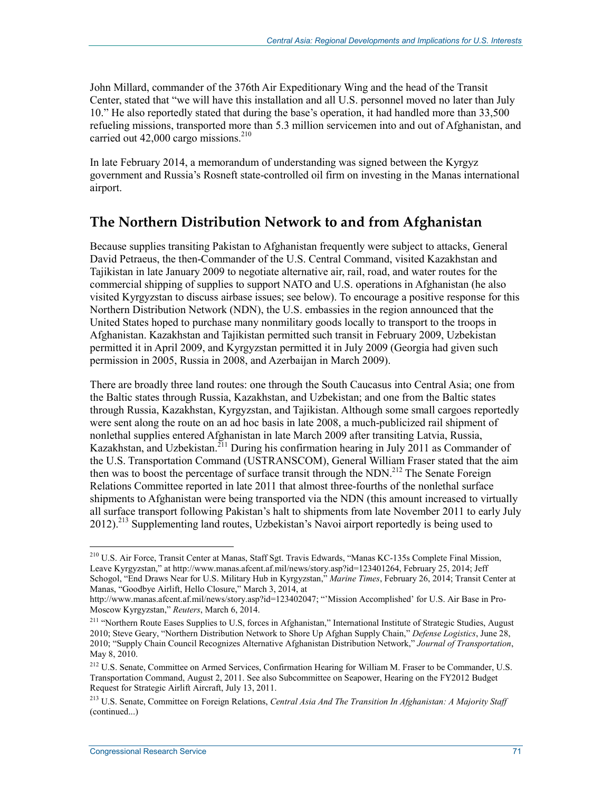John Millard, commander of the 376th Air Expeditionary Wing and the head of the Transit Center, stated that "we will have this installation and all U.S. personnel moved no later than July 10." He also reportedly stated that during the base's operation, it had handled more than 33,500 refueling missions, transported more than 5.3 million servicemen into and out of Afghanistan, and carried out  $42,000$  cargo missions.<sup>210</sup>

In late February 2014, a memorandum of understanding was signed between the Kyrgyz government and Russia's Rosneft state-controlled oil firm on investing in the Manas international airport.

## **The Northern Distribution Network to and from Afghanistan**

Because supplies transiting Pakistan to Afghanistan frequently were subject to attacks, General David Petraeus, the then-Commander of the U.S. Central Command, visited Kazakhstan and Tajikistan in late January 2009 to negotiate alternative air, rail, road, and water routes for the commercial shipping of supplies to support NATO and U.S. operations in Afghanistan (he also visited Kyrgyzstan to discuss airbase issues; see below). To encourage a positive response for this Northern Distribution Network (NDN), the U.S. embassies in the region announced that the United States hoped to purchase many nonmilitary goods locally to transport to the troops in Afghanistan. Kazakhstan and Tajikistan permitted such transit in February 2009, Uzbekistan permitted it in April 2009, and Kyrgyzstan permitted it in July 2009 (Georgia had given such permission in 2005, Russia in 2008, and Azerbaijan in March 2009).

There are broadly three land routes: one through the South Caucasus into Central Asia; one from the Baltic states through Russia, Kazakhstan, and Uzbekistan; and one from the Baltic states through Russia, Kazakhstan, Kyrgyzstan, and Tajikistan. Although some small cargoes reportedly were sent along the route on an ad hoc basis in late 2008, a much-publicized rail shipment of nonlethal supplies entered Afghanistan in late March 2009 after transiting Latvia, Russia, Kazakhstan, and Uzbekistan.<sup>211</sup> During his confirmation hearing in July 2011 as Commander of the U.S. Transportation Command (USTRANSCOM), General William Fraser stated that the aim then was to boost the percentage of surface transit through the NDN.<sup>212</sup> The Senate Foreign Relations Committee reported in late 2011 that almost three-fourths of the nonlethal surface shipments to Afghanistan were being transported via the NDN (this amount increased to virtually all surface transport following Pakistan's halt to shipments from late November 2011 to early July 2012).<sup>213</sup> Supplementing land routes, Uzbekistan's Navoi airport reportedly is being used to

<u>.</u>

<sup>&</sup>lt;sup>210</sup> U.S. Air Force, Transit Center at Manas, Staff Sgt. Travis Edwards, "Manas KC-135s Complete Final Mission, Leave Kyrgyzstan," at http://www.manas.afcent.af.mil/news/story.asp?id=123401264, February 25, 2014; Jeff Schogol, "End Draws Near for U.S. Military Hub in Kyrgyzstan," *Marine Times*, February 26, 2014; Transit Center at Manas, "Goodbye Airlift, Hello Closure," March 3, 2014, at

http://www.manas.afcent.af.mil/news/story.asp?id=123402047; "'Mission Accomplished' for U.S. Air Base in Pro-Moscow Kyrgyzstan," *Reuters*, March 6, 2014.

<sup>&</sup>lt;sup>211</sup> "Northern Route Eases Supplies to U.S, forces in Afghanistan," International Institute of Strategic Studies, August 2010; Steve Geary, "Northern Distribution Network to Shore Up Afghan Supply Chain," *Defense Logistics*, June 28, 2010; "Supply Chain Council Recognizes Alternative Afghanistan Distribution Network," *Journal of Transportation*, May 8, 2010.

<sup>&</sup>lt;sup>212</sup> U.S. Senate, Committee on Armed Services, Confirmation Hearing for William M. Fraser to be Commander, U.S. Transportation Command, August 2, 2011. See also Subcommittee on Seapower, Hearing on the FY2012 Budget Request for Strategic Airlift Aircraft, July 13, 2011.

<sup>213</sup> U.S. Senate, Committee on Foreign Relations, *Central Asia And The Transition In Afghanistan: A Majority Staff*  (continued...)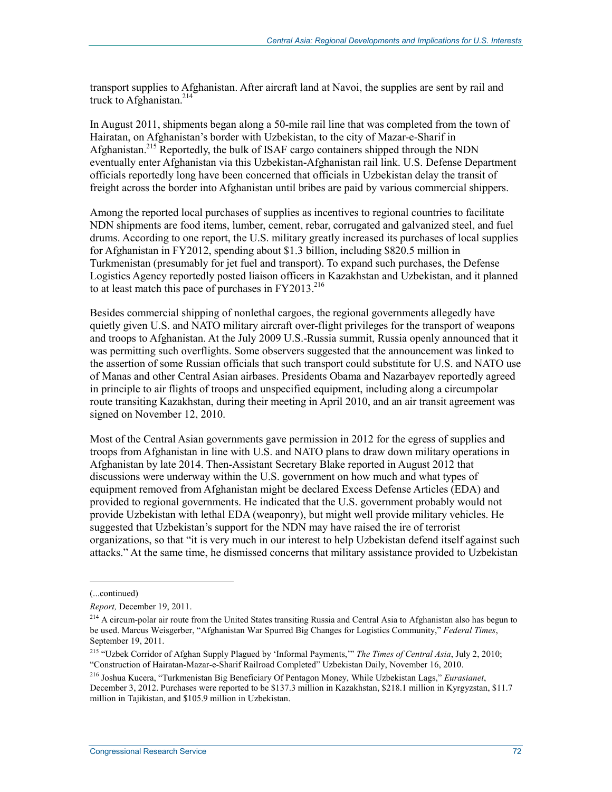transport supplies to Afghanistan. After aircraft land at Navoi, the supplies are sent by rail and truck to Afghanistan. $214$ 

In August 2011, shipments began along a 50-mile rail line that was completed from the town of Hairatan, on Afghanistan's border with Uzbekistan, to the city of Mazar-e-Sharif in Afghanistan.215 Reportedly, the bulk of ISAF cargo containers shipped through the NDN eventually enter Afghanistan via this Uzbekistan-Afghanistan rail link. U.S. Defense Department officials reportedly long have been concerned that officials in Uzbekistan delay the transit of freight across the border into Afghanistan until bribes are paid by various commercial shippers.

Among the reported local purchases of supplies as incentives to regional countries to facilitate NDN shipments are food items, lumber, cement, rebar, corrugated and galvanized steel, and fuel drums. According to one report, the U.S. military greatly increased its purchases of local supplies for Afghanistan in FY2012, spending about \$1.3 billion, including \$820.5 million in Turkmenistan (presumably for jet fuel and transport). To expand such purchases, the Defense Logistics Agency reportedly posted liaison officers in Kazakhstan and Uzbekistan, and it planned to at least match this pace of purchases in  $FY2013.<sup>216</sup>$ 

Besides commercial shipping of nonlethal cargoes, the regional governments allegedly have quietly given U.S. and NATO military aircraft over-flight privileges for the transport of weapons and troops to Afghanistan. At the July 2009 U.S.-Russia summit, Russia openly announced that it was permitting such overflights. Some observers suggested that the announcement was linked to the assertion of some Russian officials that such transport could substitute for U.S. and NATO use of Manas and other Central Asian airbases. Presidents Obama and Nazarbayev reportedly agreed in principle to air flights of troops and unspecified equipment, including along a circumpolar route transiting Kazakhstan, during their meeting in April 2010, and an air transit agreement was signed on November 12, 2010.

Most of the Central Asian governments gave permission in 2012 for the egress of supplies and troops from Afghanistan in line with U.S. and NATO plans to draw down military operations in Afghanistan by late 2014. Then-Assistant Secretary Blake reported in August 2012 that discussions were underway within the U.S. government on how much and what types of equipment removed from Afghanistan might be declared Excess Defense Articles (EDA) and provided to regional governments. He indicated that the U.S. government probably would not provide Uzbekistan with lethal EDA (weaponry), but might well provide military vehicles. He suggested that Uzbekistan's support for the NDN may have raised the ire of terrorist organizations, so that "it is very much in our interest to help Uzbekistan defend itself against such attacks." At the same time, he dismissed concerns that military assistance provided to Uzbekistan

<sup>(...</sup>continued)

*Report,* December 19, 2011.

<sup>&</sup>lt;sup>214</sup> A circum-polar air route from the United States transiting Russia and Central Asia to Afghanistan also has begun to be used. Marcus Weisgerber, "Afghanistan War Spurred Big Changes for Logistics Community," *Federal Times*, September 19, 2011.

<sup>215 &</sup>quot;Uzbek Corridor of Afghan Supply Plagued by 'Informal Payments,'" *The Times of Central Asia*, July 2, 2010; "Construction of Hairatan-Mazar-e-Sharif Railroad Completed" Uzbekistan Daily, November 16, 2010.

<sup>216</sup> Joshua Kucera, "Turkmenistan Big Beneficiary Of Pentagon Money, While Uzbekistan Lags," *Eurasianet*, December 3, 2012. Purchases were reported to be \$137.3 million in Kazakhstan, \$218.1 million in Kyrgyzstan, \$11.7 million in Tajikistan, and \$105.9 million in Uzbekistan.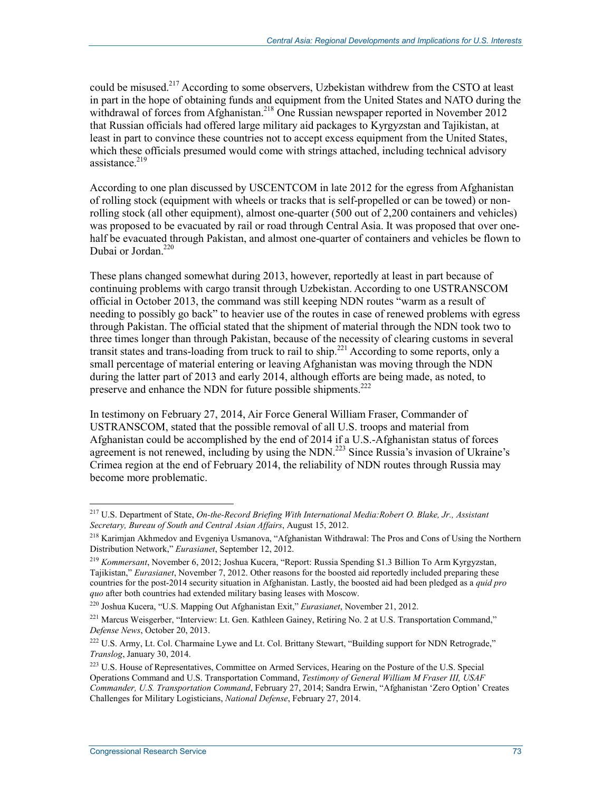could be misused.<sup>217</sup> According to some observers, Uzbekistan withdrew from the CSTO at least in part in the hope of obtaining funds and equipment from the United States and NATO during the withdrawal of forces from Afghanistan.<sup>218</sup> One Russian newspaper reported in November 2012 that Russian officials had offered large military aid packages to Kyrgyzstan and Tajikistan, at least in part to convince these countries not to accept excess equipment from the United States, which these officials presumed would come with strings attached, including technical advisory assistance. $219$ 

According to one plan discussed by USCENTCOM in late 2012 for the egress from Afghanistan of rolling stock (equipment with wheels or tracks that is self-propelled or can be towed) or nonrolling stock (all other equipment), almost one-quarter (500 out of 2,200 containers and vehicles) was proposed to be evacuated by rail or road through Central Asia. It was proposed that over onehalf be evacuated through Pakistan, and almost one-quarter of containers and vehicles be flown to Dubai or Jordan.<sup>220</sup>

These plans changed somewhat during 2013, however, reportedly at least in part because of continuing problems with cargo transit through Uzbekistan. According to one USTRANSCOM official in October 2013, the command was still keeping NDN routes "warm as a result of needing to possibly go back" to heavier use of the routes in case of renewed problems with egress through Pakistan. The official stated that the shipment of material through the NDN took two to three times longer than through Pakistan, because of the necessity of clearing customs in several transit states and trans-loading from truck to rail to ship.221 According to some reports, only a small percentage of material entering or leaving Afghanistan was moving through the NDN during the latter part of 2013 and early 2014, although efforts are being made, as noted, to preserve and enhance the NDN for future possible shipments.<sup>222</sup>

In testimony on February 27, 2014, Air Force General William Fraser, Commander of USTRANSCOM, stated that the possible removal of all U.S. troops and material from Afghanistan could be accomplished by the end of 2014 if a U.S.-Afghanistan status of forces agreement is not renewed, including by using the NDN.<sup>223</sup> Since Russia's invasion of Ukraine's Crimea region at the end of February 2014, the reliability of NDN routes through Russia may become more problematic.

<sup>217</sup> U.S. Department of State, *On-the-Record Briefing With International Media:Robert O. Blake, Jr., Assistant Secretary, Bureau of South and Central Asian Affairs*, August 15, 2012.

<sup>&</sup>lt;sup>218</sup> Karimjan Akhmedov and Evgeniya Usmanova, "Afghanistan Withdrawal: The Pros and Cons of Using the Northern Distribution Network," *Eurasianet*, September 12, 2012.

<sup>219</sup> *Kommersant*, November 6, 2012; Joshua Kucera, "Report: Russia Spending \$1.3 Billion To Arm Kyrgyzstan, Tajikistan," *Eurasianet*, November 7, 2012. Other reasons for the boosted aid reportedly included preparing these countries for the post-2014 security situation in Afghanistan. Lastly, the boosted aid had been pledged as a *quid pro quo* after both countries had extended military basing leases with Moscow.

<sup>220</sup> Joshua Kucera, "U.S. Mapping Out Afghanistan Exit," *Eurasianet*, November 21, 2012.

<sup>&</sup>lt;sup>221</sup> Marcus Weisgerber, "Interview: Lt. Gen. Kathleen Gainey, Retiring No. 2 at U.S. Transportation Command," *Defense News*, October 20, 2013.

<sup>&</sup>lt;sup>222</sup> U.S. Army, Lt. Col. Charmaine Lywe and Lt. Col. Brittany Stewart, "Building support for NDN Retrograde," *Translog*, January 30, 2014.

<sup>&</sup>lt;sup>223</sup> U.S. House of Representatives, Committee on Armed Services, Hearing on the Posture of the U.S. Special Operations Command and U.S. Transportation Command, *Testimony of General William M Fraser III, USAF Commander, U.S. Transportation Command*, February 27, 2014; Sandra Erwin, "Afghanistan 'Zero Option' Creates Challenges for Military Logisticians, *National Defense*, February 27, 2014.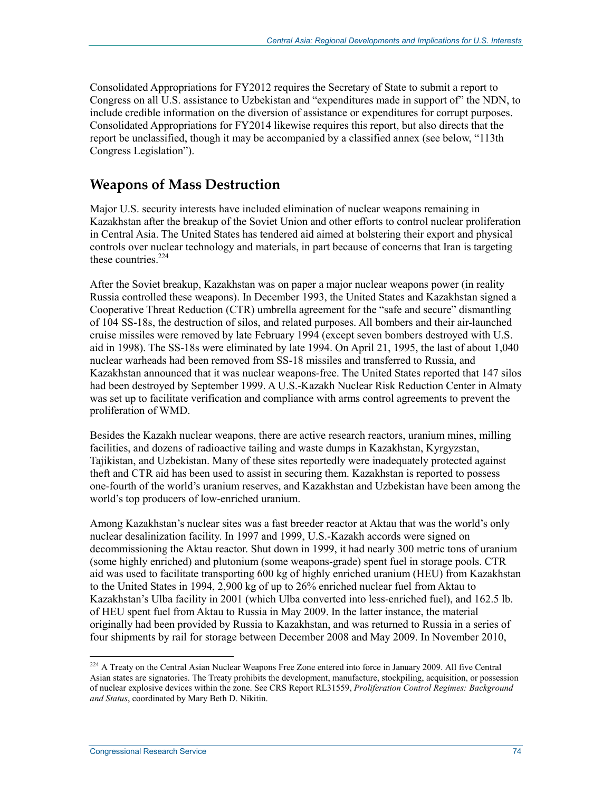Consolidated Appropriations for FY2012 requires the Secretary of State to submit a report to Congress on all U.S. assistance to Uzbekistan and "expenditures made in support of" the NDN, to include credible information on the diversion of assistance or expenditures for corrupt purposes. Consolidated Appropriations for FY2014 likewise requires this report, but also directs that the report be unclassified, though it may be accompanied by a classified annex (see below, "113th Congress Legislation").

## **Weapons of Mass Destruction**

Major U.S. security interests have included elimination of nuclear weapons remaining in Kazakhstan after the breakup of the Soviet Union and other efforts to control nuclear proliferation in Central Asia. The United States has tendered aid aimed at bolstering their export and physical controls over nuclear technology and materials, in part because of concerns that Iran is targeting these countries<sup>224</sup>

After the Soviet breakup, Kazakhstan was on paper a major nuclear weapons power (in reality Russia controlled these weapons). In December 1993, the United States and Kazakhstan signed a Cooperative Threat Reduction (CTR) umbrella agreement for the "safe and secure" dismantling of 104 SS-18s, the destruction of silos, and related purposes. All bombers and their air-launched cruise missiles were removed by late February 1994 (except seven bombers destroyed with U.S. aid in 1998). The SS-18s were eliminated by late 1994. On April 21, 1995, the last of about 1,040 nuclear warheads had been removed from SS-18 missiles and transferred to Russia, and Kazakhstan announced that it was nuclear weapons-free. The United States reported that 147 silos had been destroyed by September 1999. A U.S.-Kazakh Nuclear Risk Reduction Center in Almaty was set up to facilitate verification and compliance with arms control agreements to prevent the proliferation of WMD.

Besides the Kazakh nuclear weapons, there are active research reactors, uranium mines, milling facilities, and dozens of radioactive tailing and waste dumps in Kazakhstan, Kyrgyzstan, Tajikistan, and Uzbekistan. Many of these sites reportedly were inadequately protected against theft and CTR aid has been used to assist in securing them. Kazakhstan is reported to possess one-fourth of the world's uranium reserves, and Kazakhstan and Uzbekistan have been among the world's top producers of low-enriched uranium.

Among Kazakhstan's nuclear sites was a fast breeder reactor at Aktau that was the world's only nuclear desalinization facility. In 1997 and 1999, U.S.-Kazakh accords were signed on decommissioning the Aktau reactor. Shut down in 1999, it had nearly 300 metric tons of uranium (some highly enriched) and plutonium (some weapons-grade) spent fuel in storage pools. CTR aid was used to facilitate transporting 600 kg of highly enriched uranium (HEU) from Kazakhstan to the United States in 1994, 2,900 kg of up to 26% enriched nuclear fuel from Aktau to Kazakhstan's Ulba facility in 2001 (which Ulba converted into less-enriched fuel), and 162.5 lb. of HEU spent fuel from Aktau to Russia in May 2009. In the latter instance, the material originally had been provided by Russia to Kazakhstan, and was returned to Russia in a series of four shipments by rail for storage between December 2008 and May 2009. In November 2010,

<sup>&</sup>lt;sup>224</sup> A Treaty on the Central Asian Nuclear Weapons Free Zone entered into force in January 2009. All five Central Asian states are signatories. The Treaty prohibits the development, manufacture, stockpiling, acquisition, or possession of nuclear explosive devices within the zone. See CRS Report RL31559, *Proliferation Control Regimes: Background and Status*, coordinated by Mary Beth D. Nikitin.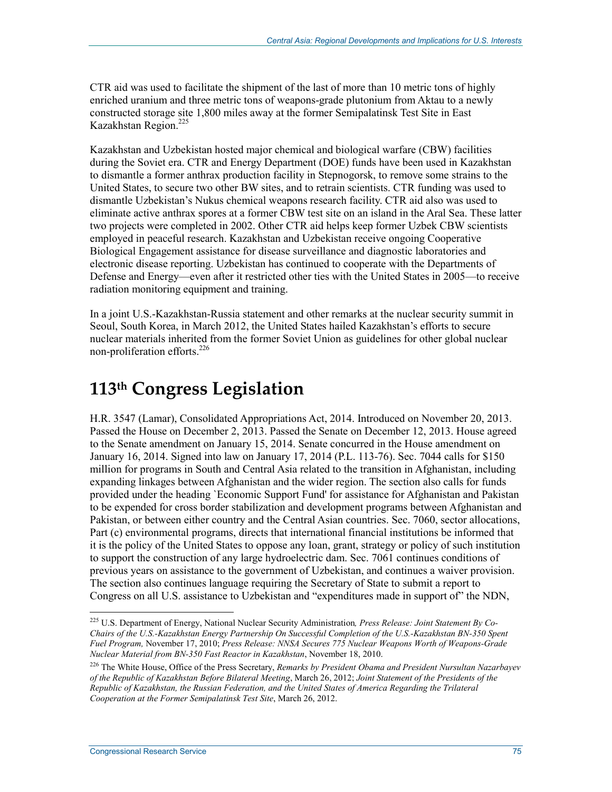CTR aid was used to facilitate the shipment of the last of more than 10 metric tons of highly enriched uranium and three metric tons of weapons-grade plutonium from Aktau to a newly constructed storage site 1,800 miles away at the former Semipalatinsk Test Site in East Kazakhstan Region.<sup>225</sup>

Kazakhstan and Uzbekistan hosted major chemical and biological warfare (CBW) facilities during the Soviet era. CTR and Energy Department (DOE) funds have been used in Kazakhstan to dismantle a former anthrax production facility in Stepnogorsk, to remove some strains to the United States, to secure two other BW sites, and to retrain scientists. CTR funding was used to dismantle Uzbekistan's Nukus chemical weapons research facility. CTR aid also was used to eliminate active anthrax spores at a former CBW test site on an island in the Aral Sea. These latter two projects were completed in 2002. Other CTR aid helps keep former Uzbek CBW scientists employed in peaceful research. Kazakhstan and Uzbekistan receive ongoing Cooperative Biological Engagement assistance for disease surveillance and diagnostic laboratories and electronic disease reporting. Uzbekistan has continued to cooperate with the Departments of Defense and Energy—even after it restricted other ties with the United States in 2005—to receive radiation monitoring equipment and training.

In a joint U.S.-Kazakhstan-Russia statement and other remarks at the nuclear security summit in Seoul, South Korea, in March 2012, the United States hailed Kazakhstan's efforts to secure nuclear materials inherited from the former Soviet Union as guidelines for other global nuclear non-proliferation efforts.<sup>226</sup>

# **113th Congress Legislation**

H.R. 3547 (Lamar), Consolidated Appropriations Act, 2014. Introduced on November 20, 2013. Passed the House on December 2, 2013. Passed the Senate on December 12, 2013. House agreed to the Senate amendment on January 15, 2014. Senate concurred in the House amendment on January 16, 2014. Signed into law on January 17, 2014 (P.L. 113-76). Sec. 7044 calls for \$150 million for programs in South and Central Asia related to the transition in Afghanistan, including expanding linkages between Afghanistan and the wider region. The section also calls for funds provided under the heading `Economic Support Fund' for assistance for Afghanistan and Pakistan to be expended for cross border stabilization and development programs between Afghanistan and Pakistan, or between either country and the Central Asian countries. Sec. 7060, sector allocations, Part (c) environmental programs, directs that international financial institutions be informed that it is the policy of the United States to oppose any loan, grant, strategy or policy of such institution to support the construction of any large hydroelectric dam. Sec. 7061 continues conditions of previous years on assistance to the government of Uzbekistan, and continues a waiver provision. The section also continues language requiring the Secretary of State to submit a report to Congress on all U.S. assistance to Uzbekistan and "expenditures made in support of" the NDN,

<sup>225</sup> U.S. Department of Energy, National Nuclear Security Administration*, Press Release: Joint Statement By Co-Chairs of the U.S.-Kazakhstan Energy Partnership On Successful Completion of the U.S.-Kazakhstan BN-350 Spent Fuel Program,* November 17, 2010; *Press Release: NNSA Secures 775 Nuclear Weapons Worth of Weapons-Grade Nuclear Material from BN-350 Fast Reactor in Kazakhstan*, November 18, 2010.

<sup>226</sup> The White House, Office of the Press Secretary, *Remarks by President Obama and President Nursultan Nazarbayev of the Republic of Kazakhstan Before Bilateral Meeting*, March 26, 2012; *Joint Statement of the Presidents of the Republic of Kazakhstan, the Russian Federation, and the United States of America Regarding the Trilateral Cooperation at the Former Semipalatinsk Test Site*, March 26, 2012.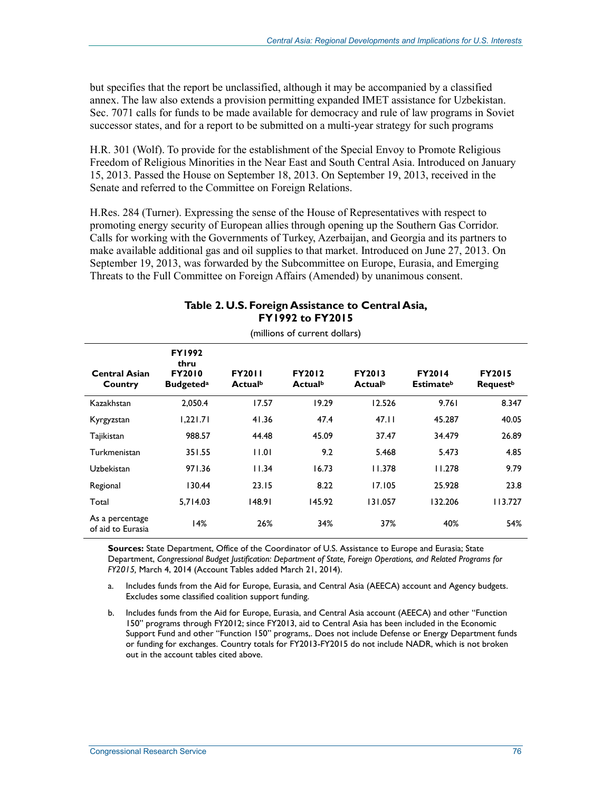but specifies that the report be unclassified, although it may be accompanied by a classified annex. The law also extends a provision permitting expanded IMET assistance for Uzbekistan. Sec. 7071 calls for funds to be made available for democracy and rule of law programs in Soviet successor states, and for a report to be submitted on a multi-year strategy for such programs

H.R. 301 (Wolf). To provide for the establishment of the Special Envoy to Promote Religious Freedom of Religious Minorities in the Near East and South Central Asia. Introduced on January 15, 2013. Passed the House on September 18, 2013. On September 19, 2013, received in the Senate and referred to the Committee on Foreign Relations.

H.Res. 284 (Turner). Expressing the sense of the House of Representatives with respect to promoting energy security of European allies through opening up the Southern Gas Corridor. Calls for working with the Governments of Turkey, Azerbaijan, and Georgia and its partners to make available additional gas and oil supplies to that market. Introduced on June 27, 2013. On September 19, 2013, was forwarded by the Subcommittee on Europe, Eurasia, and Emerging Threats to the Full Committee on Foreign Affairs (Amended) by unanimous consent.

| (millions of current dollars)        |                                                                        |                          |                          |                          |                                               |                                              |  |  |  |
|--------------------------------------|------------------------------------------------------------------------|--------------------------|--------------------------|--------------------------|-----------------------------------------------|----------------------------------------------|--|--|--|
| <b>Central Asian</b><br>Country      | <b>FY1992</b><br>thru<br><b>FY2010</b><br><b>Budgeted</b> <sup>a</sup> | <b>FY2011</b><br>Actualb | <b>FY2012</b><br>Actualb | <b>FY2013</b><br>Actualb | <b>FY2014</b><br><b>Estimate</b> <sup>b</sup> | <b>FY2015</b><br><b>Request</b> <sup>b</sup> |  |  |  |
| Kazakhstan                           | 2,050.4                                                                | 17.57                    | 19.29                    | 12.526                   | 9.761                                         | 8.347                                        |  |  |  |
| Kyrgyzstan                           | 1,221.71                                                               | 41.36                    | 47.4                     | 47.11                    | 45.287                                        | 40.05                                        |  |  |  |
| Tajikistan                           | 988.57                                                                 | 44.48                    | 45.09                    | 37.47                    | 34.479                                        | 26.89                                        |  |  |  |
| Turkmenistan                         | 351.55                                                                 | 11.01                    | 9.2                      | 5.468                    | 5.473                                         | 4.85                                         |  |  |  |
| Uzbekistan                           | 971.36                                                                 | 11.34                    | 16.73                    | 11.378                   | 11.278                                        | 9.79                                         |  |  |  |
| Regional                             | 130.44                                                                 | 23.15                    | 8.22                     | 17.105                   | 25.928                                        | 23.8                                         |  |  |  |
| Total                                | 5,714.03                                                               | 148.91                   | 145.92                   | 131.057                  | 132.206                                       | 113.727                                      |  |  |  |
| As a percentage<br>of aid to Eurasia | 14%                                                                    | 26%                      | 34%                      | 37%                      | 40%                                           | 54%                                          |  |  |  |

### **Table 2. U.S. Foreign Assistance to Central Asia, FY1992 to FY2015**

**Sources:** State Department, Office of the Coordinator of U.S. Assistance to Europe and Eurasia; State Department, *Congressional Budget Justification: Department of State, Foreign Operations, and Related Programs for FY2015,* March 4, 2014 (Account Tables added March 21, 2014).

- a. Includes funds from the Aid for Europe, Eurasia, and Central Asia (AEECA) account and Agency budgets. Excludes some classified coalition support funding.
- b. Includes funds from the Aid for Europe, Eurasia, and Central Asia account (AEECA) and other "Function 150" programs through FY2012; since FY2013, aid to Central Asia has been included in the Economic Support Fund and other "Function 150" programs,. Does not include Defense or Energy Department funds or funding for exchanges. Country totals for FY2013-FY2015 do not include NADR, which is not broken out in the account tables cited above.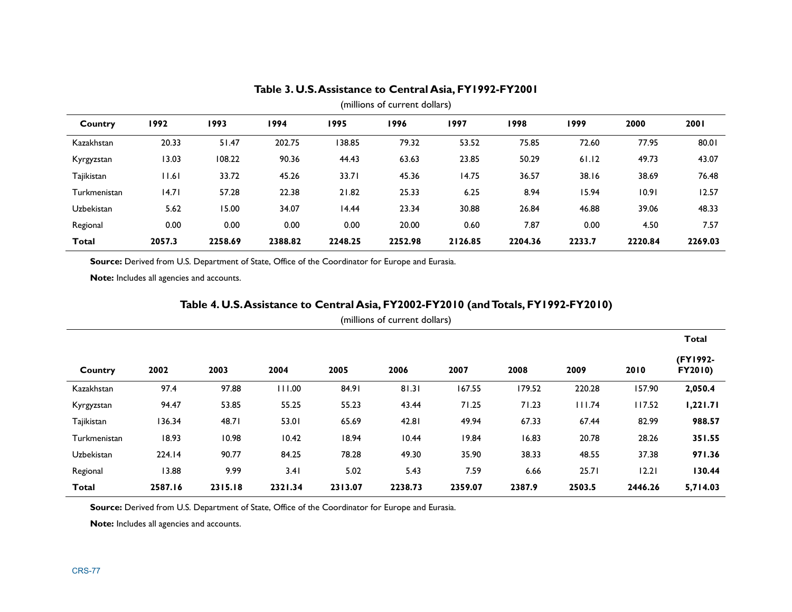| (millions of current dollars) |        |         |         |         |         |         |         |        |         |         |
|-------------------------------|--------|---------|---------|---------|---------|---------|---------|--------|---------|---------|
| Country                       | 1992   | 1993    | 1994    | 1995    | 1996    | 1997    | 1998    | 1999   | 2000    | 2001    |
| Kazakhstan                    | 20.33  | 51.47   | 202.75  | 138.85  | 79.32   | 53.52   | 75.85   | 72.60  | 77.95   | 80.01   |
| Kyrgyzstan                    | 13.03  | 108.22  | 90.36   | 44.43   | 63.63   | 23.85   | 50.29   | 61.12  | 49.73   | 43.07   |
| Tajikistan                    | 11.61  | 33.72   | 45.26   | 33.71   | 45.36   | 14.75   | 36.57   | 38.16  | 38.69   | 76.48   |
| Turkmenistan                  | 14.71  | 57.28   | 22.38   | 21.82   | 25.33   | 6.25    | 8.94    | 15.94  | 10.91   | 12.57   |
| Uzbekistan                    | 5.62   | 15.00   | 34.07   | 14.44   | 23.34   | 30.88   | 26.84   | 46.88  | 39.06   | 48.33   |
| Regional                      | 0.00   | 0.00    | 0.00    | 0.00    | 20.00   | 0.60    | 7.87    | 0.00   | 4.50    | 7.57    |
| <b>Total</b>                  | 2057.3 | 2258.69 | 2388.82 | 2248.25 | 2252.98 | 2126.85 | 2204.36 | 2233.7 | 2220.84 | 2269.03 |

#### **Table 3. U.S. Assistance to Central Asia, FY1992-FY2001**

Source: Derived from U.S. Department of State, Office of the Coordinator for Europe and Eurasia.

**Note:** Includes all agencies and accounts.

### **Table 4. U.S. Assistance to Central Asia, FY2002-FY2010 (and Totals, FY1992-FY2010)**

| (millions of current dollars) |  |  |
|-------------------------------|--|--|
|-------------------------------|--|--|

|              |         |         |         |         |         |         |        |        |         | <b>Total</b>        |
|--------------|---------|---------|---------|---------|---------|---------|--------|--------|---------|---------------------|
| Country      | 2002    | 2003    | 2004    | 2005    | 2006    | 2007    | 2008   | 2009   | 2010    | (FY1992-<br>FY2010) |
| Kazakhstan   | 97.4    | 97.88   | 111.00  | 84.91   | 81.31   | 167.55  | 179.52 | 220.28 | 157.90  | 2,050.4             |
| Kyrgyzstan   | 94.47   | 53.85   | 55.25   | 55.23   | 43.44   | 71.25   | 71.23  | 111.74 | 117.52  | 1,221.71            |
| Tajikistan   | 136.34  | 48.71   | 53.01   | 65.69   | 42.81   | 49.94   | 67.33  | 67.44  | 82.99   | 988.57              |
| Turkmenistan | 18.93   | 10.98   | 10.42   | 18.94   | 10.44   | 19.84   | 16.83  | 20.78  | 28.26   | 351.55              |
| Uzbekistan   | 224.14  | 90.77   | 84.25   | 78.28   | 49.30   | 35.90   | 38.33  | 48.55  | 37.38   | 971.36              |
| Regional     | 13.88   | 9.99    | 3.41    | 5.02    | 5.43    | 7.59    | 6.66   | 25.71  | 12.21   | 130.44              |
| <b>Total</b> | 2587.16 | 2315.18 | 2321.34 | 2313.07 | 2238.73 | 2359.07 | 2387.9 | 2503.5 | 2446.26 | 5,714.03            |

Source: Derived from U.S. Department of State, Office of the Coordinator for Europe and Eurasia.

**Note:** Includes all agencies and accounts.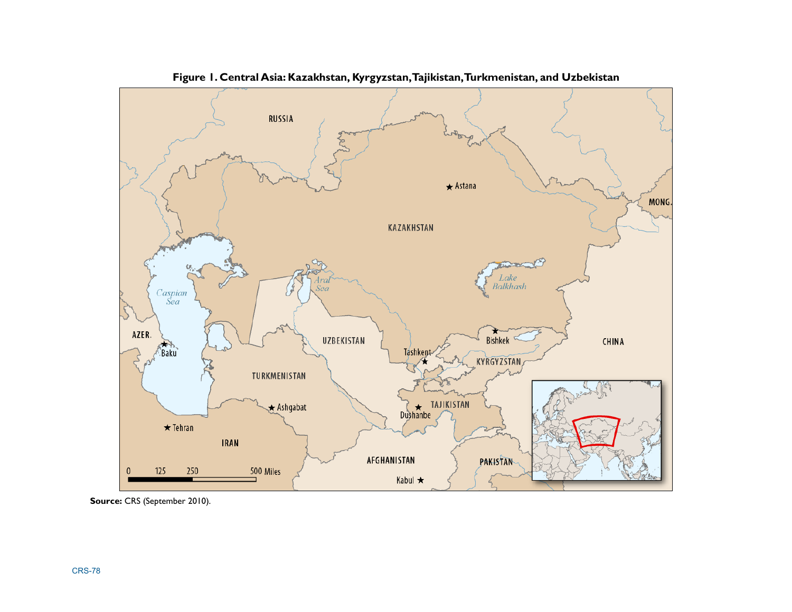

**Figure 1. Central Asia: Kazakhstan, Kyrgyzstan, Tajikistan, Turkmenistan, and Uzbekistan** 

**Source:** CRS (September 2010).